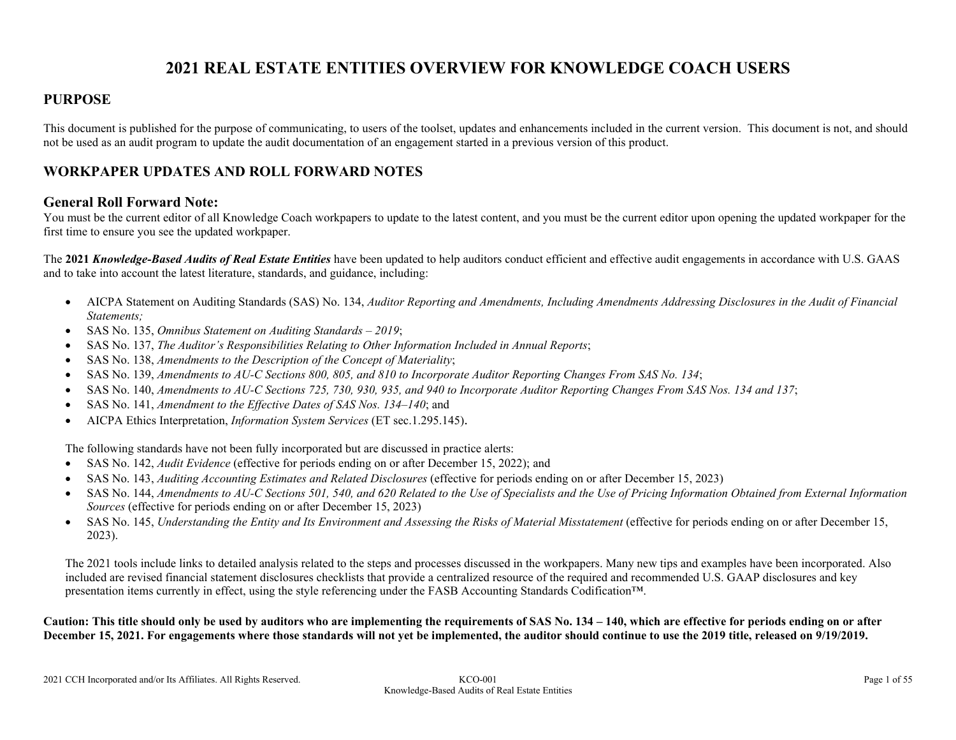# **2021 REAL ESTATE ENTITIES OVERVIEW FOR KNOWLEDGE COACH USERS**

### **PURPOSE**

This document is published for the purpose of communicating, to users of the toolset, updates and enhancements included in the current version. This document is not, and should not be used as an audit program to update the audit documentation of an engagement started in a previous version of this product.

### **WORKPAPER UPDATES AND ROLL FORWARD NOTES**

#### **General Roll Forward Note:**

You must be the current editor of all Knowledge Coach workpapers to update to the latest content, and you must be the current editor upon opening the updated workpaper for the first time to ensure you see the updated workpaper.

The **2021** *Knowledge-Based Audits of Real Estate Entities* have been updated to help auditors conduct efficient and effective audit engagements in accordance with U.S. GAAS and to take into account the latest literature, standards, and guidance, including:

- AICPA Statement on Auditing Standards (SAS) No. 134, *Auditor Reporting and Amendments, Including Amendments Addressing Disclosures in the Audit of Financial Statements;*
- SAS No. 135, *Omnibus Statement on Auditing Standards – 2019*;
- SAS No. 137, *The Auditor's Responsibilities Relating to Other Information Included in Annual Reports*;
- SAS No. 138, *Amendments to the Description of the Concept of Materiality*;
- SAS No. 139, *Amendments to AU-C Sections 800, 805, and 810 to Incorporate Auditor Reporting Changes From SAS No. 134*;
- SAS No. 140, *Amendments to AU-C Sections 725, 730, 930, 935, and 940 to Incorporate Auditor Reporting Changes From SAS Nos. 134 and 137*;
- SAS No. 141, *Amendment to the Effective Dates of SAS Nos. 134–140*; and
- AICPA Ethics Interpretation, *Information System Services* (ET sec.1.295.145).

The following standards have not been fully incorporated but are discussed in practice alerts:

- SAS No. 142, *Audit Evidence* (effective for periods ending on or after December 15, 2022); and
- SAS No. 143, *Auditing Accounting Estimates and Related Disclosures* (effective for periods ending on or after December 15, 2023)
- SAS No. 144, *Amendments to AU-C Sections 501, 540, and 620 Related to the Use of Specialists and the Use of Pricing Information Obtained from External Information Sources* (effective for periods ending on or after December 15, 2023)
- SAS No. 145, *Understanding the Entity and Its Environment and Assessing the Risks of Material Misstatement* (effective for periods ending on or after December 15, 2023).

The 2021 tools include links to detailed analysis related to the steps and processes discussed in the workpapers. Many new tips and examples have been incorporated. Also included are revised financial statement disclosures checklists that provide a centralized resource of the required and recommended U.S. GAAP disclosures and key presentation items currently in effect, using the style referencing under the FASB Accounting Standards Codification™.

**Caution: This title should only be used by auditors who are implementing the requirements of SAS No. 134 – 140, which are effective for periods ending on or after December 15, 2021. For engagements where those standards will not yet be implemented, the auditor should continue to use the 2019 title, released on 9/19/2019.**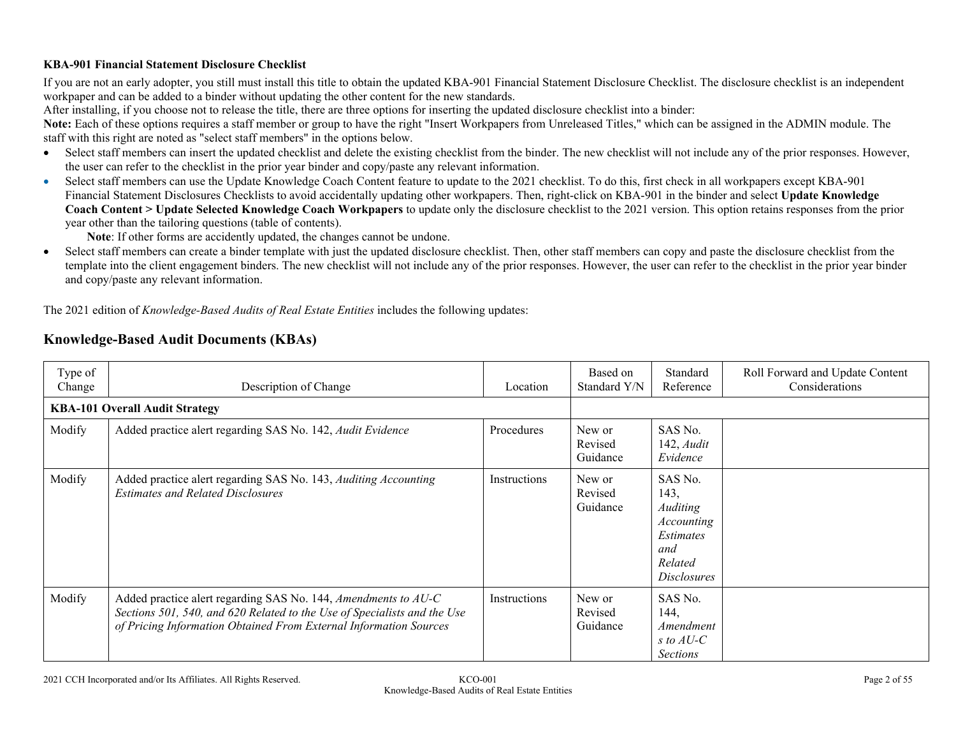#### **KBA-901 Financial Statement Disclosure Checklist**

If you are not an early adopter, you still must install this title to obtain the updated KBA-901 Financial Statement Disclosure Checklist. The disclosure checklist is an independent workpaper and can be added to a binder without updating the other content for the new standards.

After installing, if you choose not to release the title, there are three options for inserting the updated disclosure checklist into a binder:

**Note:** Each of these options requires a staff member or group to have the right "Insert Workpapers from Unreleased Titles," which can be assigned in the ADMIN module. The staff with this right are noted as "select staff members" in the options below.

- Select staff members can insert the updated checklist and delete the existing checklist from the binder. The new checklist will not include any of the prior responses. However, the user can refer to the checklist in the prior year binder and copy/paste any relevant information.
- Select staff members can use the Update Knowledge Coach Content feature to update to the 2021 checklist. To do this, first check in all workpapers except KBA-901 Financial Statement Disclosures Checklists to avoid accidentally updating other workpapers. Then, right-click on KBA-901 in the binder and select **Update Knowledge Coach Content > Update Selected Knowledge Coach Workpapers** to update only the disclosure checklist to the 2021 version. This option retains responses from the prior year other than the tailoring questions (table of contents).

**Note**: If other forms are accidently updated, the changes cannot be undone.

 Select staff members can create a binder template with just the updated disclosure checklist. Then, other staff members can copy and paste the disclosure checklist from the template into the client engagement binders. The new checklist will not include any of the prior responses. However, the user can refer to the checklist in the prior year binder and copy/paste any relevant information.

The 2021 edition of *Knowledge-Based Audits of Real Estate Entities* includes the following updates:

| Type of<br>Change | Description of Change                                                                                                                                                                                           | Location     | Based on<br>Standard Y/N      | Standard<br>Reference                                                                                 | Roll Forward and Update Content<br>Considerations |
|-------------------|-----------------------------------------------------------------------------------------------------------------------------------------------------------------------------------------------------------------|--------------|-------------------------------|-------------------------------------------------------------------------------------------------------|---------------------------------------------------|
|                   | <b>KBA-101 Overall Audit Strategy</b>                                                                                                                                                                           |              |                               |                                                                                                       |                                                   |
| Modify            | Added practice alert regarding SAS No. 142, Audit Evidence                                                                                                                                                      | Procedures   | New or<br>Revised<br>Guidance | SAS No.<br>$142$ , <i>Audit</i><br>Evidence                                                           |                                                   |
| Modify            | Added practice alert regarding SAS No. 143, Auditing Accounting<br><b>Estimates and Related Disclosures</b>                                                                                                     | Instructions | New or<br>Revised<br>Guidance | SAS No.<br>143,<br><i>Auditing</i><br>Accounting<br>Estimates<br>and<br>Related<br><i>Disclosures</i> |                                                   |
| Modify            | Added practice alert regarding SAS No. 144, Amendments to AU-C<br>Sections 501, 540, and 620 Related to the Use of Specialists and the Use<br>of Pricing Information Obtained From External Information Sources | Instructions | New or<br>Revised<br>Guidance | SAS No.<br>144,<br>Amendment<br>s to $AU-C$<br><b>Sections</b>                                        |                                                   |

# **Knowledge-Based Audit Documents (KBAs)**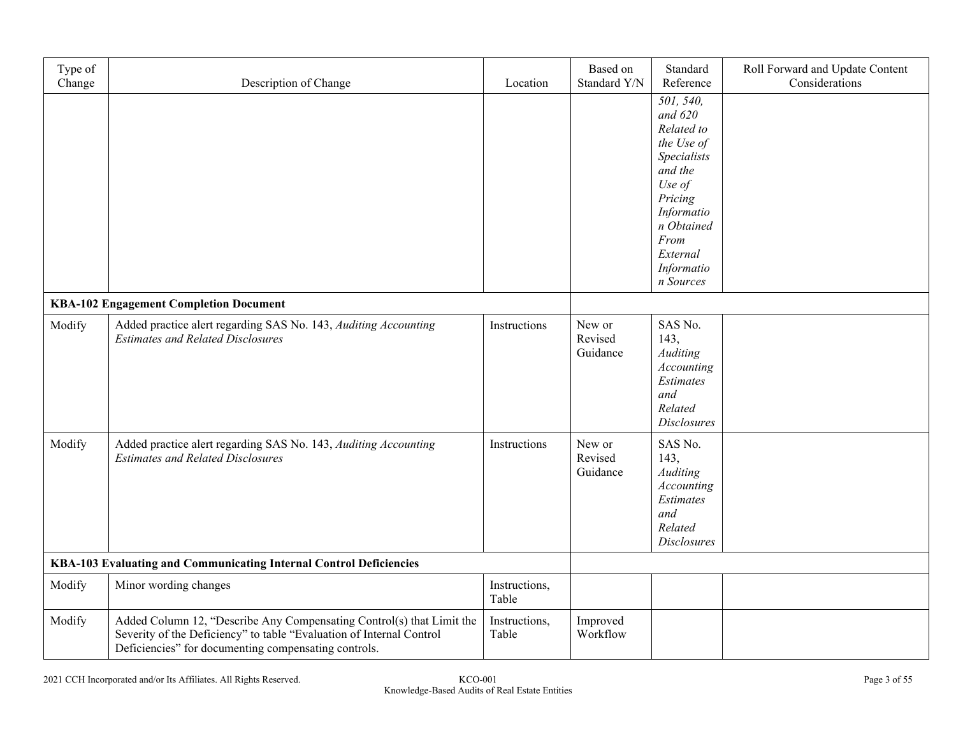| Type of<br>Change                                                  | Description of Change                                                                                                                                                                                 | Location               | Based on<br>Standard Y/N      | Standard<br>Reference                                                                                                                                                        | Roll Forward and Update Content<br>Considerations |
|--------------------------------------------------------------------|-------------------------------------------------------------------------------------------------------------------------------------------------------------------------------------------------------|------------------------|-------------------------------|------------------------------------------------------------------------------------------------------------------------------------------------------------------------------|---------------------------------------------------|
|                                                                    |                                                                                                                                                                                                       |                        |                               | 501, 540,<br>and $620$<br>Related to<br>the Use of<br>Specialists<br>and the<br>Use of<br>Pricing<br>Informatio<br>n Obtained<br>From<br>External<br>Informatio<br>n Sources |                                                   |
|                                                                    | <b>KBA-102 Engagement Completion Document</b>                                                                                                                                                         |                        |                               |                                                                                                                                                                              |                                                   |
| Modify                                                             | Added practice alert regarding SAS No. 143, Auditing Accounting<br><b>Estimates and Related Disclosures</b>                                                                                           | Instructions           | New or<br>Revised<br>Guidance | SAS No.<br>143,<br><b>Auditing</b><br>Accounting<br>Estimates<br>and<br>Related<br><b>Disclosures</b>                                                                        |                                                   |
| Modify                                                             | Added practice alert regarding SAS No. 143, Auditing Accounting<br><b>Estimates and Related Disclosures</b>                                                                                           | Instructions           | New or<br>Revised<br>Guidance | SAS No.<br>143,<br>Auditing<br>Accounting<br>Estimates<br>and<br>Related<br><b>Disclosures</b>                                                                               |                                                   |
| KBA-103 Evaluating and Communicating Internal Control Deficiencies |                                                                                                                                                                                                       |                        |                               |                                                                                                                                                                              |                                                   |
| Modify                                                             | Minor wording changes                                                                                                                                                                                 | Instructions,<br>Table |                               |                                                                                                                                                                              |                                                   |
| Modify                                                             | Added Column 12, "Describe Any Compensating Control(s) that Limit the<br>Severity of the Deficiency" to table "Evaluation of Internal Control<br>Deficiencies" for documenting compensating controls. | Instructions,<br>Table | Improved<br>Workflow          |                                                                                                                                                                              |                                                   |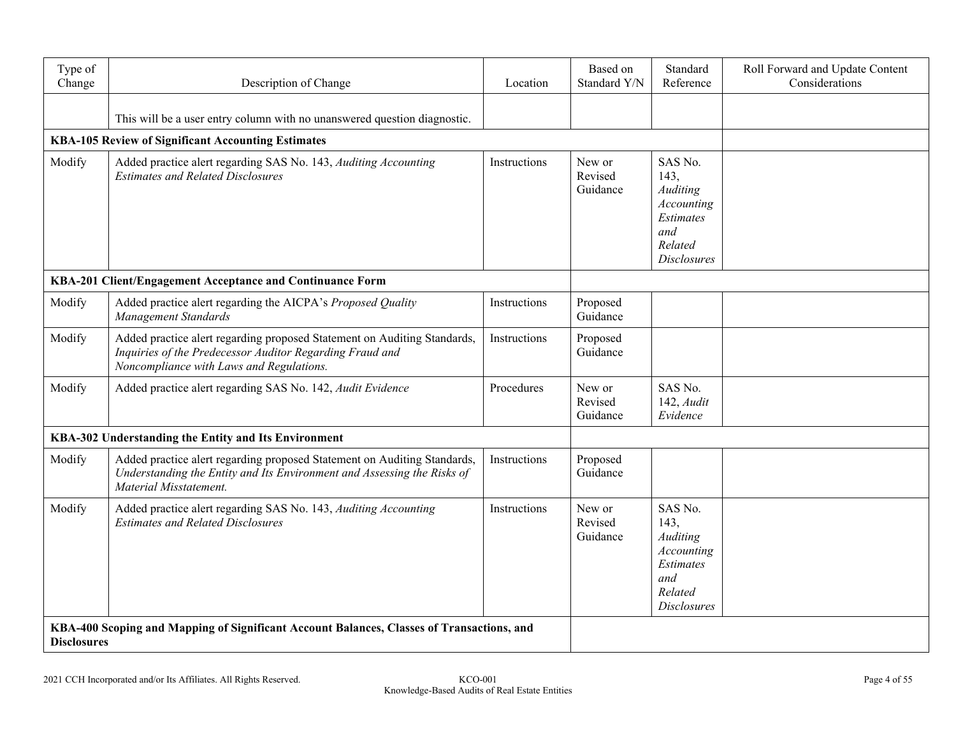| Type of<br>Change  | Description of Change                                                                                                                                                            | Location     | Based on<br>Standard Y/N      | Standard<br>Reference                                                                          | Roll Forward and Update Content<br>Considerations |
|--------------------|----------------------------------------------------------------------------------------------------------------------------------------------------------------------------------|--------------|-------------------------------|------------------------------------------------------------------------------------------------|---------------------------------------------------|
|                    | This will be a user entry column with no unanswered question diagnostic.                                                                                                         |              |                               |                                                                                                |                                                   |
|                    | KBA-105 Review of Significant Accounting Estimates                                                                                                                               |              |                               |                                                                                                |                                                   |
| Modify             | Added practice alert regarding SAS No. 143, Auditing Accounting<br><b>Estimates and Related Disclosures</b>                                                                      | Instructions | New or<br>Revised<br>Guidance | SAS No.<br>143,<br>Auditing<br>Accounting<br>Estimates<br>and<br>Related<br><b>Disclosures</b> |                                                   |
|                    | KBA-201 Client/Engagement Acceptance and Continuance Form                                                                                                                        |              |                               |                                                                                                |                                                   |
| Modify             | Added practice alert regarding the AICPA's Proposed Quality<br>Management Standards                                                                                              | Instructions | Proposed<br>Guidance          |                                                                                                |                                                   |
| Modify             | Added practice alert regarding proposed Statement on Auditing Standards,<br>Inquiries of the Predecessor Auditor Regarding Fraud and<br>Noncompliance with Laws and Regulations. | Instructions | Proposed<br>Guidance          |                                                                                                |                                                   |
| Modify             | Added practice alert regarding SAS No. 142, Audit Evidence                                                                                                                       | Procedures   | New or<br>Revised<br>Guidance | SAS No.<br>$142$ , $Audit$<br>Evidence                                                         |                                                   |
|                    | KBA-302 Understanding the Entity and Its Environment                                                                                                                             |              |                               |                                                                                                |                                                   |
| Modify             | Added practice alert regarding proposed Statement on Auditing Standards,<br>Understanding the Entity and Its Environment and Assessing the Risks of<br>Material Misstatement.    | Instructions | Proposed<br>Guidance          |                                                                                                |                                                   |
| Modify             | Added practice alert regarding SAS No. 143, Auditing Accounting<br><b>Estimates and Related Disclosures</b>                                                                      | Instructions | New or<br>Revised<br>Guidance | SAS No.<br>143,<br>Auditing<br>Accounting<br>Estimates<br>and<br>Related<br><b>Disclosures</b> |                                                   |
| <b>Disclosures</b> | KBA-400 Scoping and Mapping of Significant Account Balances, Classes of Transactions, and                                                                                        |              |                               |                                                                                                |                                                   |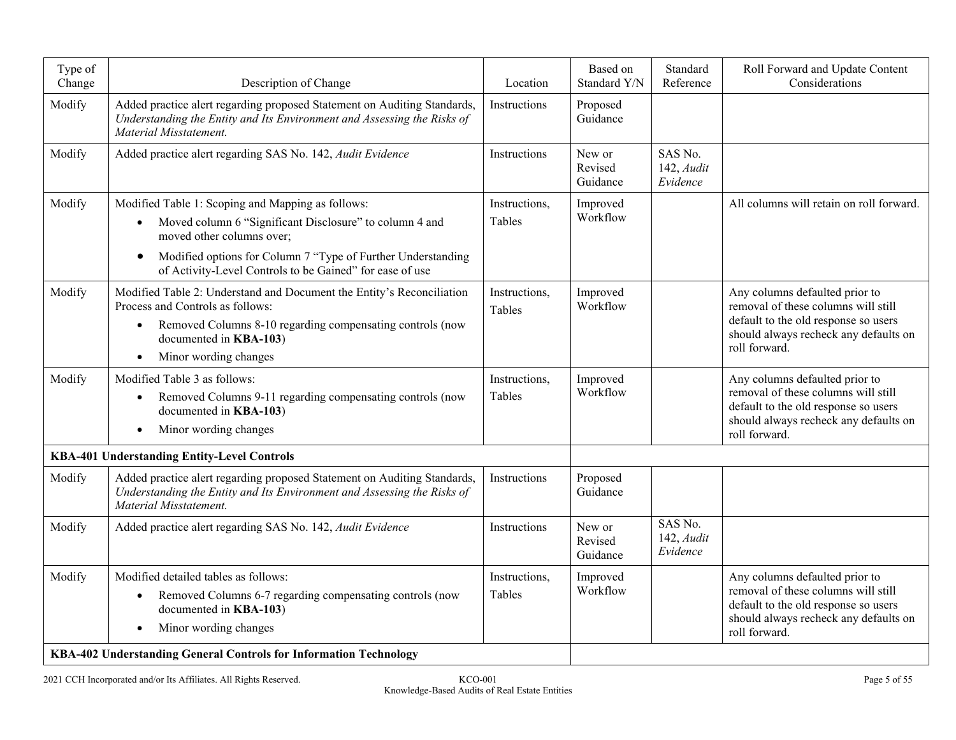| Type of<br>Change | Description of Change                                                                                                                                                                                                                                                                           | Location                       | Based on<br>Standard Y/N      | Standard<br>Reference                  | Roll Forward and Update Content<br>Considerations                                                                                                                       |
|-------------------|-------------------------------------------------------------------------------------------------------------------------------------------------------------------------------------------------------------------------------------------------------------------------------------------------|--------------------------------|-------------------------------|----------------------------------------|-------------------------------------------------------------------------------------------------------------------------------------------------------------------------|
| Modify            | Added practice alert regarding proposed Statement on Auditing Standards,<br>Understanding the Entity and Its Environment and Assessing the Risks of<br>Material Misstatement.                                                                                                                   | Instructions                   | Proposed<br>Guidance          |                                        |                                                                                                                                                                         |
| Modify            | Added practice alert regarding SAS No. 142, Audit Evidence                                                                                                                                                                                                                                      | Instructions                   | New or<br>Revised<br>Guidance | SAS No.<br>142, Audit<br>Evidence      |                                                                                                                                                                         |
| Modify            | Modified Table 1: Scoping and Mapping as follows:<br>Moved column 6 "Significant Disclosure" to column 4 and<br>$\bullet$<br>moved other columns over;<br>Modified options for Column 7 "Type of Further Understanding<br>$\bullet$<br>of Activity-Level Controls to be Gained" for ease of use | Instructions,<br>Tables        | Improved<br>Workflow          |                                        | All columns will retain on roll forward.                                                                                                                                |
| Modify            | Modified Table 2: Understand and Document the Entity's Reconciliation<br>Process and Controls as follows:<br>Removed Columns 8-10 regarding compensating controls (now<br>$\bullet$<br>documented in KBA-103)<br>Minor wording changes<br>$\bullet$                                             | Instructions,<br>Tables        | Improved<br>Workflow          |                                        | Any columns defaulted prior to<br>removal of these columns will still<br>default to the old response so users<br>should always recheck any defaults on<br>roll forward. |
| Modify            | Modified Table 3 as follows:<br>Removed Columns 9-11 regarding compensating controls (now<br>$\bullet$<br>documented in KBA-103)<br>Minor wording changes                                                                                                                                       | Instructions,<br><b>Tables</b> | Improved<br>Workflow          |                                        | Any columns defaulted prior to<br>removal of these columns will still<br>default to the old response so users<br>should always recheck any defaults on<br>roll forward. |
|                   | KBA-401 Understanding Entity-Level Controls                                                                                                                                                                                                                                                     |                                |                               |                                        |                                                                                                                                                                         |
| Modify            | Added practice alert regarding proposed Statement on Auditing Standards,<br>Understanding the Entity and Its Environment and Assessing the Risks of<br>Material Misstatement.                                                                                                                   | Instructions                   | Proposed<br>Guidance          |                                        |                                                                                                                                                                         |
| Modify            | Added practice alert regarding SAS No. 142, Audit Evidence                                                                                                                                                                                                                                      | Instructions                   | New or<br>Revised<br>Guidance | SAS No.<br>$142$ , $Audit$<br>Evidence |                                                                                                                                                                         |
| Modify            | Modified detailed tables as follows:<br>Removed Columns 6-7 regarding compensating controls (now<br>$\bullet$<br>documented in KBA-103)<br>Minor wording changes<br>$\bullet$<br>KBA-402 Understanding General Controls for Information Technology                                              | Instructions,<br>Tables        | Improved<br>Workflow          |                                        | Any columns defaulted prior to<br>removal of these columns will still<br>default to the old response so users<br>should always recheck any defaults on<br>roll forward. |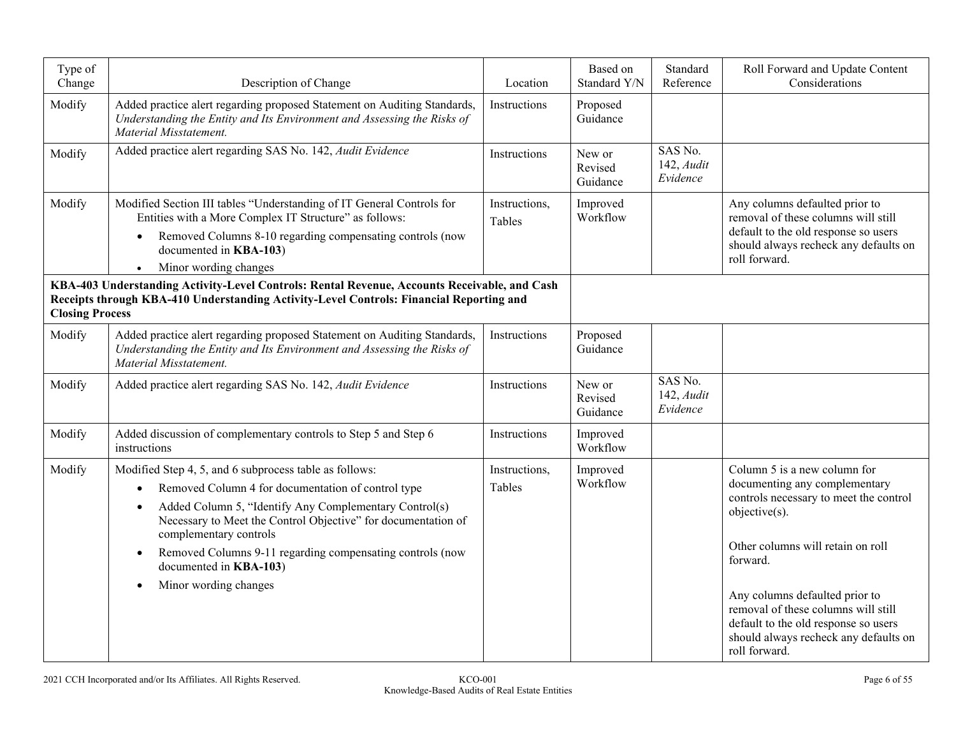| Type of<br>Change      | Description of Change                                                                                                                                                                                                                                                                                                                                                             | Location                | Based on<br>Standard Y/N      | Standard<br>Reference                | Roll Forward and Update Content<br>Considerations                                                                                                                                                                                                                                                                                                    |
|------------------------|-----------------------------------------------------------------------------------------------------------------------------------------------------------------------------------------------------------------------------------------------------------------------------------------------------------------------------------------------------------------------------------|-------------------------|-------------------------------|--------------------------------------|------------------------------------------------------------------------------------------------------------------------------------------------------------------------------------------------------------------------------------------------------------------------------------------------------------------------------------------------------|
| Modify                 | Added practice alert regarding proposed Statement on Auditing Standards,<br>Understanding the Entity and Its Environment and Assessing the Risks of<br>Material Misstatement.                                                                                                                                                                                                     | Instructions            | Proposed<br>Guidance          |                                      |                                                                                                                                                                                                                                                                                                                                                      |
| Modify                 | Added practice alert regarding SAS No. 142, Audit Evidence                                                                                                                                                                                                                                                                                                                        | Instructions            | New or<br>Revised<br>Guidance | SAS No.<br>$142$ , Audit<br>Evidence |                                                                                                                                                                                                                                                                                                                                                      |
| Modify                 | Modified Section III tables "Understanding of IT General Controls for<br>Entities with a More Complex IT Structure" as follows:<br>Removed Columns 8-10 regarding compensating controls (now<br>$\bullet$<br>documented in KBA-103)                                                                                                                                               | Instructions,<br>Tables | Improved<br>Workflow          |                                      | Any columns defaulted prior to<br>removal of these columns will still<br>default to the old response so users<br>should always recheck any defaults on                                                                                                                                                                                               |
|                        | Minor wording changes                                                                                                                                                                                                                                                                                                                                                             |                         |                               |                                      | roll forward.                                                                                                                                                                                                                                                                                                                                        |
| <b>Closing Process</b> | KBA-403 Understanding Activity-Level Controls: Rental Revenue, Accounts Receivable, and Cash<br>Receipts through KBA-410 Understanding Activity-Level Controls: Financial Reporting and                                                                                                                                                                                           |                         |                               |                                      |                                                                                                                                                                                                                                                                                                                                                      |
| Modify                 | Added practice alert regarding proposed Statement on Auditing Standards,<br>Understanding the Entity and Its Environment and Assessing the Risks of<br>Material Misstatement.                                                                                                                                                                                                     | Instructions            | Proposed<br>Guidance          |                                      |                                                                                                                                                                                                                                                                                                                                                      |
| Modify                 | Added practice alert regarding SAS No. 142, Audit Evidence                                                                                                                                                                                                                                                                                                                        | Instructions            | New or<br>Revised<br>Guidance | SAS No.<br>$142$ , Audit<br>Evidence |                                                                                                                                                                                                                                                                                                                                                      |
| Modify                 | Added discussion of complementary controls to Step 5 and Step 6<br>instructions                                                                                                                                                                                                                                                                                                   | Instructions            | Improved<br>Workflow          |                                      |                                                                                                                                                                                                                                                                                                                                                      |
| Modify                 | Modified Step 4, 5, and 6 subprocess table as follows:<br>Removed Column 4 for documentation of control type<br>Added Column 5, "Identify Any Complementary Control(s)<br>Necessary to Meet the Control Objective" for documentation of<br>complementary controls<br>Removed Columns 9-11 regarding compensating controls (now<br>documented in KBA-103)<br>Minor wording changes | Instructions,<br>Tables | Improved<br>Workflow          |                                      | Column 5 is a new column for<br>documenting any complementary<br>controls necessary to meet the control<br>objective(s).<br>Other columns will retain on roll<br>forward.<br>Any columns defaulted prior to<br>removal of these columns will still<br>default to the old response so users<br>should always recheck any defaults on<br>roll forward. |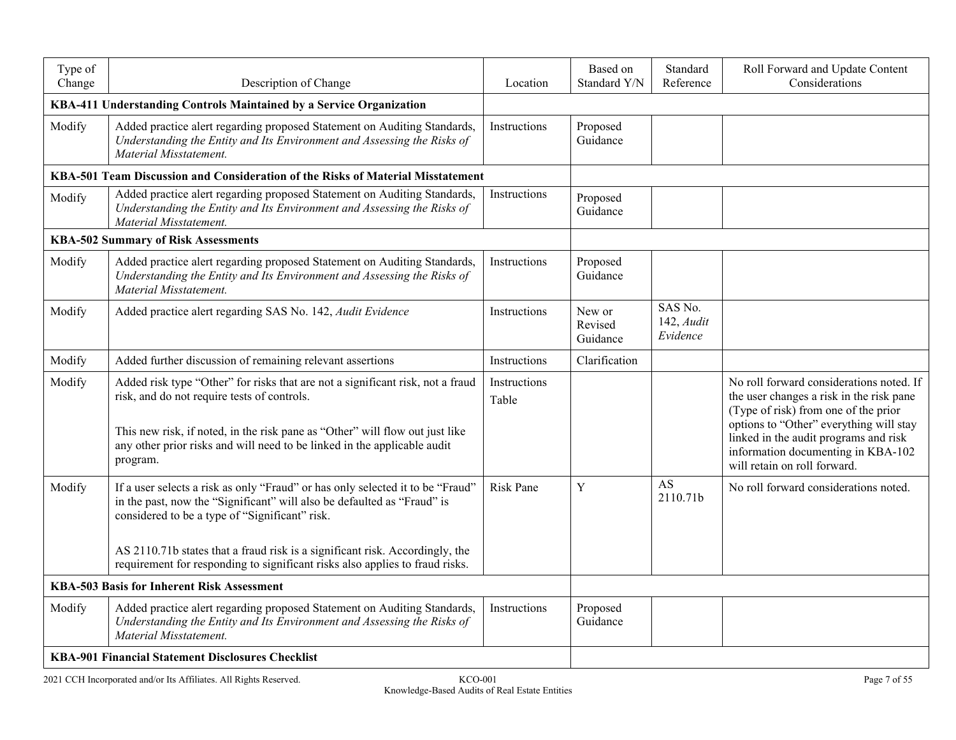| Type of<br>Change                                 | Description of Change                                                                                                                                                                                                                                                                                                                                                       | Location              | Based on<br>Standard Y/N      | Standard<br>Reference                | Roll Forward and Update Content<br>Considerations                                                                                                                                                                                                                                      |
|---------------------------------------------------|-----------------------------------------------------------------------------------------------------------------------------------------------------------------------------------------------------------------------------------------------------------------------------------------------------------------------------------------------------------------------------|-----------------------|-------------------------------|--------------------------------------|----------------------------------------------------------------------------------------------------------------------------------------------------------------------------------------------------------------------------------------------------------------------------------------|
|                                                   | KBA-411 Understanding Controls Maintained by a Service Organization                                                                                                                                                                                                                                                                                                         |                       |                               |                                      |                                                                                                                                                                                                                                                                                        |
| Modify                                            | Added practice alert regarding proposed Statement on Auditing Standards,<br>Understanding the Entity and Its Environment and Assessing the Risks of<br>Material Misstatement.                                                                                                                                                                                               | Instructions          | Proposed<br>Guidance          |                                      |                                                                                                                                                                                                                                                                                        |
|                                                   | KBA-501 Team Discussion and Consideration of the Risks of Material Misstatement                                                                                                                                                                                                                                                                                             |                       |                               |                                      |                                                                                                                                                                                                                                                                                        |
| Modify                                            | Added practice alert regarding proposed Statement on Auditing Standards,<br>Understanding the Entity and Its Environment and Assessing the Risks of<br>Material Misstatement.                                                                                                                                                                                               | Instructions          | Proposed<br>Guidance          |                                      |                                                                                                                                                                                                                                                                                        |
|                                                   | <b>KBA-502 Summary of Risk Assessments</b>                                                                                                                                                                                                                                                                                                                                  |                       |                               |                                      |                                                                                                                                                                                                                                                                                        |
| Modify                                            | Added practice alert regarding proposed Statement on Auditing Standards,<br>Understanding the Entity and Its Environment and Assessing the Risks of<br>Material Misstatement.                                                                                                                                                                                               | Instructions          | Proposed<br>Guidance          |                                      |                                                                                                                                                                                                                                                                                        |
| Modify                                            | Added practice alert regarding SAS No. 142, Audit Evidence                                                                                                                                                                                                                                                                                                                  | Instructions          | New or<br>Revised<br>Guidance | SAS No.<br>$142$ , Audit<br>Evidence |                                                                                                                                                                                                                                                                                        |
| Modify                                            | Added further discussion of remaining relevant assertions                                                                                                                                                                                                                                                                                                                   | Instructions          | Clarification                 |                                      |                                                                                                                                                                                                                                                                                        |
| Modify                                            | Added risk type "Other" for risks that are not a significant risk, not a fraud<br>risk, and do not require tests of controls.<br>This new risk, if noted, in the risk pane as "Other" will flow out just like<br>any other prior risks and will need to be linked in the applicable audit<br>program.                                                                       | Instructions<br>Table |                               |                                      | No roll forward considerations noted. If<br>the user changes a risk in the risk pane<br>(Type of risk) from one of the prior<br>options to "Other" everything will stay<br>linked in the audit programs and risk<br>information documenting in KBA-102<br>will retain on roll forward. |
| Modify                                            | If a user selects a risk as only "Fraud" or has only selected it to be "Fraud"<br>in the past, now the "Significant" will also be defaulted as "Fraud" is<br>considered to be a type of "Significant" risk.<br>AS 2110.71b states that a fraud risk is a significant risk. Accordingly, the<br>requirement for responding to significant risks also applies to fraud risks. | <b>Risk Pane</b>      | Y                             | <b>AS</b><br>2110.71b                | No roll forward considerations noted.                                                                                                                                                                                                                                                  |
| <b>KBA-503 Basis for Inherent Risk Assessment</b> |                                                                                                                                                                                                                                                                                                                                                                             |                       |                               |                                      |                                                                                                                                                                                                                                                                                        |
| Modify                                            | Added practice alert regarding proposed Statement on Auditing Standards,<br>Understanding the Entity and Its Environment and Assessing the Risks of<br>Material Misstatement.                                                                                                                                                                                               | Instructions          | Proposed<br>Guidance          |                                      |                                                                                                                                                                                                                                                                                        |
|                                                   | KBA-901 Financial Statement Disclosures Checklist                                                                                                                                                                                                                                                                                                                           |                       |                               |                                      |                                                                                                                                                                                                                                                                                        |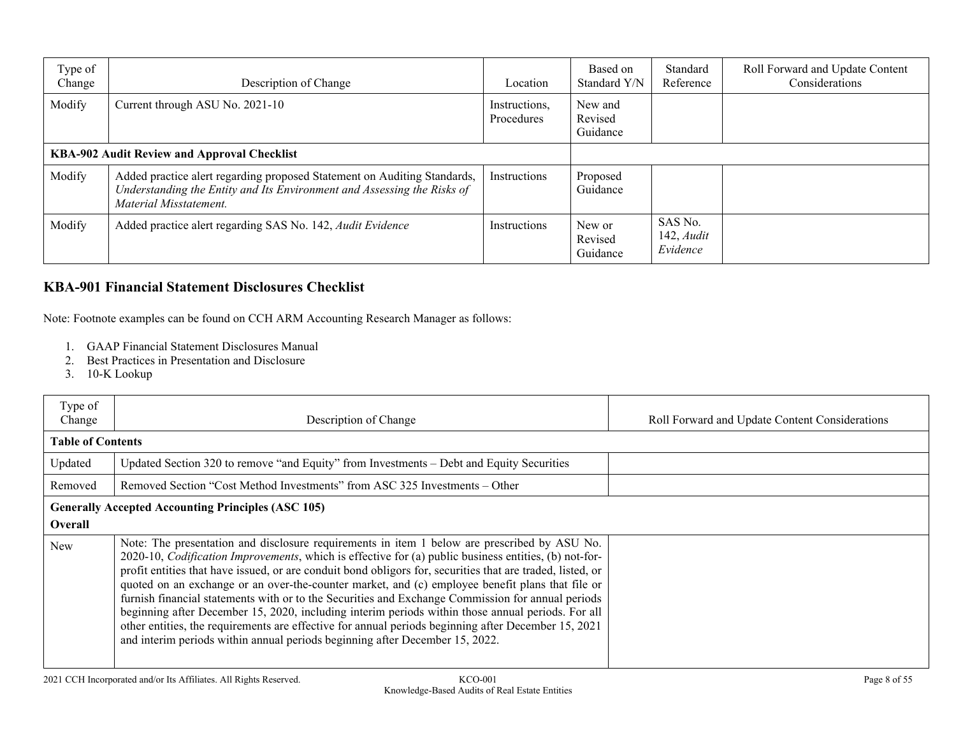| Type of<br>Change | Description of Change                                                                                                                                                         | Location                    | Based on<br>Standard Y/N       | Standard<br>Reference                       | Roll Forward and Update Content<br>Considerations |
|-------------------|-------------------------------------------------------------------------------------------------------------------------------------------------------------------------------|-----------------------------|--------------------------------|---------------------------------------------|---------------------------------------------------|
| Modify            | Current through ASU No. 2021-10                                                                                                                                               | Instructions,<br>Procedures | New and<br>Revised<br>Guidance |                                             |                                                   |
|                   | <b>KBA-902 Audit Review and Approval Checklist</b>                                                                                                                            |                             |                                |                                             |                                                   |
| Modify            | Added practice alert regarding proposed Statement on Auditing Standards,<br>Understanding the Entity and Its Environment and Assessing the Risks of<br>Material Misstatement. | Instructions                | Proposed<br>Guidance           |                                             |                                                   |
| Modify            | Added practice alert regarding SAS No. 142, Audit Evidence                                                                                                                    | Instructions                | New or<br>Revised<br>Guidance  | SAS No.<br>$142$ , <i>Audit</i><br>Evidence |                                                   |

## **KBA-901 Financial Statement Disclosures Checklist**

Note: Footnote examples can be found on CCH ARM Accounting Research Manager as follows:

- 1. GAAP Financial Statement Disclosures Manual
- 2. Best Practices in Presentation and Disclosure
- 3. 10-K Lookup

| Type of<br>Change        | Description of Change                                                                                                                                                                                                                                                                                                                                                                                                                                                                                                                                                                                                                                                                                                                                                                                                            | Roll Forward and Update Content Considerations |
|--------------------------|----------------------------------------------------------------------------------------------------------------------------------------------------------------------------------------------------------------------------------------------------------------------------------------------------------------------------------------------------------------------------------------------------------------------------------------------------------------------------------------------------------------------------------------------------------------------------------------------------------------------------------------------------------------------------------------------------------------------------------------------------------------------------------------------------------------------------------|------------------------------------------------|
| <b>Table of Contents</b> |                                                                                                                                                                                                                                                                                                                                                                                                                                                                                                                                                                                                                                                                                                                                                                                                                                  |                                                |
| Updated                  | Updated Section 320 to remove "and Equity" from Investments – Debt and Equity Securities                                                                                                                                                                                                                                                                                                                                                                                                                                                                                                                                                                                                                                                                                                                                         |                                                |
| Removed                  | Removed Section "Cost Method Investments" from ASC 325 Investments – Other                                                                                                                                                                                                                                                                                                                                                                                                                                                                                                                                                                                                                                                                                                                                                       |                                                |
| <b>Overall</b>           | <b>Generally Accepted Accounting Principles (ASC 105)</b>                                                                                                                                                                                                                                                                                                                                                                                                                                                                                                                                                                                                                                                                                                                                                                        |                                                |
| New                      | Note: The presentation and disclosure requirements in item 1 below are prescribed by ASU No.<br>2020-10, <i>Codification Improvements</i> , which is effective for (a) public business entities, (b) not-for-<br>profit entities that have issued, or are conduit bond obligors for, securities that are traded, listed, or<br>quoted on an exchange or an over-the-counter market, and (c) employee benefit plans that file or<br>furnish financial statements with or to the Securities and Exchange Commission for annual periods<br>beginning after December 15, 2020, including interim periods within those annual periods. For all<br>other entities, the requirements are effective for annual periods beginning after December 15, 2021<br>and interim periods within annual periods beginning after December 15, 2022. |                                                |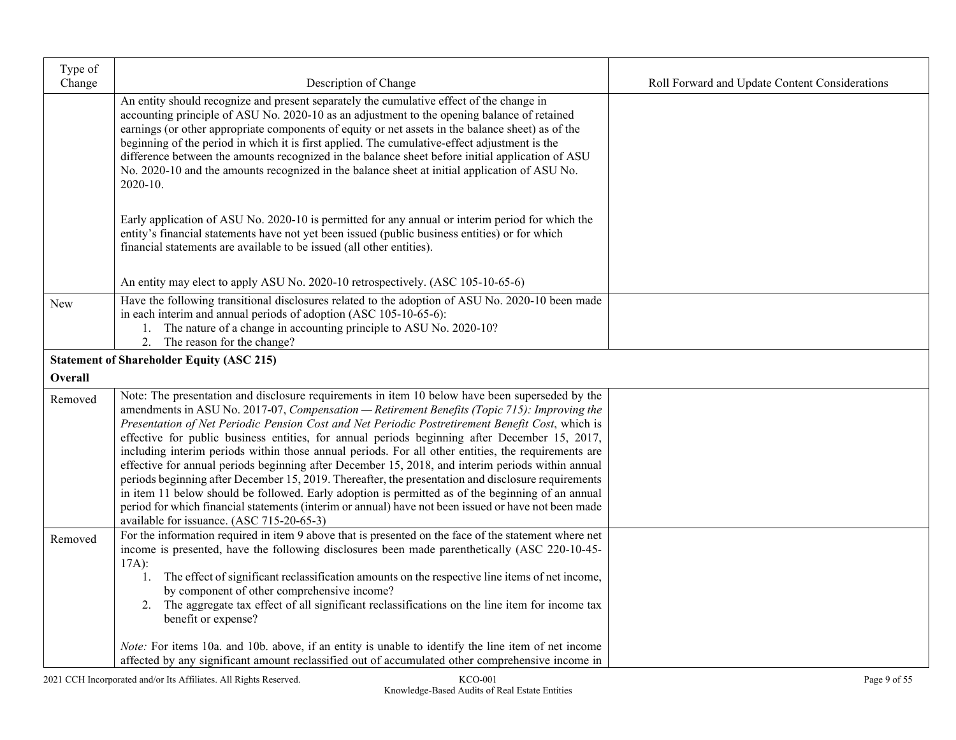| Type of<br>Change | Description of Change                                                                                                                                                                                                                                                                                                                                                                                                                                                                                                                                                                                                                                                                                                                                                                                                                                                                                                                                                             | Roll Forward and Update Content Considerations |
|-------------------|-----------------------------------------------------------------------------------------------------------------------------------------------------------------------------------------------------------------------------------------------------------------------------------------------------------------------------------------------------------------------------------------------------------------------------------------------------------------------------------------------------------------------------------------------------------------------------------------------------------------------------------------------------------------------------------------------------------------------------------------------------------------------------------------------------------------------------------------------------------------------------------------------------------------------------------------------------------------------------------|------------------------------------------------|
|                   | An entity should recognize and present separately the cumulative effect of the change in<br>accounting principle of ASU No. 2020-10 as an adjustment to the opening balance of retained<br>earnings (or other appropriate components of equity or net assets in the balance sheet) as of the<br>beginning of the period in which it is first applied. The cumulative-effect adjustment is the<br>difference between the amounts recognized in the balance sheet before initial application of ASU<br>No. 2020-10 and the amounts recognized in the balance sheet at initial application of ASU No.<br>2020-10.                                                                                                                                                                                                                                                                                                                                                                    |                                                |
|                   | Early application of ASU No. 2020-10 is permitted for any annual or interim period for which the<br>entity's financial statements have not yet been issued (public business entities) or for which<br>financial statements are available to be issued (all other entities).                                                                                                                                                                                                                                                                                                                                                                                                                                                                                                                                                                                                                                                                                                       |                                                |
|                   | An entity may elect to apply ASU No. 2020-10 retrospectively. (ASC 105-10-65-6)                                                                                                                                                                                                                                                                                                                                                                                                                                                                                                                                                                                                                                                                                                                                                                                                                                                                                                   |                                                |
| New               | Have the following transitional disclosures related to the adoption of ASU No. 2020-10 been made<br>in each interim and annual periods of adoption (ASC 105-10-65-6):<br>1. The nature of a change in accounting principle to ASU No. 2020-10?<br>The reason for the change?<br>2.                                                                                                                                                                                                                                                                                                                                                                                                                                                                                                                                                                                                                                                                                                |                                                |
|                   | <b>Statement of Shareholder Equity (ASC 215)</b>                                                                                                                                                                                                                                                                                                                                                                                                                                                                                                                                                                                                                                                                                                                                                                                                                                                                                                                                  |                                                |
| Overall           |                                                                                                                                                                                                                                                                                                                                                                                                                                                                                                                                                                                                                                                                                                                                                                                                                                                                                                                                                                                   |                                                |
| Removed           | Note: The presentation and disclosure requirements in item 10 below have been superseded by the<br>amendments in ASU No. 2017-07, Compensation - Retirement Benefits (Topic 715): Improving the<br>Presentation of Net Periodic Pension Cost and Net Periodic Postretirement Benefit Cost, which is<br>effective for public business entities, for annual periods beginning after December 15, 2017,<br>including interim periods within those annual periods. For all other entities, the requirements are<br>effective for annual periods beginning after December 15, 2018, and interim periods within annual<br>periods beginning after December 15, 2019. Thereafter, the presentation and disclosure requirements<br>in item 11 below should be followed. Early adoption is permitted as of the beginning of an annual<br>period for which financial statements (interim or annual) have not been issued or have not been made<br>available for issuance. (ASC 715-20-65-3) |                                                |
| Removed           | For the information required in item 9 above that is presented on the face of the statement where net<br>income is presented, have the following disclosures been made parenthetically (ASC 220-10-45-<br>$17A)$ :<br>1. The effect of significant reclassification amounts on the respective line items of net income,<br>by component of other comprehensive income?<br>The aggregate tax effect of all significant reclassifications on the line item for income tax<br>2.<br>benefit or expense?<br><i>Note:</i> For items 10a. and 10b. above, if an entity is unable to identify the line item of net income<br>affected by any significant amount reclassified out of accumulated other comprehensive income in                                                                                                                                                                                                                                                            |                                                |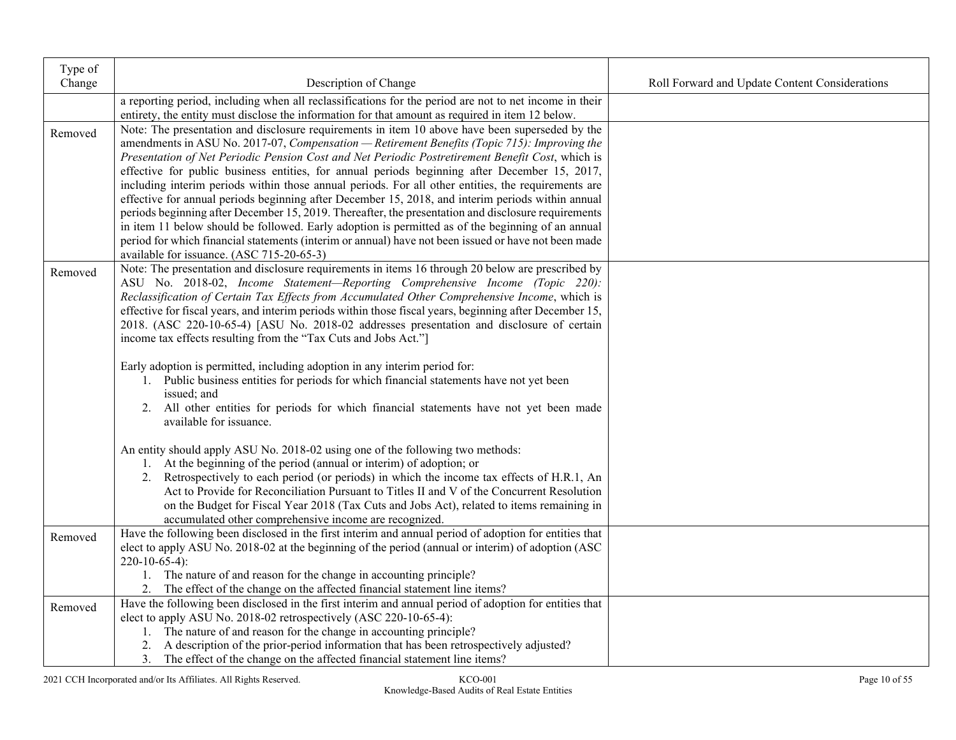| Type of |                                                                                                                                                                                                      |                                                |
|---------|------------------------------------------------------------------------------------------------------------------------------------------------------------------------------------------------------|------------------------------------------------|
| Change  | Description of Change                                                                                                                                                                                | Roll Forward and Update Content Considerations |
|         | a reporting period, including when all reclassifications for the period are not to net income in their                                                                                               |                                                |
|         | entirety, the entity must disclose the information for that amount as required in item 12 below.                                                                                                     |                                                |
| Removed | Note: The presentation and disclosure requirements in item 10 above have been superseded by the                                                                                                      |                                                |
|         | amendments in ASU No. 2017-07, Compensation - Retirement Benefits (Topic 715): Improving the                                                                                                         |                                                |
|         | Presentation of Net Periodic Pension Cost and Net Periodic Postretirement Benefit Cost, which is                                                                                                     |                                                |
|         | effective for public business entities, for annual periods beginning after December 15, 2017,<br>including interim periods within those annual periods. For all other entities, the requirements are |                                                |
|         | effective for annual periods beginning after December 15, 2018, and interim periods within annual                                                                                                    |                                                |
|         | periods beginning after December 15, 2019. Thereafter, the presentation and disclosure requirements                                                                                                  |                                                |
|         | in item 11 below should be followed. Early adoption is permitted as of the beginning of an annual                                                                                                    |                                                |
|         | period for which financial statements (interim or annual) have not been issued or have not been made                                                                                                 |                                                |
|         | available for issuance. (ASC 715-20-65-3)                                                                                                                                                            |                                                |
| Removed | Note: The presentation and disclosure requirements in items 16 through 20 below are prescribed by                                                                                                    |                                                |
|         | ASU No. 2018-02, Income Statement-Reporting Comprehensive Income (Topic 220):                                                                                                                        |                                                |
|         | Reclassification of Certain Tax Effects from Accumulated Other Comprehensive Income, which is                                                                                                        |                                                |
|         | effective for fiscal years, and interim periods within those fiscal years, beginning after December 15,                                                                                              |                                                |
|         | 2018. (ASC 220-10-65-4) [ASU No. 2018-02 addresses presentation and disclosure of certain                                                                                                            |                                                |
|         | income tax effects resulting from the "Tax Cuts and Jobs Act."]                                                                                                                                      |                                                |
|         | Early adoption is permitted, including adoption in any interim period for:                                                                                                                           |                                                |
|         | 1. Public business entities for periods for which financial statements have not yet been                                                                                                             |                                                |
|         | issued; and                                                                                                                                                                                          |                                                |
|         | 2. All other entities for periods for which financial statements have not yet been made                                                                                                              |                                                |
|         | available for issuance.                                                                                                                                                                              |                                                |
|         |                                                                                                                                                                                                      |                                                |
|         | An entity should apply ASU No. 2018-02 using one of the following two methods:                                                                                                                       |                                                |
|         | 1. At the beginning of the period (annual or interim) of adoption; or                                                                                                                                |                                                |
|         | 2. Retrospectively to each period (or periods) in which the income tax effects of H.R.1, An<br>Act to Provide for Reconciliation Pursuant to Titles II and V of the Concurrent Resolution            |                                                |
|         | on the Budget for Fiscal Year 2018 (Tax Cuts and Jobs Act), related to items remaining in                                                                                                            |                                                |
|         | accumulated other comprehensive income are recognized.                                                                                                                                               |                                                |
| Removed | Have the following been disclosed in the first interim and annual period of adoption for entities that                                                                                               |                                                |
|         | elect to apply ASU No. 2018-02 at the beginning of the period (annual or interim) of adoption (ASC                                                                                                   |                                                |
|         | $220-10-65-4$ :                                                                                                                                                                                      |                                                |
|         | 1. The nature of and reason for the change in accounting principle?                                                                                                                                  |                                                |
|         | 2. The effect of the change on the affected financial statement line items?                                                                                                                          |                                                |
| Removed | Have the following been disclosed in the first interim and annual period of adoption for entities that                                                                                               |                                                |
|         | elect to apply ASU No. 2018-02 retrospectively (ASC 220-10-65-4):                                                                                                                                    |                                                |
|         | 1. The nature of and reason for the change in accounting principle?                                                                                                                                  |                                                |
|         | 2. A description of the prior-period information that has been retrospectively adjusted?                                                                                                             |                                                |
|         | 3. The effect of the change on the affected financial statement line items?                                                                                                                          |                                                |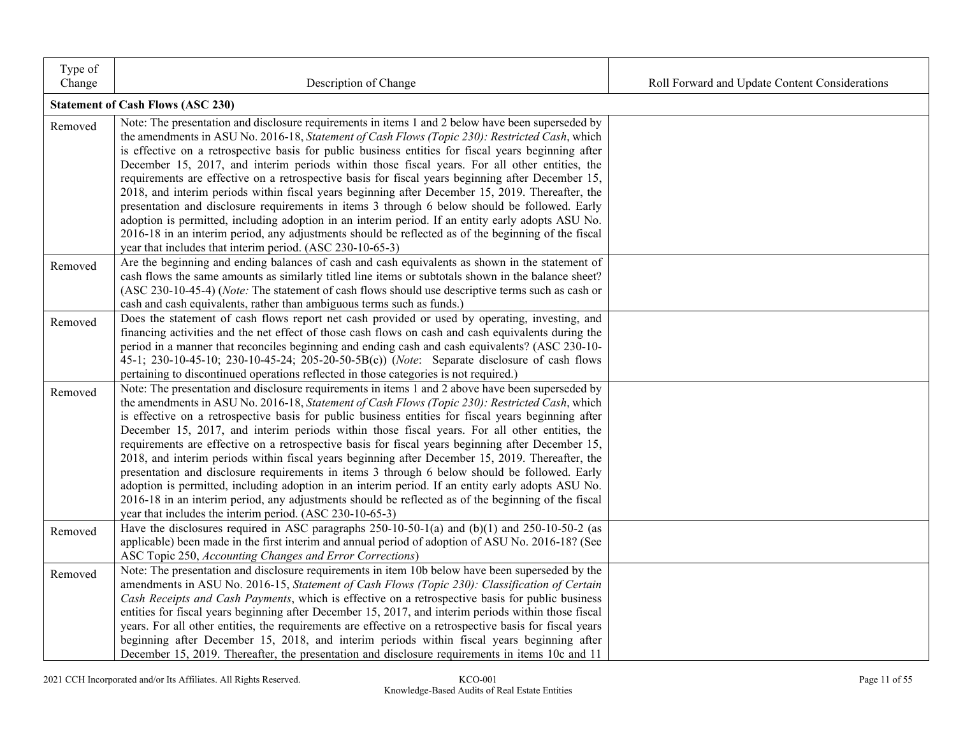| Type of<br>Change | Description of Change                                                                                                                                                                                 | Roll Forward and Update Content Considerations |
|-------------------|-------------------------------------------------------------------------------------------------------------------------------------------------------------------------------------------------------|------------------------------------------------|
|                   | <b>Statement of Cash Flows (ASC 230)</b>                                                                                                                                                              |                                                |
|                   |                                                                                                                                                                                                       |                                                |
| Removed           | Note: The presentation and disclosure requirements in items 1 and 2 below have been superseded by<br>the amendments in ASU No. 2016-18, Statement of Cash Flows (Topic 230): Restricted Cash, which   |                                                |
|                   | is effective on a retrospective basis for public business entities for fiscal years beginning after                                                                                                   |                                                |
|                   | December 15, 2017, and interim periods within those fiscal years. For all other entities, the                                                                                                         |                                                |
|                   | requirements are effective on a retrospective basis for fiscal years beginning after December 15,                                                                                                     |                                                |
|                   | 2018, and interim periods within fiscal years beginning after December 15, 2019. Thereafter, the                                                                                                      |                                                |
|                   | presentation and disclosure requirements in items 3 through 6 below should be followed. Early                                                                                                         |                                                |
|                   | adoption is permitted, including adoption in an interim period. If an entity early adopts ASU No.                                                                                                     |                                                |
|                   | 2016-18 in an interim period, any adjustments should be reflected as of the beginning of the fiscal                                                                                                   |                                                |
|                   | year that includes that interim period. (ASC 230-10-65-3)                                                                                                                                             |                                                |
| Removed           | Are the beginning and ending balances of cash and cash equivalents as shown in the statement of                                                                                                       |                                                |
|                   | cash flows the same amounts as similarly titled line items or subtotals shown in the balance sheet?                                                                                                   |                                                |
|                   | (ASC 230-10-45-4) (Note: The statement of cash flows should use descriptive terms such as cash or<br>cash and cash equivalents, rather than ambiguous terms such as funds.)                           |                                                |
|                   | Does the statement of cash flows report net cash provided or used by operating, investing, and                                                                                                        |                                                |
| Removed           | financing activities and the net effect of those cash flows on cash and cash equivalents during the                                                                                                   |                                                |
|                   | period in a manner that reconciles beginning and ending cash and cash equivalents? (ASC 230-10-                                                                                                       |                                                |
|                   | 45-1; 230-10-45-10; 230-10-45-24; 205-20-50-5B(c)) (Note: Separate disclosure of cash flows                                                                                                           |                                                |
|                   | pertaining to discontinued operations reflected in those categories is not required.)                                                                                                                 |                                                |
| Removed           | Note: The presentation and disclosure requirements in items 1 and 2 above have been superseded by                                                                                                     |                                                |
|                   | the amendments in ASU No. 2016-18, Statement of Cash Flows (Topic 230): Restricted Cash, which                                                                                                        |                                                |
|                   | is effective on a retrospective basis for public business entities for fiscal years beginning after                                                                                                   |                                                |
|                   | December 15, 2017, and interim periods within those fiscal years. For all other entities, the                                                                                                         |                                                |
|                   | requirements are effective on a retrospective basis for fiscal years beginning after December 15,                                                                                                     |                                                |
|                   | 2018, and interim periods within fiscal years beginning after December 15, 2019. Thereafter, the                                                                                                      |                                                |
|                   | presentation and disclosure requirements in items 3 through 6 below should be followed. Early<br>adoption is permitted, including adoption in an interim period. If an entity early adopts ASU No.    |                                                |
|                   | 2016-18 in an interim period, any adjustments should be reflected as of the beginning of the fiscal                                                                                                   |                                                |
|                   | year that includes the interim period. (ASC 230-10-65-3)                                                                                                                                              |                                                |
| Removed           | Have the disclosures required in ASC paragraphs $250-10-50-1$ (a) and $(b)(1)$ and $250-10-50-2$ (as                                                                                                  |                                                |
|                   | applicable) been made in the first interim and annual period of adoption of ASU No. 2016-18? (See                                                                                                     |                                                |
|                   | ASC Topic 250, Accounting Changes and Error Corrections)                                                                                                                                              |                                                |
| Removed           | Note: The presentation and disclosure requirements in item 10b below have been superseded by the                                                                                                      |                                                |
|                   | amendments in ASU No. 2016-15, Statement of Cash Flows (Topic 230): Classification of Certain                                                                                                         |                                                |
|                   | Cash Receipts and Cash Payments, which is effective on a retrospective basis for public business                                                                                                      |                                                |
|                   | entities for fiscal years beginning after December 15, 2017, and interim periods within those fiscal                                                                                                  |                                                |
|                   | years. For all other entities, the requirements are effective on a retrospective basis for fiscal years<br>beginning after December 15, 2018, and interim periods within fiscal years beginning after |                                                |
|                   | December 15, 2019. Thereafter, the presentation and disclosure requirements in items 10c and 11                                                                                                       |                                                |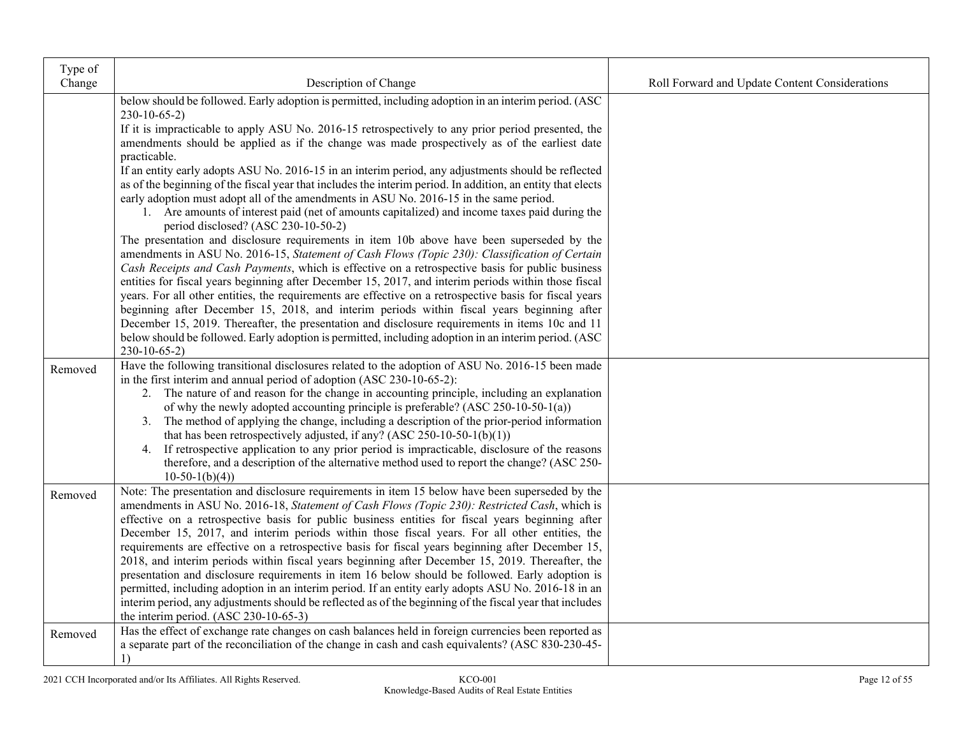| Type of |                                                                                                                                                                                                    |                                                |
|---------|----------------------------------------------------------------------------------------------------------------------------------------------------------------------------------------------------|------------------------------------------------|
| Change  | Description of Change                                                                                                                                                                              | Roll Forward and Update Content Considerations |
|         | below should be followed. Early adoption is permitted, including adoption in an interim period. (ASC                                                                                               |                                                |
|         | $230-10-65-2$                                                                                                                                                                                      |                                                |
|         | If it is impracticable to apply ASU No. 2016-15 retrospectively to any prior period presented, the<br>amendments should be applied as if the change was made prospectively as of the earliest date |                                                |
|         | practicable.                                                                                                                                                                                       |                                                |
|         | If an entity early adopts ASU No. 2016-15 in an interim period, any adjustments should be reflected                                                                                                |                                                |
|         | as of the beginning of the fiscal year that includes the interim period. In addition, an entity that elects                                                                                        |                                                |
|         | early adoption must adopt all of the amendments in ASU No. 2016-15 in the same period.                                                                                                             |                                                |
|         | 1. Are amounts of interest paid (net of amounts capitalized) and income taxes paid during the                                                                                                      |                                                |
|         | period disclosed? (ASC 230-10-50-2)                                                                                                                                                                |                                                |
|         | The presentation and disclosure requirements in item 10b above have been superseded by the                                                                                                         |                                                |
|         | amendments in ASU No. 2016-15, Statement of Cash Flows (Topic 230): Classification of Certain                                                                                                      |                                                |
|         | Cash Receipts and Cash Payments, which is effective on a retrospective basis for public business                                                                                                   |                                                |
|         | entities for fiscal years beginning after December 15, 2017, and interim periods within those fiscal                                                                                               |                                                |
|         | years. For all other entities, the requirements are effective on a retrospective basis for fiscal years                                                                                            |                                                |
|         | beginning after December 15, 2018, and interim periods within fiscal years beginning after<br>December 15, 2019. Thereafter, the presentation and disclosure requirements in items 10c and 11      |                                                |
|         | below should be followed. Early adoption is permitted, including adoption in an interim period. (ASC                                                                                               |                                                |
|         | $230-10-65-2$                                                                                                                                                                                      |                                                |
| Removed | Have the following transitional disclosures related to the adoption of ASU No. 2016-15 been made                                                                                                   |                                                |
|         | in the first interim and annual period of adoption (ASC 230-10-65-2):                                                                                                                              |                                                |
|         | 2. The nature of and reason for the change in accounting principle, including an explanation                                                                                                       |                                                |
|         | of why the newly adopted accounting principle is preferable? (ASC 250-10-50-1(a))                                                                                                                  |                                                |
|         | 3. The method of applying the change, including a description of the prior-period information                                                                                                      |                                                |
|         | that has been retrospectively adjusted, if any? (ASC 250-10-50-1(b)(1))                                                                                                                            |                                                |
|         | 4. If retrospective application to any prior period is impracticable, disclosure of the reasons                                                                                                    |                                                |
|         | therefore, and a description of the alternative method used to report the change? (ASC 250-                                                                                                        |                                                |
|         | $10-50-1(b)(4)$                                                                                                                                                                                    |                                                |
| Removed | Note: The presentation and disclosure requirements in item 15 below have been superseded by the<br>amendments in ASU No. 2016-18, Statement of Cash Flows (Topic 230): Restricted Cash, which is   |                                                |
|         | effective on a retrospective basis for public business entities for fiscal years beginning after                                                                                                   |                                                |
|         | December 15, 2017, and interim periods within those fiscal years. For all other entities, the                                                                                                      |                                                |
|         | requirements are effective on a retrospective basis for fiscal years beginning after December 15,                                                                                                  |                                                |
|         | 2018, and interim periods within fiscal years beginning after December 15, 2019. Thereafter, the                                                                                                   |                                                |
|         | presentation and disclosure requirements in item 16 below should be followed. Early adoption is                                                                                                    |                                                |
|         | permitted, including adoption in an interim period. If an entity early adopts ASU No. 2016-18 in an                                                                                                |                                                |
|         | interim period, any adjustments should be reflected as of the beginning of the fiscal year that includes                                                                                           |                                                |
|         | the interim period. (ASC 230-10-65-3)                                                                                                                                                              |                                                |
| Removed | Has the effect of exchange rate changes on cash balances held in foreign currencies been reported as                                                                                               |                                                |
|         | a separate part of the reconciliation of the change in cash and cash equivalents? (ASC 830-230-45-                                                                                                 |                                                |
|         | 1)                                                                                                                                                                                                 |                                                |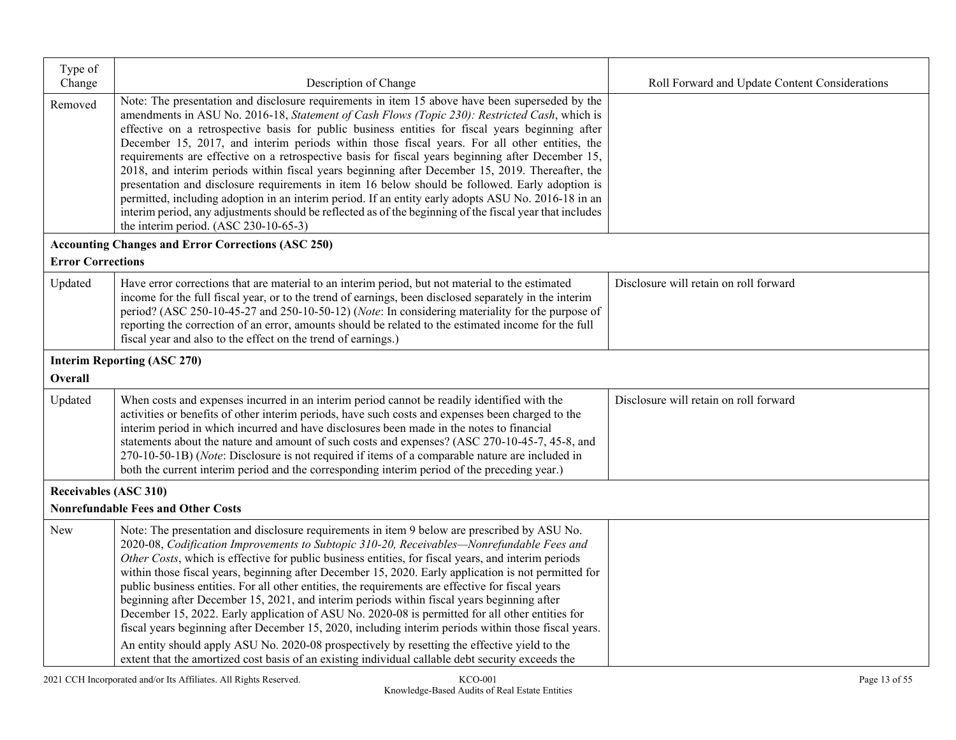| Type of                      |                                                                                                                                                                                                                                                                                                                                                                                                                                                                                                                                                                                                                                                                                                                                                                                                                                                                                                                                                                                                                             |                                                |
|------------------------------|-----------------------------------------------------------------------------------------------------------------------------------------------------------------------------------------------------------------------------------------------------------------------------------------------------------------------------------------------------------------------------------------------------------------------------------------------------------------------------------------------------------------------------------------------------------------------------------------------------------------------------------------------------------------------------------------------------------------------------------------------------------------------------------------------------------------------------------------------------------------------------------------------------------------------------------------------------------------------------------------------------------------------------|------------------------------------------------|
| Change<br>Removed            | Description of Change<br>Note: The presentation and disclosure requirements in item 15 above have been superseded by the<br>amendments in ASU No. 2016-18, Statement of Cash Flows (Topic 230): Restricted Cash, which is<br>effective on a retrospective basis for public business entities for fiscal years beginning after<br>December 15, 2017, and interim periods within those fiscal years. For all other entities, the<br>requirements are effective on a retrospective basis for fiscal years beginning after December 15,<br>2018, and interim periods within fiscal years beginning after December 15, 2019. Thereafter, the<br>presentation and disclosure requirements in item 16 below should be followed. Early adoption is<br>permitted, including adoption in an interim period. If an entity early adopts ASU No. 2016-18 in an<br>interim period, any adjustments should be reflected as of the beginning of the fiscal year that includes<br>the interim period. (ASC 230-10-65-3)                      | Roll Forward and Update Content Considerations |
| <b>Error Corrections</b>     | <b>Accounting Changes and Error Corrections (ASC 250)</b>                                                                                                                                                                                                                                                                                                                                                                                                                                                                                                                                                                                                                                                                                                                                                                                                                                                                                                                                                                   |                                                |
| Updated                      | Have error corrections that are material to an interim period, but not material to the estimated<br>income for the full fiscal year, or to the trend of earnings, been disclosed separately in the interim<br>period? (ASC 250-10-45-27 and 250-10-50-12) (Note: In considering materiality for the purpose of<br>reporting the correction of an error, amounts should be related to the estimated income for the full<br>fiscal year and also to the effect on the trend of earnings.)                                                                                                                                                                                                                                                                                                                                                                                                                                                                                                                                     | Disclosure will retain on roll forward         |
|                              | <b>Interim Reporting (ASC 270)</b>                                                                                                                                                                                                                                                                                                                                                                                                                                                                                                                                                                                                                                                                                                                                                                                                                                                                                                                                                                                          |                                                |
| <b>Overall</b>               |                                                                                                                                                                                                                                                                                                                                                                                                                                                                                                                                                                                                                                                                                                                                                                                                                                                                                                                                                                                                                             |                                                |
| Updated                      | When costs and expenses incurred in an interim period cannot be readily identified with the<br>activities or benefits of other interim periods, have such costs and expenses been charged to the<br>interim period in which incurred and have disclosures been made in the notes to financial<br>statements about the nature and amount of such costs and expenses? (ASC 270-10-45-7, 45-8, and<br>270-10-50-1B) (Note: Disclosure is not required if items of a comparable nature are included in<br>both the current interim period and the corresponding interim period of the preceding year.)                                                                                                                                                                                                                                                                                                                                                                                                                          | Disclosure will retain on roll forward         |
| <b>Receivables (ASC 310)</b> |                                                                                                                                                                                                                                                                                                                                                                                                                                                                                                                                                                                                                                                                                                                                                                                                                                                                                                                                                                                                                             |                                                |
|                              | <b>Nonrefundable Fees and Other Costs</b>                                                                                                                                                                                                                                                                                                                                                                                                                                                                                                                                                                                                                                                                                                                                                                                                                                                                                                                                                                                   |                                                |
| New                          | Note: The presentation and disclosure requirements in item 9 below are prescribed by ASU No.<br>2020-08, Codification Improvements to Subtopic 310-20, Receivables-Nonrefundable Fees and<br>Other Costs, which is effective for public business entities, for fiscal years, and interim periods<br>within those fiscal years, beginning after December 15, 2020. Early application is not permitted for<br>public business entities. For all other entities, the requirements are effective for fiscal years<br>beginning after December 15, 2021, and interim periods within fiscal years beginning after<br>December 15, 2022. Early application of ASU No. 2020-08 is permitted for all other entities for<br>fiscal years beginning after December 15, 2020, including interim periods within those fiscal years.<br>An entity should apply ASU No. 2020-08 prospectively by resetting the effective yield to the<br>extent that the amortized cost basis of an existing individual callable debt security exceeds the |                                                |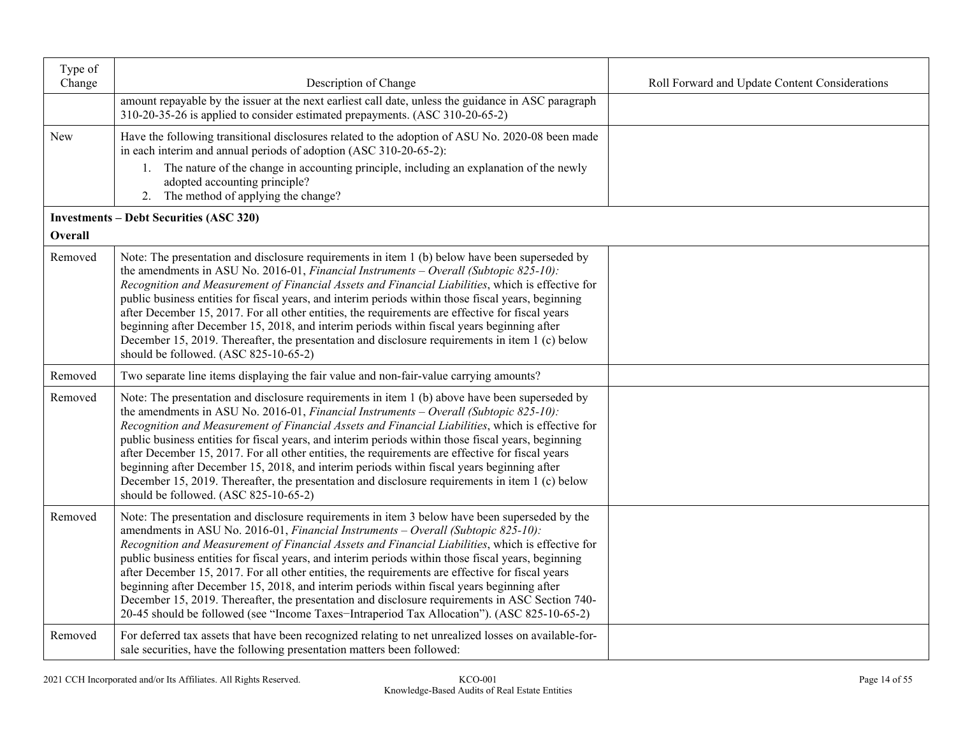| Type of |                                                                                                                                                                                                                                                                                                                                                                                                                                                                                                                                                                                                                                                                                                                                                                                                     |                                                |
|---------|-----------------------------------------------------------------------------------------------------------------------------------------------------------------------------------------------------------------------------------------------------------------------------------------------------------------------------------------------------------------------------------------------------------------------------------------------------------------------------------------------------------------------------------------------------------------------------------------------------------------------------------------------------------------------------------------------------------------------------------------------------------------------------------------------------|------------------------------------------------|
| Change  | Description of Change<br>amount repayable by the issuer at the next earliest call date, unless the guidance in ASC paragraph<br>310-20-35-26 is applied to consider estimated prepayments. (ASC 310-20-65-2)                                                                                                                                                                                                                                                                                                                                                                                                                                                                                                                                                                                        | Roll Forward and Update Content Considerations |
| New     | Have the following transitional disclosures related to the adoption of ASU No. 2020-08 been made<br>in each interim and annual periods of adoption (ASC 310-20-65-2):                                                                                                                                                                                                                                                                                                                                                                                                                                                                                                                                                                                                                               |                                                |
|         | 1. The nature of the change in accounting principle, including an explanation of the newly<br>adopted accounting principle?<br>2. The method of applying the change?                                                                                                                                                                                                                                                                                                                                                                                                                                                                                                                                                                                                                                |                                                |
|         | <b>Investments – Debt Securities (ASC 320)</b>                                                                                                                                                                                                                                                                                                                                                                                                                                                                                                                                                                                                                                                                                                                                                      |                                                |
| Overall |                                                                                                                                                                                                                                                                                                                                                                                                                                                                                                                                                                                                                                                                                                                                                                                                     |                                                |
| Removed | Note: The presentation and disclosure requirements in item 1 (b) below have been superseded by<br>the amendments in ASU No. 2016-01, <i>Financial Instruments – Overall (Subtopic 825-10)</i> :<br>Recognition and Measurement of Financial Assets and Financial Liabilities, which is effective for<br>public business entities for fiscal years, and interim periods within those fiscal years, beginning<br>after December 15, 2017. For all other entities, the requirements are effective for fiscal years<br>beginning after December 15, 2018, and interim periods within fiscal years beginning after<br>December 15, 2019. Thereafter, the presentation and disclosure requirements in item 1 (c) below<br>should be followed. (ASC 825-10-65-2)                                           |                                                |
| Removed | Two separate line items displaying the fair value and non-fair-value carrying amounts?                                                                                                                                                                                                                                                                                                                                                                                                                                                                                                                                                                                                                                                                                                              |                                                |
| Removed | Note: The presentation and disclosure requirements in item 1 (b) above have been superseded by<br>the amendments in ASU No. 2016-01, Financial Instruments - Overall (Subtopic 825-10):<br>Recognition and Measurement of Financial Assets and Financial Liabilities, which is effective for<br>public business entities for fiscal years, and interim periods within those fiscal years, beginning<br>after December 15, 2017. For all other entities, the requirements are effective for fiscal years<br>beginning after December 15, 2018, and interim periods within fiscal years beginning after<br>December 15, 2019. Thereafter, the presentation and disclosure requirements in item 1 (c) below<br>should be followed. (ASC 825-10-65-2)                                                   |                                                |
| Removed | Note: The presentation and disclosure requirements in item 3 below have been superseded by the<br>amendments in ASU No. 2016-01, Financial Instruments - Overall (Subtopic 825-10):<br>Recognition and Measurement of Financial Assets and Financial Liabilities, which is effective for<br>public business entities for fiscal years, and interim periods within those fiscal years, beginning<br>after December 15, 2017. For all other entities, the requirements are effective for fiscal years<br>beginning after December 15, 2018, and interim periods within fiscal years beginning after<br>December 15, 2019. Thereafter, the presentation and disclosure requirements in ASC Section 740-<br>20-45 should be followed (see "Income Taxes-Intraperiod Tax Allocation"). (ASC 825-10-65-2) |                                                |
| Removed | For deferred tax assets that have been recognized relating to net unrealized losses on available-for-<br>sale securities, have the following presentation matters been followed:                                                                                                                                                                                                                                                                                                                                                                                                                                                                                                                                                                                                                    |                                                |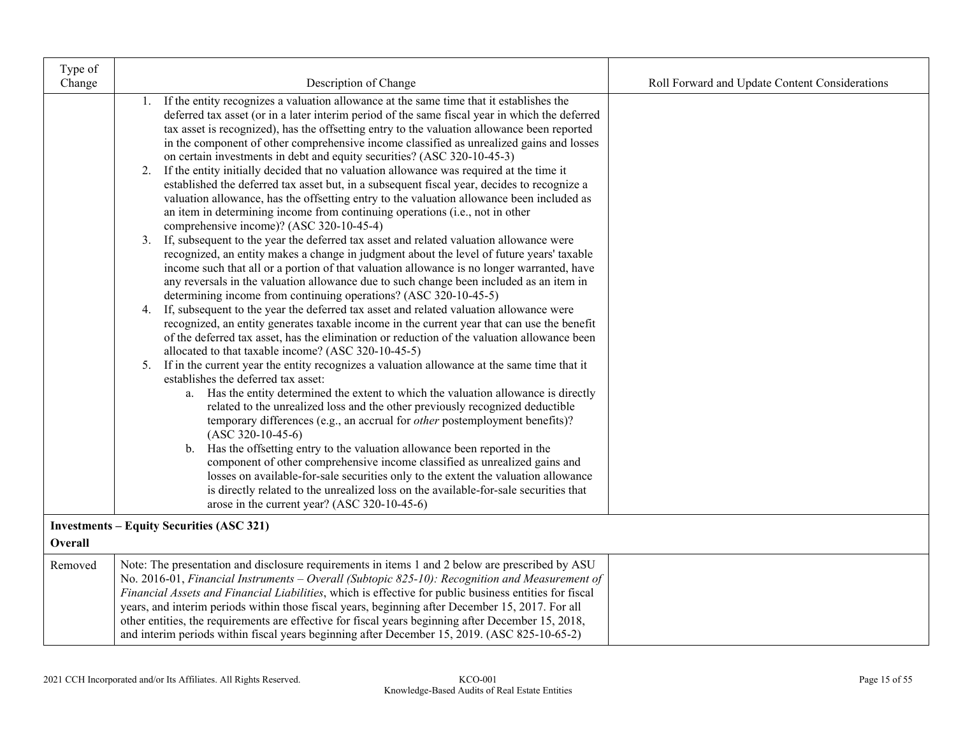| Type of |                                                                                                                                                                                                                                                                                                                                                                                                                                                                                                                                                                                                                                                                                                                                                                                                                                                                                                                                                                                                                                                                                                                                                                                                                                                                                                                                                                                                                                                                                                                                                                                                                                                                                                                                                                                                                                                                                                                                                                                                                                                                                                                                                                                                                                                                                                                                                                                        |                                                |
|---------|----------------------------------------------------------------------------------------------------------------------------------------------------------------------------------------------------------------------------------------------------------------------------------------------------------------------------------------------------------------------------------------------------------------------------------------------------------------------------------------------------------------------------------------------------------------------------------------------------------------------------------------------------------------------------------------------------------------------------------------------------------------------------------------------------------------------------------------------------------------------------------------------------------------------------------------------------------------------------------------------------------------------------------------------------------------------------------------------------------------------------------------------------------------------------------------------------------------------------------------------------------------------------------------------------------------------------------------------------------------------------------------------------------------------------------------------------------------------------------------------------------------------------------------------------------------------------------------------------------------------------------------------------------------------------------------------------------------------------------------------------------------------------------------------------------------------------------------------------------------------------------------------------------------------------------------------------------------------------------------------------------------------------------------------------------------------------------------------------------------------------------------------------------------------------------------------------------------------------------------------------------------------------------------------------------------------------------------------------------------------------------------|------------------------------------------------|
| Change  | Description of Change                                                                                                                                                                                                                                                                                                                                                                                                                                                                                                                                                                                                                                                                                                                                                                                                                                                                                                                                                                                                                                                                                                                                                                                                                                                                                                                                                                                                                                                                                                                                                                                                                                                                                                                                                                                                                                                                                                                                                                                                                                                                                                                                                                                                                                                                                                                                                                  | Roll Forward and Update Content Considerations |
|         | If the entity recognizes a valuation allowance at the same time that it establishes the<br>1.<br>deferred tax asset (or in a later interim period of the same fiscal year in which the deferred<br>tax asset is recognized), has the offsetting entry to the valuation allowance been reported<br>in the component of other comprehensive income classified as unrealized gains and losses<br>on certain investments in debt and equity securities? (ASC 320-10-45-3)<br>2. If the entity initially decided that no valuation allowance was required at the time it<br>established the deferred tax asset but, in a subsequent fiscal year, decides to recognize a<br>valuation allowance, has the offsetting entry to the valuation allowance been included as<br>an item in determining income from continuing operations (i.e., not in other<br>comprehensive income)? (ASC 320-10-45-4)<br>3. If, subsequent to the year the deferred tax asset and related valuation allowance were<br>recognized, an entity makes a change in judgment about the level of future years' taxable<br>income such that all or a portion of that valuation allowance is no longer warranted, have<br>any reversals in the valuation allowance due to such change been included as an item in<br>determining income from continuing operations? (ASC 320-10-45-5)<br>4. If, subsequent to the year the deferred tax asset and related valuation allowance were<br>recognized, an entity generates taxable income in the current year that can use the benefit<br>of the deferred tax asset, has the elimination or reduction of the valuation allowance been<br>allocated to that taxable income? (ASC 320-10-45-5)<br>5. If in the current year the entity recognizes a valuation allowance at the same time that it<br>establishes the deferred tax asset:<br>a. Has the entity determined the extent to which the valuation allowance is directly<br>related to the unrealized loss and the other previously recognized deductible<br>temporary differences (e.g., an accrual for <i>other</i> postemployment benefits)?<br>$(ASC 320-10-45-6)$<br>b. Has the offsetting entry to the valuation allowance been reported in the<br>component of other comprehensive income classified as unrealized gains and<br>losses on available-for-sale securities only to the extent the valuation allowance |                                                |
|         | is directly related to the unrealized loss on the available-for-sale securities that<br>arose in the current year? (ASC 320-10-45-6)                                                                                                                                                                                                                                                                                                                                                                                                                                                                                                                                                                                                                                                                                                                                                                                                                                                                                                                                                                                                                                                                                                                                                                                                                                                                                                                                                                                                                                                                                                                                                                                                                                                                                                                                                                                                                                                                                                                                                                                                                                                                                                                                                                                                                                                   |                                                |
|         | <b>Investments – Equity Securities (ASC 321)</b>                                                                                                                                                                                                                                                                                                                                                                                                                                                                                                                                                                                                                                                                                                                                                                                                                                                                                                                                                                                                                                                                                                                                                                                                                                                                                                                                                                                                                                                                                                                                                                                                                                                                                                                                                                                                                                                                                                                                                                                                                                                                                                                                                                                                                                                                                                                                       |                                                |
| Overall |                                                                                                                                                                                                                                                                                                                                                                                                                                                                                                                                                                                                                                                                                                                                                                                                                                                                                                                                                                                                                                                                                                                                                                                                                                                                                                                                                                                                                                                                                                                                                                                                                                                                                                                                                                                                                                                                                                                                                                                                                                                                                                                                                                                                                                                                                                                                                                                        |                                                |
| Removed | Note: The presentation and disclosure requirements in items 1 and 2 below are prescribed by ASU<br>No. 2016-01, Financial Instruments - Overall (Subtopic 825-10): Recognition and Measurement of<br>Financial Assets and Financial Liabilities, which is effective for public business entities for fiscal<br>years, and interim periods within those fiscal years, beginning after December 15, 2017. For all<br>other entities, the requirements are effective for fiscal years beginning after December 15, 2018,<br>and interim periods within fiscal years beginning after December 15, 2019. (ASC 825-10-65-2)                                                                                                                                                                                                                                                                                                                                                                                                                                                                                                                                                                                                                                                                                                                                                                                                                                                                                                                                                                                                                                                                                                                                                                                                                                                                                                                                                                                                                                                                                                                                                                                                                                                                                                                                                                  |                                                |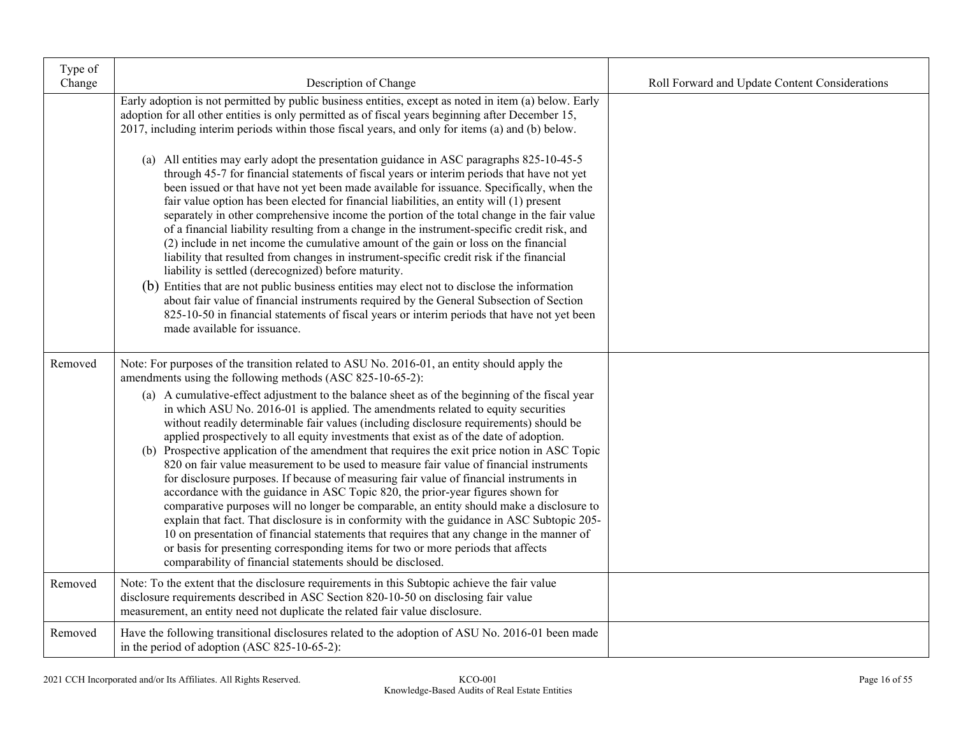| Type of<br>Change | Description of Change                                                                                                                                                                                                                                                                                                                                                                                                                                                                                                                                                                                                                                                                                                                                                                                                                                                                                                                                                                                                                                                                                                                                                                                                                                                                                                                                                                                                                                                 | Roll Forward and Update Content Considerations |
|-------------------|-----------------------------------------------------------------------------------------------------------------------------------------------------------------------------------------------------------------------------------------------------------------------------------------------------------------------------------------------------------------------------------------------------------------------------------------------------------------------------------------------------------------------------------------------------------------------------------------------------------------------------------------------------------------------------------------------------------------------------------------------------------------------------------------------------------------------------------------------------------------------------------------------------------------------------------------------------------------------------------------------------------------------------------------------------------------------------------------------------------------------------------------------------------------------------------------------------------------------------------------------------------------------------------------------------------------------------------------------------------------------------------------------------------------------------------------------------------------------|------------------------------------------------|
|                   | Early adoption is not permitted by public business entities, except as noted in item (a) below. Early<br>adoption for all other entities is only permitted as of fiscal years beginning after December 15,<br>2017, including interim periods within those fiscal years, and only for items (a) and (b) below.<br>(a) All entities may early adopt the presentation guidance in ASC paragraphs 825-10-45-5<br>through 45-7 for financial statements of fiscal years or interim periods that have not yet<br>been issued or that have not yet been made available for issuance. Specifically, when the<br>fair value option has been elected for financial liabilities, an entity will (1) present<br>separately in other comprehensive income the portion of the total change in the fair value<br>of a financial liability resulting from a change in the instrument-specific credit risk, and<br>(2) include in net income the cumulative amount of the gain or loss on the financial<br>liability that resulted from changes in instrument-specific credit risk if the financial<br>liability is settled (derecognized) before maturity.<br>(b) Entities that are not public business entities may elect not to disclose the information<br>about fair value of financial instruments required by the General Subsection of Section<br>825-10-50 in financial statements of fiscal years or interim periods that have not yet been<br>made available for issuance. |                                                |
| Removed           | Note: For purposes of the transition related to ASU No. 2016-01, an entity should apply the<br>amendments using the following methods (ASC 825-10-65-2):<br>(a) A cumulative-effect adjustment to the balance sheet as of the beginning of the fiscal year<br>in which ASU No. 2016-01 is applied. The amendments related to equity securities<br>without readily determinable fair values (including disclosure requirements) should be<br>applied prospectively to all equity investments that exist as of the date of adoption.<br>(b) Prospective application of the amendment that requires the exit price notion in ASC Topic<br>820 on fair value measurement to be used to measure fair value of financial instruments<br>for disclosure purposes. If because of measuring fair value of financial instruments in<br>accordance with the guidance in ASC Topic 820, the prior-year figures shown for<br>comparative purposes will no longer be comparable, an entity should make a disclosure to<br>explain that fact. That disclosure is in conformity with the guidance in ASC Subtopic 205-<br>10 on presentation of financial statements that requires that any change in the manner of<br>or basis for presenting corresponding items for two or more periods that affects<br>comparability of financial statements should be disclosed.                                                                                                                 |                                                |
| Removed           | Note: To the extent that the disclosure requirements in this Subtopic achieve the fair value<br>disclosure requirements described in ASC Section 820-10-50 on disclosing fair value<br>measurement, an entity need not duplicate the related fair value disclosure.                                                                                                                                                                                                                                                                                                                                                                                                                                                                                                                                                                                                                                                                                                                                                                                                                                                                                                                                                                                                                                                                                                                                                                                                   |                                                |
| Removed           | Have the following transitional disclosures related to the adoption of ASU No. 2016-01 been made<br>in the period of adoption (ASC 825-10-65-2):                                                                                                                                                                                                                                                                                                                                                                                                                                                                                                                                                                                                                                                                                                                                                                                                                                                                                                                                                                                                                                                                                                                                                                                                                                                                                                                      |                                                |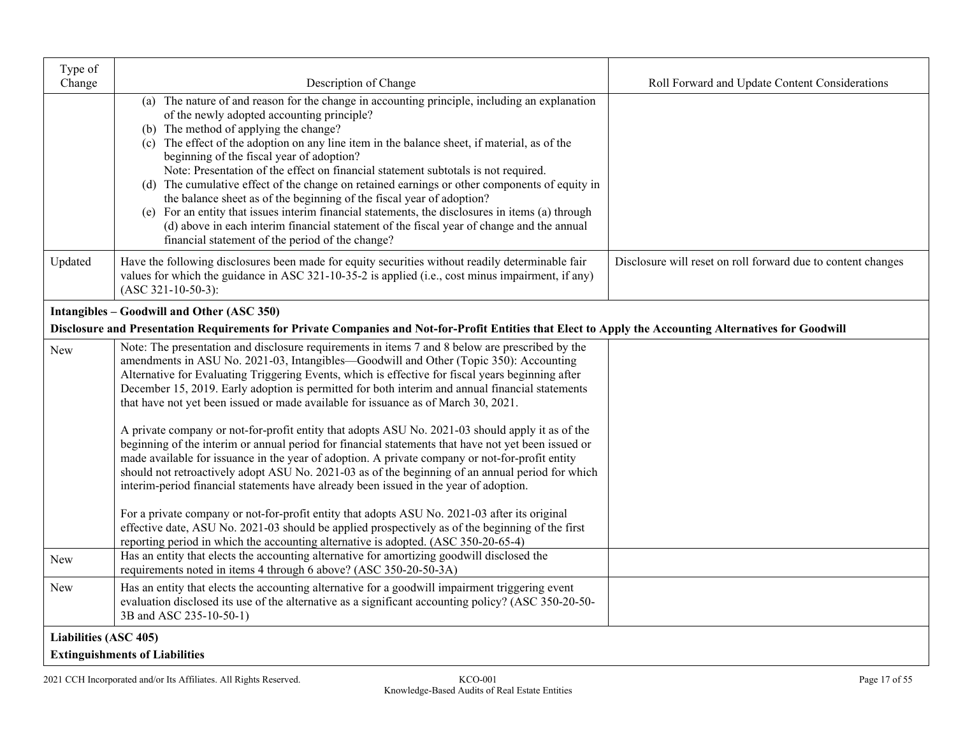| Type of<br>Change            | Description of Change                                                                                                                                                                                                                                                                                                                                                                                                                                                                                                                                                                                                                                                                                                                                                                                                                                                                                                                                                                                                                                                                                                                                                                                                                                                                                                                                                                                                                                           | Roll Forward and Update Content Considerations               |
|------------------------------|-----------------------------------------------------------------------------------------------------------------------------------------------------------------------------------------------------------------------------------------------------------------------------------------------------------------------------------------------------------------------------------------------------------------------------------------------------------------------------------------------------------------------------------------------------------------------------------------------------------------------------------------------------------------------------------------------------------------------------------------------------------------------------------------------------------------------------------------------------------------------------------------------------------------------------------------------------------------------------------------------------------------------------------------------------------------------------------------------------------------------------------------------------------------------------------------------------------------------------------------------------------------------------------------------------------------------------------------------------------------------------------------------------------------------------------------------------------------|--------------------------------------------------------------|
|                              | (a) The nature of and reason for the change in accounting principle, including an explanation<br>of the newly adopted accounting principle?<br>(b) The method of applying the change?<br>(c) The effect of the adoption on any line item in the balance sheet, if material, as of the<br>beginning of the fiscal year of adoption?<br>Note: Presentation of the effect on financial statement subtotals is not required.<br>(d) The cumulative effect of the change on retained earnings or other components of equity in<br>the balance sheet as of the beginning of the fiscal year of adoption?<br>(e) For an entity that issues interim financial statements, the disclosures in items (a) through<br>(d) above in each interim financial statement of the fiscal year of change and the annual<br>financial statement of the period of the change?                                                                                                                                                                                                                                                                                                                                                                                                                                                                                                                                                                                                         |                                                              |
| Updated                      | Have the following disclosures been made for equity securities without readily determinable fair<br>values for which the guidance in ASC 321-10-35-2 is applied (i.e., cost minus impairment, if any)<br>$(ASC 321-10-50-3):$                                                                                                                                                                                                                                                                                                                                                                                                                                                                                                                                                                                                                                                                                                                                                                                                                                                                                                                                                                                                                                                                                                                                                                                                                                   | Disclosure will reset on roll forward due to content changes |
|                              | Intangibles - Goodwill and Other (ASC 350)                                                                                                                                                                                                                                                                                                                                                                                                                                                                                                                                                                                                                                                                                                                                                                                                                                                                                                                                                                                                                                                                                                                                                                                                                                                                                                                                                                                                                      |                                                              |
|                              | Disclosure and Presentation Requirements for Private Companies and Not-for-Profit Entities that Elect to Apply the Accounting Alternatives for Goodwill                                                                                                                                                                                                                                                                                                                                                                                                                                                                                                                                                                                                                                                                                                                                                                                                                                                                                                                                                                                                                                                                                                                                                                                                                                                                                                         |                                                              |
| <b>New</b><br><b>New</b>     | Note: The presentation and disclosure requirements in items 7 and 8 below are prescribed by the<br>amendments in ASU No. 2021-03, Intangibles—Goodwill and Other (Topic 350): Accounting<br>Alternative for Evaluating Triggering Events, which is effective for fiscal years beginning after<br>December 15, 2019. Early adoption is permitted for both interim and annual financial statements<br>that have not yet been issued or made available for issuance as of March 30, 2021.<br>A private company or not-for-profit entity that adopts ASU No. 2021-03 should apply it as of the<br>beginning of the interim or annual period for financial statements that have not yet been issued or<br>made available for issuance in the year of adoption. A private company or not-for-profit entity<br>should not retroactively adopt ASU No. 2021-03 as of the beginning of an annual period for which<br>interim-period financial statements have already been issued in the year of adoption.<br>For a private company or not-for-profit entity that adopts ASU No. 2021-03 after its original<br>effective date, ASU No. 2021-03 should be applied prospectively as of the beginning of the first<br>reporting period in which the accounting alternative is adopted. (ASC 350-20-65-4)<br>Has an entity that elects the accounting alternative for amortizing goodwill disclosed the<br>requirements noted in items 4 through 6 above? (ASC 350-20-50-3A) |                                                              |
| New                          | Has an entity that elects the accounting alternative for a goodwill impairment triggering event<br>evaluation disclosed its use of the alternative as a significant accounting policy? (ASC 350-20-50-<br>3B and ASC 235-10-50-1)                                                                                                                                                                                                                                                                                                                                                                                                                                                                                                                                                                                                                                                                                                                                                                                                                                                                                                                                                                                                                                                                                                                                                                                                                               |                                                              |
| <b>Liabilities (ASC 405)</b> |                                                                                                                                                                                                                                                                                                                                                                                                                                                                                                                                                                                                                                                                                                                                                                                                                                                                                                                                                                                                                                                                                                                                                                                                                                                                                                                                                                                                                                                                 |                                                              |
|                              | <b>Extinguishments of Liabilities</b>                                                                                                                                                                                                                                                                                                                                                                                                                                                                                                                                                                                                                                                                                                                                                                                                                                                                                                                                                                                                                                                                                                                                                                                                                                                                                                                                                                                                                           |                                                              |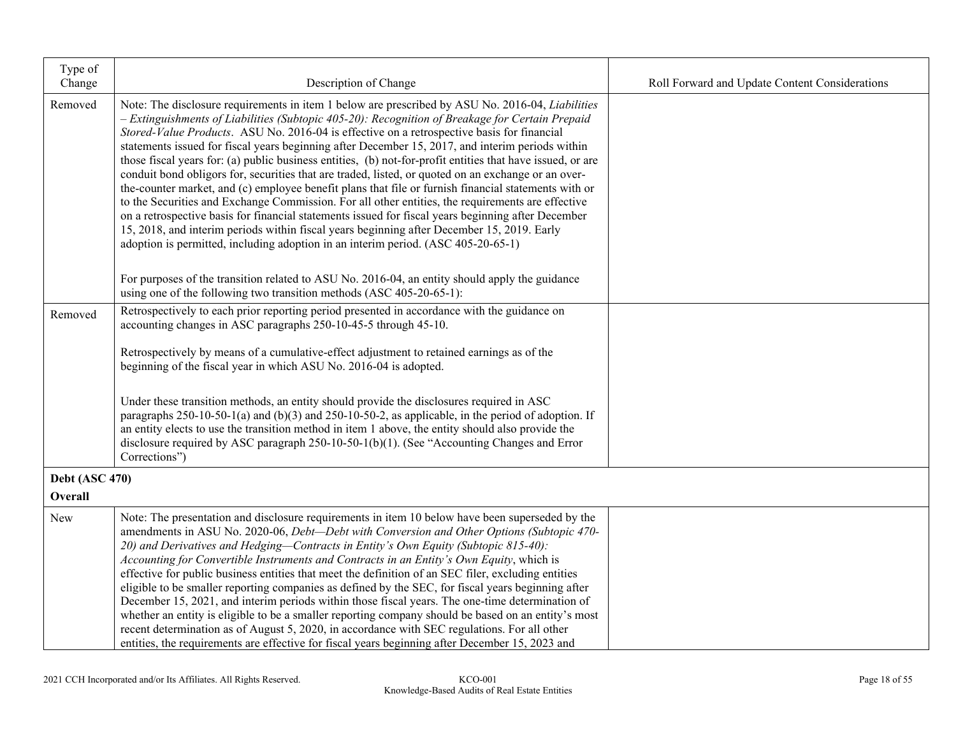| Type of<br>Change                | Description of Change                                                                                                                                                                                                                                                                                                                                                                                                                                                                                                                                                                                                                                                                                                                                                                                                                                                                                                                                                                                                                                                                                                            | Roll Forward and Update Content Considerations |
|----------------------------------|----------------------------------------------------------------------------------------------------------------------------------------------------------------------------------------------------------------------------------------------------------------------------------------------------------------------------------------------------------------------------------------------------------------------------------------------------------------------------------------------------------------------------------------------------------------------------------------------------------------------------------------------------------------------------------------------------------------------------------------------------------------------------------------------------------------------------------------------------------------------------------------------------------------------------------------------------------------------------------------------------------------------------------------------------------------------------------------------------------------------------------|------------------------------------------------|
| Removed                          | Note: The disclosure requirements in item 1 below are prescribed by ASU No. 2016-04, Liabilities<br>- Extinguishments of Liabilities (Subtopic 405-20): Recognition of Breakage for Certain Prepaid<br>Stored-Value Products. ASU No. 2016-04 is effective on a retrospective basis for financial<br>statements issued for fiscal years beginning after December 15, 2017, and interim periods within<br>those fiscal years for: (a) public business entities, (b) not-for-profit entities that have issued, or are<br>conduit bond obligors for, securities that are traded, listed, or quoted on an exchange or an over-<br>the-counter market, and (c) employee benefit plans that file or furnish financial statements with or<br>to the Securities and Exchange Commission. For all other entities, the requirements are effective<br>on a retrospective basis for financial statements issued for fiscal years beginning after December<br>15, 2018, and interim periods within fiscal years beginning after December 15, 2019. Early<br>adoption is permitted, including adoption in an interim period. (ASC 405-20-65-1) |                                                |
|                                  | For purposes of the transition related to ASU No. 2016-04, an entity should apply the guidance<br>using one of the following two transition methods (ASC 405-20-65-1):                                                                                                                                                                                                                                                                                                                                                                                                                                                                                                                                                                                                                                                                                                                                                                                                                                                                                                                                                           |                                                |
| Removed                          | Retrospectively to each prior reporting period presented in accordance with the guidance on<br>accounting changes in ASC paragraphs 250-10-45-5 through 45-10.<br>Retrospectively by means of a cumulative-effect adjustment to retained earnings as of the<br>beginning of the fiscal year in which ASU No. 2016-04 is adopted.                                                                                                                                                                                                                                                                                                                                                                                                                                                                                                                                                                                                                                                                                                                                                                                                 |                                                |
|                                  | Under these transition methods, an entity should provide the disclosures required in ASC<br>paragraphs $250-10-50-1$ (a) and $(b)(3)$ and $250-10-50-2$ , as applicable, in the period of adoption. If<br>an entity elects to use the transition method in item 1 above, the entity should also provide the<br>disclosure required by ASC paragraph 250-10-50-1(b)(1). (See "Accounting Changes and Error<br>Corrections")                                                                                                                                                                                                                                                                                                                                                                                                                                                                                                                                                                                                                                                                                                       |                                                |
| <b>Debt (ASC 470)</b><br>Overall |                                                                                                                                                                                                                                                                                                                                                                                                                                                                                                                                                                                                                                                                                                                                                                                                                                                                                                                                                                                                                                                                                                                                  |                                                |
| New                              | Note: The presentation and disclosure requirements in item 10 below have been superseded by the<br>amendments in ASU No. 2020-06, Debt-Debt with Conversion and Other Options (Subtopic 470-<br>20) and Derivatives and Hedging-Contracts in Entity's Own Equity (Subtopic 815-40):<br>Accounting for Convertible Instruments and Contracts in an Entity's Own Equity, which is<br>effective for public business entities that meet the definition of an SEC filer, excluding entities<br>eligible to be smaller reporting companies as defined by the SEC, for fiscal years beginning after<br>December 15, 2021, and interim periods within those fiscal years. The one-time determination of<br>whether an entity is eligible to be a smaller reporting company should be based on an entity's most<br>recent determination as of August 5, 2020, in accordance with SEC regulations. For all other<br>entities, the requirements are effective for fiscal years beginning after December 15, 2023 and                                                                                                                        |                                                |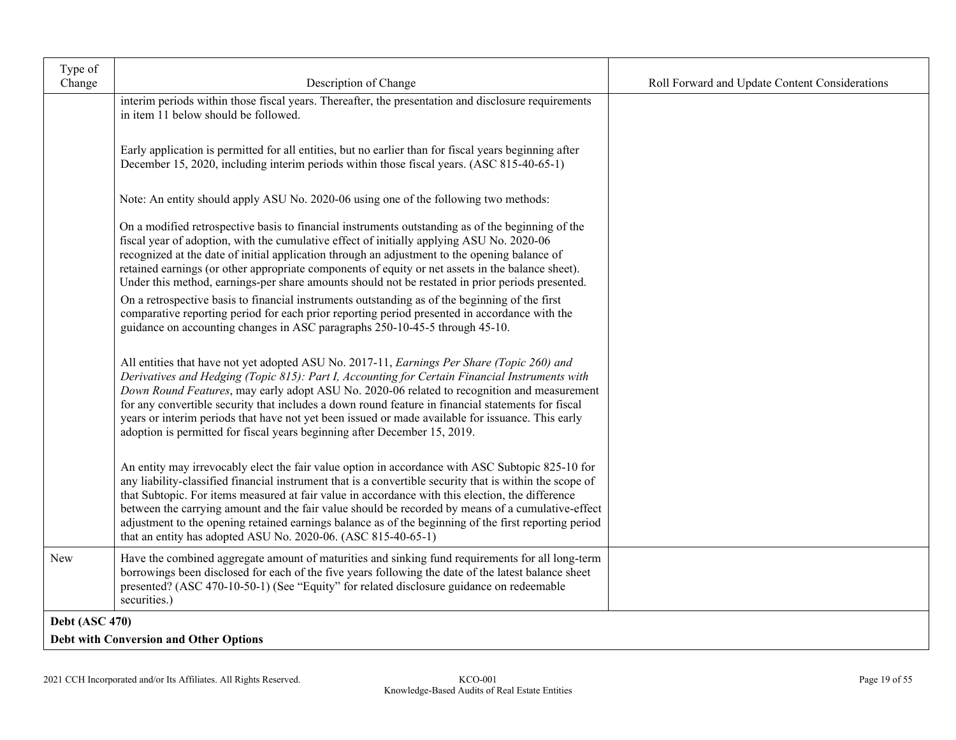| Type of<br>Change     | Description of Change                                                                                                                                                                                                                                                                                                                                                                                                                                                                                                                                                                           | Roll Forward and Update Content Considerations |
|-----------------------|-------------------------------------------------------------------------------------------------------------------------------------------------------------------------------------------------------------------------------------------------------------------------------------------------------------------------------------------------------------------------------------------------------------------------------------------------------------------------------------------------------------------------------------------------------------------------------------------------|------------------------------------------------|
|                       | interim periods within those fiscal years. Thereafter, the presentation and disclosure requirements                                                                                                                                                                                                                                                                                                                                                                                                                                                                                             |                                                |
|                       | in item 11 below should be followed.                                                                                                                                                                                                                                                                                                                                                                                                                                                                                                                                                            |                                                |
|                       |                                                                                                                                                                                                                                                                                                                                                                                                                                                                                                                                                                                                 |                                                |
|                       | Early application is permitted for all entities, but no earlier than for fiscal years beginning after<br>December 15, 2020, including interim periods within those fiscal years. (ASC 815-40-65-1)                                                                                                                                                                                                                                                                                                                                                                                              |                                                |
|                       |                                                                                                                                                                                                                                                                                                                                                                                                                                                                                                                                                                                                 |                                                |
|                       | Note: An entity should apply ASU No. 2020-06 using one of the following two methods:                                                                                                                                                                                                                                                                                                                                                                                                                                                                                                            |                                                |
|                       | On a modified retrospective basis to financial instruments outstanding as of the beginning of the<br>fiscal year of adoption, with the cumulative effect of initially applying ASU No. 2020-06                                                                                                                                                                                                                                                                                                                                                                                                  |                                                |
|                       | recognized at the date of initial application through an adjustment to the opening balance of<br>retained earnings (or other appropriate components of equity or net assets in the balance sheet).<br>Under this method, earnings-per share amounts should not be restated in prior periods presented.                                                                                                                                                                                                                                                                                          |                                                |
|                       | On a retrospective basis to financial instruments outstanding as of the beginning of the first                                                                                                                                                                                                                                                                                                                                                                                                                                                                                                  |                                                |
|                       | comparative reporting period for each prior reporting period presented in accordance with the<br>guidance on accounting changes in ASC paragraphs 250-10-45-5 through 45-10.                                                                                                                                                                                                                                                                                                                                                                                                                    |                                                |
|                       |                                                                                                                                                                                                                                                                                                                                                                                                                                                                                                                                                                                                 |                                                |
|                       | All entities that have not yet adopted ASU No. 2017-11, Earnings Per Share (Topic 260) and<br>Derivatives and Hedging (Topic 815): Part I, Accounting for Certain Financial Instruments with<br>Down Round Features, may early adopt ASU No. 2020-06 related to recognition and measurement<br>for any convertible security that includes a down round feature in financial statements for fiscal<br>years or interim periods that have not yet been issued or made available for issuance. This early<br>adoption is permitted for fiscal years beginning after December 15, 2019.             |                                                |
|                       | An entity may irrevocably elect the fair value option in accordance with ASC Subtopic 825-10 for<br>any liability-classified financial instrument that is a convertible security that is within the scope of<br>that Subtopic. For items measured at fair value in accordance with this election, the difference<br>between the carrying amount and the fair value should be recorded by means of a cumulative-effect<br>adjustment to the opening retained earnings balance as of the beginning of the first reporting period<br>that an entity has adopted ASU No. 2020-06. (ASC 815-40-65-1) |                                                |
| New                   | Have the combined aggregate amount of maturities and sinking fund requirements for all long-term<br>borrowings been disclosed for each of the five years following the date of the latest balance sheet<br>presented? (ASC 470-10-50-1) (See "Equity" for related disclosure guidance on redeemable<br>securities.)                                                                                                                                                                                                                                                                             |                                                |
| <b>Debt (ASC 470)</b> |                                                                                                                                                                                                                                                                                                                                                                                                                                                                                                                                                                                                 |                                                |
|                       | <b>Debt with Conversion and Other Options</b>                                                                                                                                                                                                                                                                                                                                                                                                                                                                                                                                                   |                                                |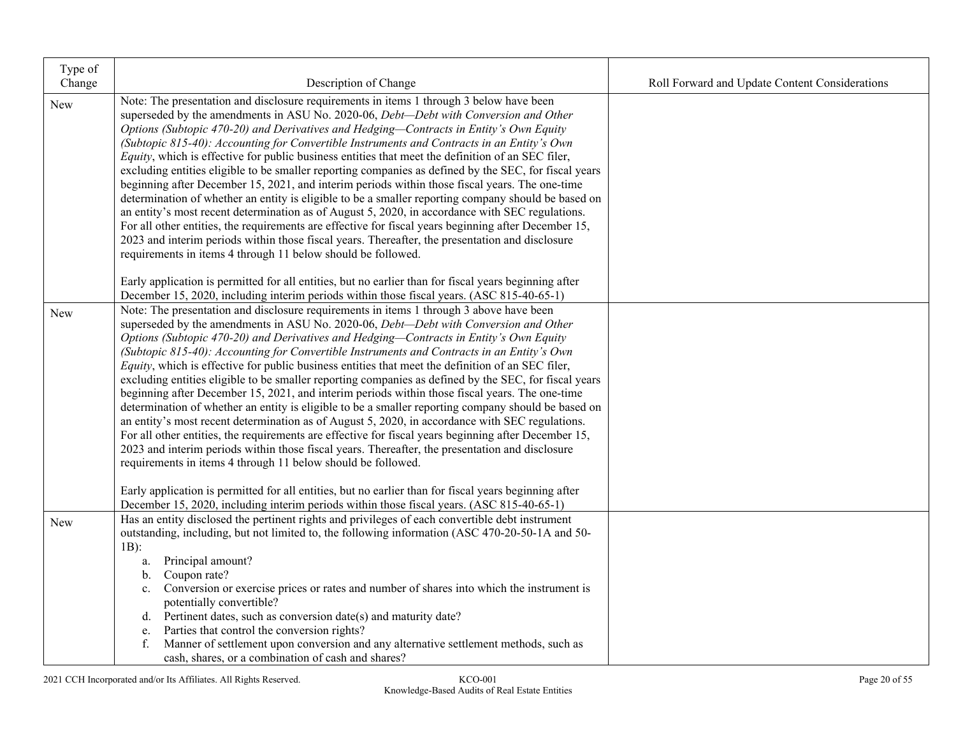| Type of    |                                                                                                                                                                                                                                                                                                                                                                                                                                                                                                                                                                                                                                                                                                                                                                                                                                                                                                                                                                                                                                                                                                                                                                                                                                                                                                                                                                                           |                                                |
|------------|-------------------------------------------------------------------------------------------------------------------------------------------------------------------------------------------------------------------------------------------------------------------------------------------------------------------------------------------------------------------------------------------------------------------------------------------------------------------------------------------------------------------------------------------------------------------------------------------------------------------------------------------------------------------------------------------------------------------------------------------------------------------------------------------------------------------------------------------------------------------------------------------------------------------------------------------------------------------------------------------------------------------------------------------------------------------------------------------------------------------------------------------------------------------------------------------------------------------------------------------------------------------------------------------------------------------------------------------------------------------------------------------|------------------------------------------------|
| Change     | Description of Change                                                                                                                                                                                                                                                                                                                                                                                                                                                                                                                                                                                                                                                                                                                                                                                                                                                                                                                                                                                                                                                                                                                                                                                                                                                                                                                                                                     | Roll Forward and Update Content Considerations |
| New        | Note: The presentation and disclosure requirements in items 1 through 3 below have been<br>superseded by the amendments in ASU No. 2020-06, Debt-Debt with Conversion and Other<br>Options (Subtopic 470-20) and Derivatives and Hedging-Contracts in Entity's Own Equity<br>(Subtopic 815-40): Accounting for Convertible Instruments and Contracts in an Entity's Own<br>Equity, which is effective for public business entities that meet the definition of an SEC filer,<br>excluding entities eligible to be smaller reporting companies as defined by the SEC, for fiscal years<br>beginning after December 15, 2021, and interim periods within those fiscal years. The one-time<br>determination of whether an entity is eligible to be a smaller reporting company should be based on<br>an entity's most recent determination as of August 5, 2020, in accordance with SEC regulations.<br>For all other entities, the requirements are effective for fiscal years beginning after December 15,<br>2023 and interim periods within those fiscal years. Thereafter, the presentation and disclosure<br>requirements in items 4 through 11 below should be followed.                                                                                                                                                                                                              |                                                |
|            | Early application is permitted for all entities, but no earlier than for fiscal years beginning after<br>December 15, 2020, including interim periods within those fiscal years. (ASC 815-40-65-1)                                                                                                                                                                                                                                                                                                                                                                                                                                                                                                                                                                                                                                                                                                                                                                                                                                                                                                                                                                                                                                                                                                                                                                                        |                                                |
| New        | Note: The presentation and disclosure requirements in items 1 through 3 above have been<br>superseded by the amendments in ASU No. 2020-06, <i>Debt-Debt with Conversion and Other</i><br>Options (Subtopic 470-20) and Derivatives and Hedging-Contracts in Entity's Own Equity<br>(Subtopic 815-40): Accounting for Convertible Instruments and Contracts in an Entity's Own<br>Equity, which is effective for public business entities that meet the definition of an SEC filer,<br>excluding entities eligible to be smaller reporting companies as defined by the SEC, for fiscal years<br>beginning after December 15, 2021, and interim periods within those fiscal years. The one-time<br>determination of whether an entity is eligible to be a smaller reporting company should be based on<br>an entity's most recent determination as of August 5, 2020, in accordance with SEC regulations.<br>For all other entities, the requirements are effective for fiscal years beginning after December 15,<br>2023 and interim periods within those fiscal years. Thereafter, the presentation and disclosure<br>requirements in items 4 through 11 below should be followed.<br>Early application is permitted for all entities, but no earlier than for fiscal years beginning after<br>December 15, 2020, including interim periods within those fiscal years. (ASC 815-40-65-1) |                                                |
| <b>New</b> | Has an entity disclosed the pertinent rights and privileges of each convertible debt instrument<br>outstanding, including, but not limited to, the following information (ASC 470-20-50-1A and 50-<br>$1B)$ :<br>Principal amount?<br>a.<br>Coupon rate?<br>$\mathbf{b}$ .<br>Conversion or exercise prices or rates and number of shares into which the instrument is<br>c.<br>potentially convertible?<br>Pertinent dates, such as conversion date(s) and maturity date?<br>d.<br>Parties that control the conversion rights?<br>e.<br>Manner of settlement upon conversion and any alternative settlement methods, such as<br>f.<br>cash, shares, or a combination of cash and shares?                                                                                                                                                                                                                                                                                                                                                                                                                                                                                                                                                                                                                                                                                                 |                                                |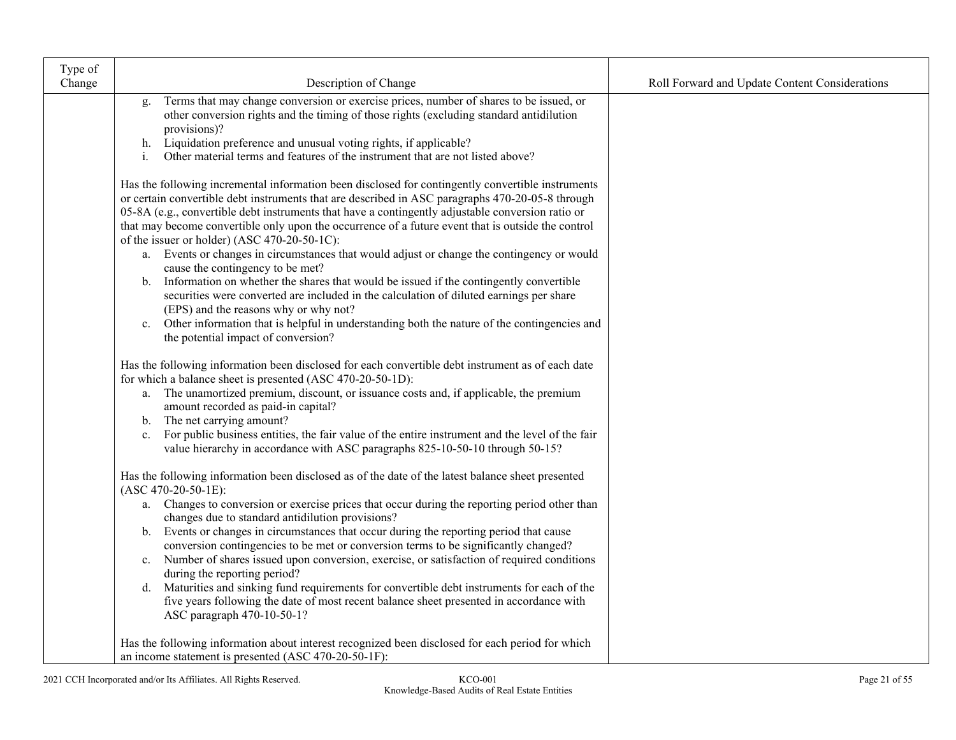| Type of |                                                                                                                                                                                                                                                                                                                                                                                                                                                                                                                                                                                                                                                                                                                                                                                                                                                                                                                                                                                 |                                                |
|---------|---------------------------------------------------------------------------------------------------------------------------------------------------------------------------------------------------------------------------------------------------------------------------------------------------------------------------------------------------------------------------------------------------------------------------------------------------------------------------------------------------------------------------------------------------------------------------------------------------------------------------------------------------------------------------------------------------------------------------------------------------------------------------------------------------------------------------------------------------------------------------------------------------------------------------------------------------------------------------------|------------------------------------------------|
| Change  | Description of Change                                                                                                                                                                                                                                                                                                                                                                                                                                                                                                                                                                                                                                                                                                                                                                                                                                                                                                                                                           | Roll Forward and Update Content Considerations |
|         | Terms that may change conversion or exercise prices, number of shares to be issued, or<br>g.<br>other conversion rights and the timing of those rights (excluding standard antidilution<br>provisions)?<br>h. Liquidation preference and unusual voting rights, if applicable?<br>Other material terms and features of the instrument that are not listed above?<br>i.                                                                                                                                                                                                                                                                                                                                                                                                                                                                                                                                                                                                          |                                                |
|         | Has the following incremental information been disclosed for contingently convertible instruments<br>or certain convertible debt instruments that are described in ASC paragraphs 470-20-05-8 through<br>05-8A (e.g., convertible debt instruments that have a contingently adjustable conversion ratio or<br>that may become convertible only upon the occurrence of a future event that is outside the control<br>of the issuer or holder) (ASC 470-20-50-1C):<br>a. Events or changes in circumstances that would adjust or change the contingency or would<br>cause the contingency to be met?<br>b. Information on whether the shares that would be issued if the contingently convertible<br>securities were converted are included in the calculation of diluted earnings per share<br>(EPS) and the reasons why or why not?<br>Other information that is helpful in understanding both the nature of the contingencies and<br>c.<br>the potential impact of conversion? |                                                |
|         | Has the following information been disclosed for each convertible debt instrument as of each date<br>for which a balance sheet is presented (ASC 470-20-50-1D):<br>a. The unamortized premium, discount, or issuance costs and, if applicable, the premium<br>amount recorded as paid-in capital?<br>b. The net carrying amount?<br>For public business entities, the fair value of the entire instrument and the level of the fair<br>c.<br>value hierarchy in accordance with ASC paragraphs 825-10-50-10 through 50-15?                                                                                                                                                                                                                                                                                                                                                                                                                                                      |                                                |
|         | Has the following information been disclosed as of the date of the latest balance sheet presented<br>$(ASC 470-20-50-1E):$<br>Changes to conversion or exercise prices that occur during the reporting period other than<br>a.<br>changes due to standard antidilution provisions?<br>b. Events or changes in circumstances that occur during the reporting period that cause<br>conversion contingencies to be met or conversion terms to be significantly changed?<br>Number of shares issued upon conversion, exercise, or satisfaction of required conditions<br>c.<br>during the reporting period?<br>d. Maturities and sinking fund requirements for convertible debt instruments for each of the<br>five years following the date of most recent balance sheet presented in accordance with<br>ASC paragraph 470-10-50-1?                                                                                                                                                |                                                |
|         | Has the following information about interest recognized been disclosed for each period for which<br>an income statement is presented (ASC 470-20-50-1F):                                                                                                                                                                                                                                                                                                                                                                                                                                                                                                                                                                                                                                                                                                                                                                                                                        |                                                |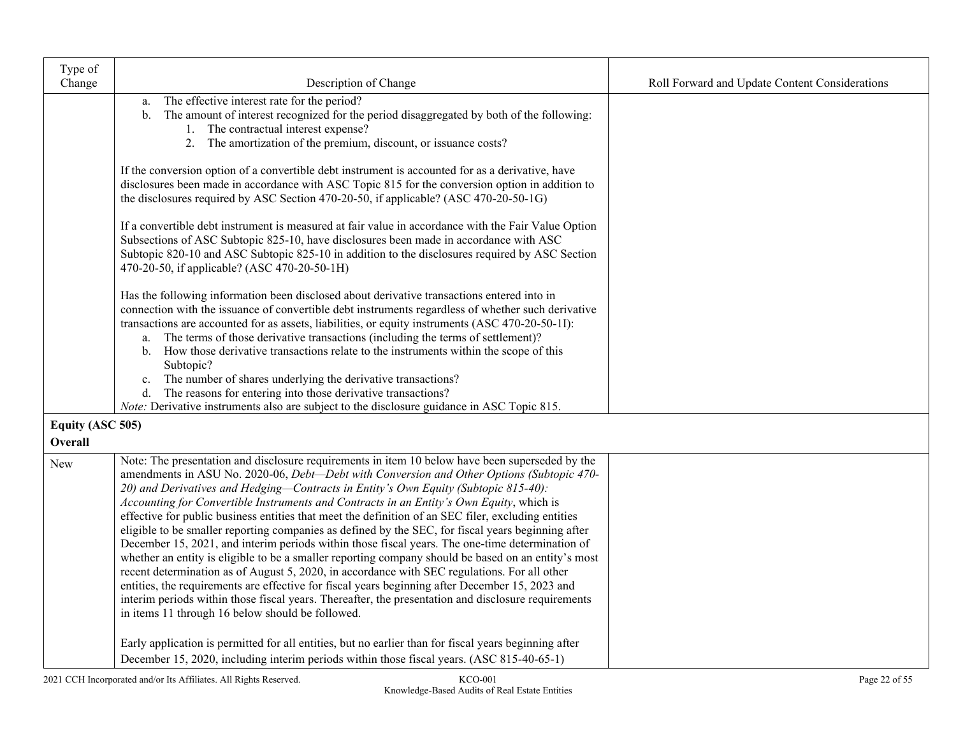| Type of                     |                                                                                                                                                                                                                                                                                                                                                                                                                                                                                                                                                                                                                                                                                                                                                                                                                                                                                                                                                                                                                                                                                                                                                                                                                                                                               |                                                |
|-----------------------------|-------------------------------------------------------------------------------------------------------------------------------------------------------------------------------------------------------------------------------------------------------------------------------------------------------------------------------------------------------------------------------------------------------------------------------------------------------------------------------------------------------------------------------------------------------------------------------------------------------------------------------------------------------------------------------------------------------------------------------------------------------------------------------------------------------------------------------------------------------------------------------------------------------------------------------------------------------------------------------------------------------------------------------------------------------------------------------------------------------------------------------------------------------------------------------------------------------------------------------------------------------------------------------|------------------------------------------------|
| Change                      | Description of Change                                                                                                                                                                                                                                                                                                                                                                                                                                                                                                                                                                                                                                                                                                                                                                                                                                                                                                                                                                                                                                                                                                                                                                                                                                                         | Roll Forward and Update Content Considerations |
|                             | The effective interest rate for the period?<br>a.<br>The amount of interest recognized for the period disaggregated by both of the following:<br>b.<br>1. The contractual interest expense?<br>2. The amortization of the premium, discount, or issuance costs?                                                                                                                                                                                                                                                                                                                                                                                                                                                                                                                                                                                                                                                                                                                                                                                                                                                                                                                                                                                                               |                                                |
|                             | If the conversion option of a convertible debt instrument is accounted for as a derivative, have<br>disclosures been made in accordance with ASC Topic 815 for the conversion option in addition to<br>the disclosures required by ASC Section 470-20-50, if applicable? (ASC 470-20-50-1G)                                                                                                                                                                                                                                                                                                                                                                                                                                                                                                                                                                                                                                                                                                                                                                                                                                                                                                                                                                                   |                                                |
|                             | If a convertible debt instrument is measured at fair value in accordance with the Fair Value Option<br>Subsections of ASC Subtopic 825-10, have disclosures been made in accordance with ASC<br>Subtopic 820-10 and ASC Subtopic 825-10 in addition to the disclosures required by ASC Section<br>470-20-50, if applicable? (ASC 470-20-50-1H)                                                                                                                                                                                                                                                                                                                                                                                                                                                                                                                                                                                                                                                                                                                                                                                                                                                                                                                                |                                                |
|                             | Has the following information been disclosed about derivative transactions entered into in<br>connection with the issuance of convertible debt instruments regardless of whether such derivative<br>transactions are accounted for as assets, liabilities, or equity instruments (ASC 470-20-50-1I):<br>a. The terms of those derivative transactions (including the terms of settlement)?<br>b. How those derivative transactions relate to the instruments within the scope of this<br>Subtopic?<br>The number of shares underlying the derivative transactions?<br>c.<br>d. The reasons for entering into those derivative transactions?<br><i>Note:</i> Derivative instruments also are subject to the disclosure guidance in ASC Topic 815.                                                                                                                                                                                                                                                                                                                                                                                                                                                                                                                              |                                                |
| Equity (ASC 505)<br>Overall |                                                                                                                                                                                                                                                                                                                                                                                                                                                                                                                                                                                                                                                                                                                                                                                                                                                                                                                                                                                                                                                                                                                                                                                                                                                                               |                                                |
| New                         | Note: The presentation and disclosure requirements in item 10 below have been superseded by the<br>amendments in ASU No. 2020-06, Debt-Debt with Conversion and Other Options (Subtopic 470-<br>20) and Derivatives and Hedging-Contracts in Entity's Own Equity (Subtopic 815-40):<br>Accounting for Convertible Instruments and Contracts in an Entity's Own Equity, which is<br>effective for public business entities that meet the definition of an SEC filer, excluding entities<br>eligible to be smaller reporting companies as defined by the SEC, for fiscal years beginning after<br>December 15, 2021, and interim periods within those fiscal years. The one-time determination of<br>whether an entity is eligible to be a smaller reporting company should be based on an entity's most<br>recent determination as of August 5, 2020, in accordance with SEC regulations. For all other<br>entities, the requirements are effective for fiscal years beginning after December 15, 2023 and<br>interim periods within those fiscal years. Thereafter, the presentation and disclosure requirements<br>in items 11 through 16 below should be followed.<br>Early application is permitted for all entities, but no earlier than for fiscal years beginning after |                                                |
|                             | December 15, 2020, including interim periods within those fiscal years. (ASC 815-40-65-1)                                                                                                                                                                                                                                                                                                                                                                                                                                                                                                                                                                                                                                                                                                                                                                                                                                                                                                                                                                                                                                                                                                                                                                                     |                                                |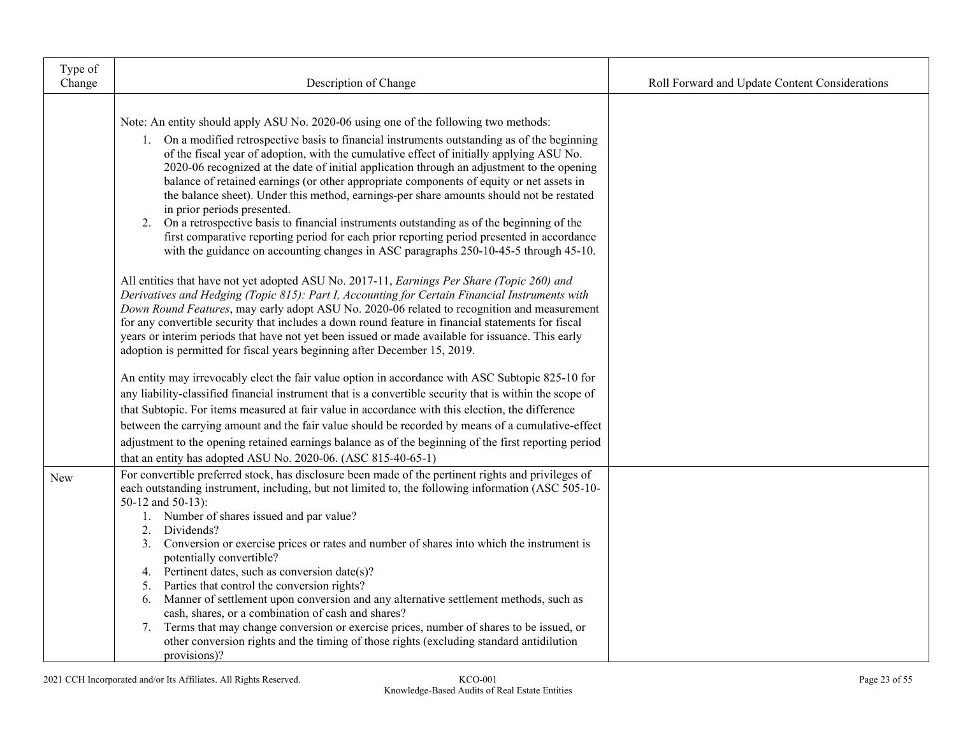| Type of<br>Change | Description of Change                                                                                                                                                                                                                                                                                                                                                                                                                                                                                                                                                                                                                                                                                                                                                                                                                                                                             | Roll Forward and Update Content Considerations |
|-------------------|---------------------------------------------------------------------------------------------------------------------------------------------------------------------------------------------------------------------------------------------------------------------------------------------------------------------------------------------------------------------------------------------------------------------------------------------------------------------------------------------------------------------------------------------------------------------------------------------------------------------------------------------------------------------------------------------------------------------------------------------------------------------------------------------------------------------------------------------------------------------------------------------------|------------------------------------------------|
|                   |                                                                                                                                                                                                                                                                                                                                                                                                                                                                                                                                                                                                                                                                                                                                                                                                                                                                                                   |                                                |
|                   | Note: An entity should apply ASU No. 2020-06 using one of the following two methods:<br>1. On a modified retrospective basis to financial instruments outstanding as of the beginning<br>of the fiscal year of adoption, with the cumulative effect of initially applying ASU No.<br>2020-06 recognized at the date of initial application through an adjustment to the opening<br>balance of retained earnings (or other appropriate components of equity or net assets in<br>the balance sheet). Under this method, earnings-per share amounts should not be restated<br>in prior periods presented.<br>2. On a retrospective basis to financial instruments outstanding as of the beginning of the<br>first comparative reporting period for each prior reporting period presented in accordance<br>with the guidance on accounting changes in ASC paragraphs 250-10-45-5 through 45-10.       |                                                |
|                   | All entities that have not yet adopted ASU No. 2017-11, Earnings Per Share (Topic 260) and<br>Derivatives and Hedging (Topic 815): Part I, Accounting for Certain Financial Instruments with<br>Down Round Features, may early adopt ASU No. 2020-06 related to recognition and measurement<br>for any convertible security that includes a down round feature in financial statements for fiscal<br>years or interim periods that have not yet been issued or made available for issuance. This early<br>adoption is permitted for fiscal years beginning after December 15, 2019.                                                                                                                                                                                                                                                                                                               |                                                |
|                   | An entity may irrevocably elect the fair value option in accordance with ASC Subtopic 825-10 for<br>any liability-classified financial instrument that is a convertible security that is within the scope of<br>that Subtopic. For items measured at fair value in accordance with this election, the difference<br>between the carrying amount and the fair value should be recorded by means of a cumulative-effect                                                                                                                                                                                                                                                                                                                                                                                                                                                                             |                                                |
|                   | adjustment to the opening retained earnings balance as of the beginning of the first reporting period<br>that an entity has adopted ASU No. 2020-06. (ASC 815-40-65-1)                                                                                                                                                                                                                                                                                                                                                                                                                                                                                                                                                                                                                                                                                                                            |                                                |
| <b>New</b>        | For convertible preferred stock, has disclosure been made of the pertinent rights and privileges of<br>each outstanding instrument, including, but not limited to, the following information (ASC 505-10-<br>50-12 and 50-13):<br>1. Number of shares issued and par value?<br>Dividends?<br>2.<br>Conversion or exercise prices or rates and number of shares into which the instrument is<br>3.<br>potentially convertible?<br>4. Pertinent dates, such as conversion date(s)?<br>Parties that control the conversion rights?<br>5.<br>Manner of settlement upon conversion and any alternative settlement methods, such as<br>6.<br>cash, shares, or a combination of cash and shares?<br>7. Terms that may change conversion or exercise prices, number of shares to be issued, or<br>other conversion rights and the timing of those rights (excluding standard antidilution<br>provisions)? |                                                |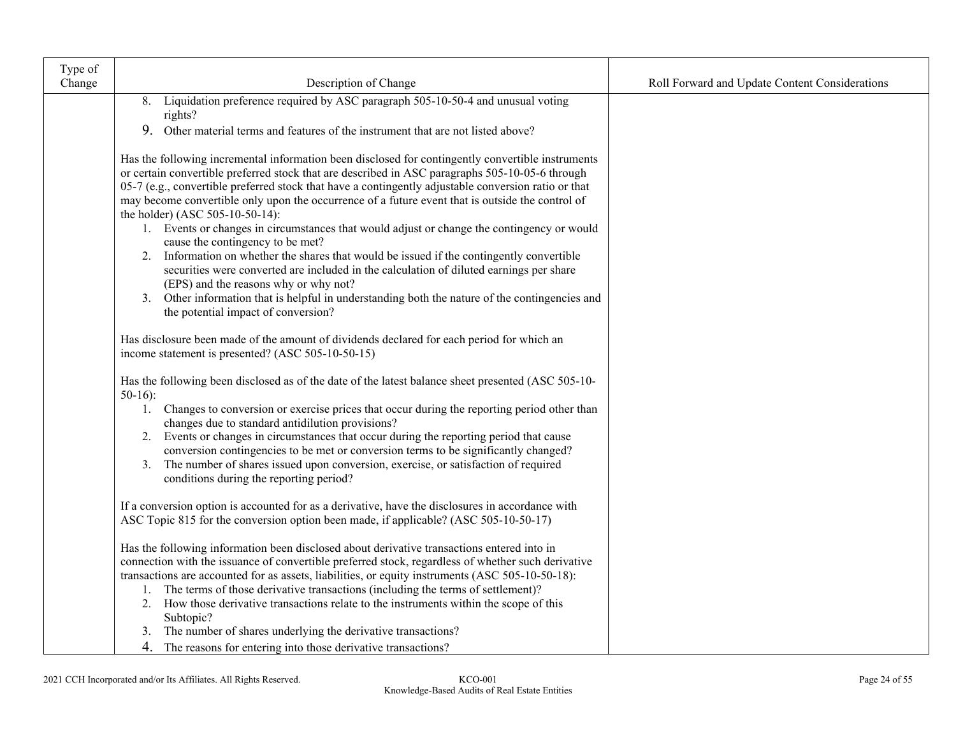| Type of |                                                                                                                                                                                                                                                                                                                                                                                                                                                                                                                                                                                                                                                                                                                                                                                                                                                                                                                                                                 |                                                |
|---------|-----------------------------------------------------------------------------------------------------------------------------------------------------------------------------------------------------------------------------------------------------------------------------------------------------------------------------------------------------------------------------------------------------------------------------------------------------------------------------------------------------------------------------------------------------------------------------------------------------------------------------------------------------------------------------------------------------------------------------------------------------------------------------------------------------------------------------------------------------------------------------------------------------------------------------------------------------------------|------------------------------------------------|
| Change  | Description of Change                                                                                                                                                                                                                                                                                                                                                                                                                                                                                                                                                                                                                                                                                                                                                                                                                                                                                                                                           | Roll Forward and Update Content Considerations |
|         | Liquidation preference required by ASC paragraph 505-10-50-4 and unusual voting<br>8.<br>rights?                                                                                                                                                                                                                                                                                                                                                                                                                                                                                                                                                                                                                                                                                                                                                                                                                                                                |                                                |
|         | 9.<br>Other material terms and features of the instrument that are not listed above?                                                                                                                                                                                                                                                                                                                                                                                                                                                                                                                                                                                                                                                                                                                                                                                                                                                                            |                                                |
|         | Has the following incremental information been disclosed for contingently convertible instruments<br>or certain convertible preferred stock that are described in ASC paragraphs 505-10-05-6 through<br>05-7 (e.g., convertible preferred stock that have a contingently adjustable conversion ratio or that<br>may become convertible only upon the occurrence of a future event that is outside the control of<br>the holder) (ASC 505-10-50-14):<br>1. Events or changes in circumstances that would adjust or change the contingency or would<br>cause the contingency to be met?<br>2. Information on whether the shares that would be issued if the contingently convertible<br>securities were converted are included in the calculation of diluted earnings per share<br>(EPS) and the reasons why or why not?<br>3. Other information that is helpful in understanding both the nature of the contingencies and<br>the potential impact of conversion? |                                                |
|         | Has disclosure been made of the amount of dividends declared for each period for which an<br>income statement is presented? (ASC 505-10-50-15)                                                                                                                                                                                                                                                                                                                                                                                                                                                                                                                                                                                                                                                                                                                                                                                                                  |                                                |
|         | Has the following been disclosed as of the date of the latest balance sheet presented (ASC 505-10-<br>$50-16$ :<br>1. Changes to conversion or exercise prices that occur during the reporting period other than<br>changes due to standard antidilution provisions?<br>2. Events or changes in circumstances that occur during the reporting period that cause<br>conversion contingencies to be met or conversion terms to be significantly changed?<br>The number of shares issued upon conversion, exercise, or satisfaction of required<br>3.<br>conditions during the reporting period?                                                                                                                                                                                                                                                                                                                                                                   |                                                |
|         | If a conversion option is accounted for as a derivative, have the disclosures in accordance with<br>ASC Topic 815 for the conversion option been made, if applicable? (ASC 505-10-50-17)                                                                                                                                                                                                                                                                                                                                                                                                                                                                                                                                                                                                                                                                                                                                                                        |                                                |
|         | Has the following information been disclosed about derivative transactions entered into in<br>connection with the issuance of convertible preferred stock, regardless of whether such derivative<br>transactions are accounted for as assets, liabilities, or equity instruments (ASC 505-10-50-18):<br>1. The terms of those derivative transactions (including the terms of settlement)?<br>2. How those derivative transactions relate to the instruments within the scope of this<br>Subtopic?<br>The number of shares underlying the derivative transactions?<br>3.                                                                                                                                                                                                                                                                                                                                                                                        |                                                |
|         | 4. The reasons for entering into those derivative transactions?                                                                                                                                                                                                                                                                                                                                                                                                                                                                                                                                                                                                                                                                                                                                                                                                                                                                                                 |                                                |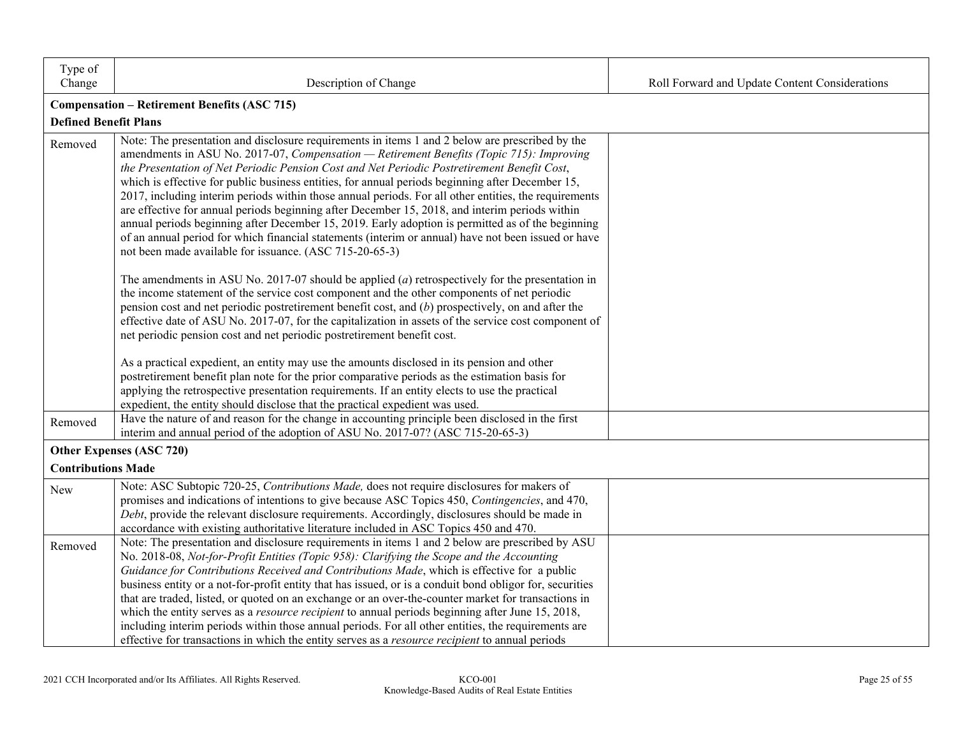| Type of<br>Change            | Description of Change                                                                                                                                                                                                                                                                                                                                                                                                                                                                                                                                                                                                                                                                                                                                                                                                                                                            | Roll Forward and Update Content Considerations |
|------------------------------|----------------------------------------------------------------------------------------------------------------------------------------------------------------------------------------------------------------------------------------------------------------------------------------------------------------------------------------------------------------------------------------------------------------------------------------------------------------------------------------------------------------------------------------------------------------------------------------------------------------------------------------------------------------------------------------------------------------------------------------------------------------------------------------------------------------------------------------------------------------------------------|------------------------------------------------|
|                              | <b>Compensation - Retirement Benefits (ASC 715)</b>                                                                                                                                                                                                                                                                                                                                                                                                                                                                                                                                                                                                                                                                                                                                                                                                                              |                                                |
| <b>Defined Benefit Plans</b> |                                                                                                                                                                                                                                                                                                                                                                                                                                                                                                                                                                                                                                                                                                                                                                                                                                                                                  |                                                |
| Removed                      | Note: The presentation and disclosure requirements in items 1 and 2 below are prescribed by the<br>amendments in ASU No. 2017-07, Compensation - Retirement Benefits (Topic 715): Improving<br>the Presentation of Net Periodic Pension Cost and Net Periodic Postretirement Benefit Cost,<br>which is effective for public business entities, for annual periods beginning after December 15,<br>2017, including interim periods within those annual periods. For all other entities, the requirements<br>are effective for annual periods beginning after December 15, 2018, and interim periods within<br>annual periods beginning after December 15, 2019. Early adoption is permitted as of the beginning<br>of an annual period for which financial statements (interim or annual) have not been issued or have<br>not been made available for issuance. (ASC 715-20-65-3) |                                                |
|                              | The amendments in ASU No. 2017-07 should be applied $(a)$ retrospectively for the presentation in<br>the income statement of the service cost component and the other components of net periodic<br>pension cost and net periodic postretirement benefit cost, and $(b)$ prospectively, on and after the<br>effective date of ASU No. 2017-07, for the capitalization in assets of the service cost component of<br>net periodic pension cost and net periodic postretirement benefit cost.<br>As a practical expedient, an entity may use the amounts disclosed in its pension and other<br>postretirement benefit plan note for the prior comparative periods as the estimation basis for                                                                                                                                                                                      |                                                |
|                              | applying the retrospective presentation requirements. If an entity elects to use the practical<br>expedient, the entity should disclose that the practical expedient was used.                                                                                                                                                                                                                                                                                                                                                                                                                                                                                                                                                                                                                                                                                                   |                                                |
| Removed                      | Have the nature of and reason for the change in accounting principle been disclosed in the first<br>interim and annual period of the adoption of ASU No. 2017-07? (ASC 715-20-65-3)                                                                                                                                                                                                                                                                                                                                                                                                                                                                                                                                                                                                                                                                                              |                                                |
|                              | Other Expenses (ASC 720)                                                                                                                                                                                                                                                                                                                                                                                                                                                                                                                                                                                                                                                                                                                                                                                                                                                         |                                                |
| <b>Contributions Made</b>    |                                                                                                                                                                                                                                                                                                                                                                                                                                                                                                                                                                                                                                                                                                                                                                                                                                                                                  |                                                |
| New                          | Note: ASC Subtopic 720-25, Contributions Made, does not require disclosures for makers of<br>promises and indications of intentions to give because ASC Topics 450, Contingencies, and 470,<br>Debt, provide the relevant disclosure requirements. Accordingly, disclosures should be made in<br>accordance with existing authoritative literature included in ASC Topics 450 and 470.                                                                                                                                                                                                                                                                                                                                                                                                                                                                                           |                                                |
| Removed                      | Note: The presentation and disclosure requirements in items 1 and 2 below are prescribed by ASU<br>No. 2018-08, Not-for-Profit Entities (Topic 958): Clarifying the Scope and the Accounting<br>Guidance for Contributions Received and Contributions Made, which is effective for a public<br>business entity or a not-for-profit entity that has issued, or is a conduit bond obligor for, securities<br>that are traded, listed, or quoted on an exchange or an over-the-counter market for transactions in<br>which the entity serves as a <i>resource recipient</i> to annual periods beginning after June 15, 2018,<br>including interim periods within those annual periods. For all other entities, the requirements are<br>effective for transactions in which the entity serves as a <i>resource recipient</i> to annual periods                                       |                                                |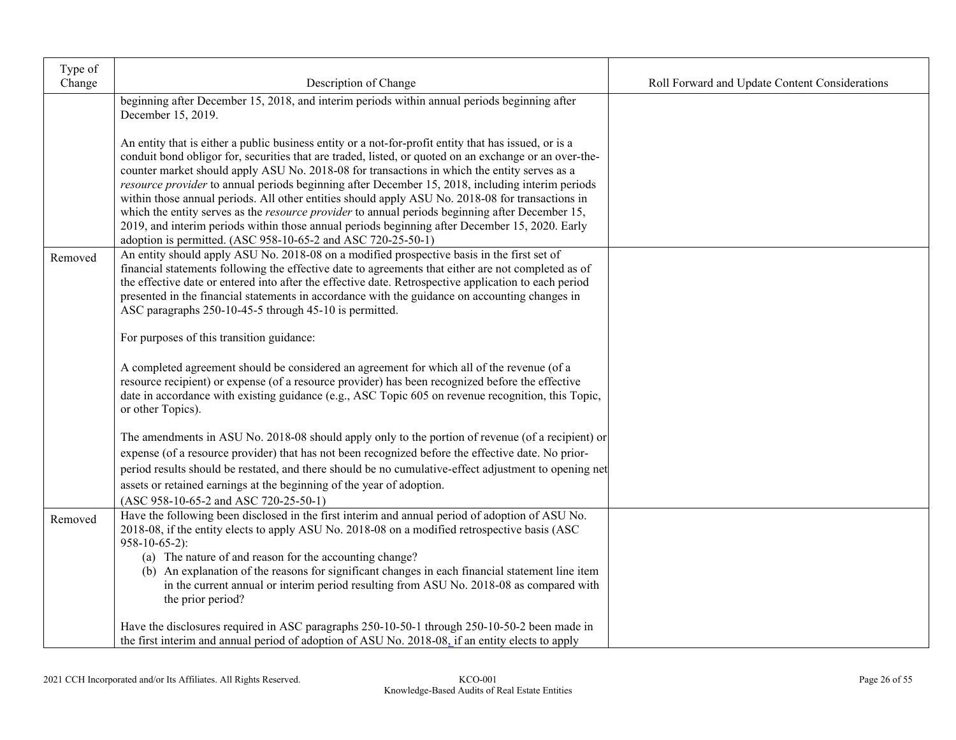| Type of<br>Change | Description of Change                                                                                                                                                                                                                                                                                                                                                                                                                                                                                                                                                                                                                                                                                                                                                                               | Roll Forward and Update Content Considerations |
|-------------------|-----------------------------------------------------------------------------------------------------------------------------------------------------------------------------------------------------------------------------------------------------------------------------------------------------------------------------------------------------------------------------------------------------------------------------------------------------------------------------------------------------------------------------------------------------------------------------------------------------------------------------------------------------------------------------------------------------------------------------------------------------------------------------------------------------|------------------------------------------------|
|                   | beginning after December 15, 2018, and interim periods within annual periods beginning after<br>December 15, 2019.                                                                                                                                                                                                                                                                                                                                                                                                                                                                                                                                                                                                                                                                                  |                                                |
|                   | An entity that is either a public business entity or a not-for-profit entity that has issued, or is a<br>conduit bond obligor for, securities that are traded, listed, or quoted on an exchange or an over-the-<br>counter market should apply ASU No. 2018-08 for transactions in which the entity serves as a<br>resource provider to annual periods beginning after December 15, 2018, including interim periods<br>within those annual periods. All other entities should apply ASU No. 2018-08 for transactions in<br>which the entity serves as the <i>resource provider</i> to annual periods beginning after December 15,<br>2019, and interim periods within those annual periods beginning after December 15, 2020. Early<br>adoption is permitted. (ASC 958-10-65-2 and ASC 720-25-50-1) |                                                |
| Removed           | An entity should apply ASU No. 2018-08 on a modified prospective basis in the first set of<br>financial statements following the effective date to agreements that either are not completed as of<br>the effective date or entered into after the effective date. Retrospective application to each period<br>presented in the financial statements in accordance with the guidance on accounting changes in<br>ASC paragraphs 250-10-45-5 through 45-10 is permitted.                                                                                                                                                                                                                                                                                                                              |                                                |
|                   | For purposes of this transition guidance:                                                                                                                                                                                                                                                                                                                                                                                                                                                                                                                                                                                                                                                                                                                                                           |                                                |
|                   | A completed agreement should be considered an agreement for which all of the revenue (of a<br>resource recipient) or expense (of a resource provider) has been recognized before the effective<br>date in accordance with existing guidance (e.g., ASC Topic 605 on revenue recognition, this Topic,<br>or other Topics).                                                                                                                                                                                                                                                                                                                                                                                                                                                                           |                                                |
|                   | The amendments in ASU No. 2018-08 should apply only to the portion of revenue (of a recipient) or<br>expense (of a resource provider) that has not been recognized before the effective date. No prior-<br>period results should be restated, and there should be no cumulative-effect adjustment to opening net<br>assets or retained earnings at the beginning of the year of adoption.<br>(ASC 958-10-65-2 and ASC 720-25-50-1)                                                                                                                                                                                                                                                                                                                                                                  |                                                |
| Removed           | Have the following been disclosed in the first interim and annual period of adoption of ASU No.<br>2018-08, if the entity elects to apply ASU No. 2018-08 on a modified retrospective basis (ASC<br>$958-10-65-2$ :<br>(a) The nature of and reason for the accounting change?<br>(b) An explanation of the reasons for significant changes in each financial statement line item<br>in the current annual or interim period resulting from ASU No. 2018-08 as compared with<br>the prior period?                                                                                                                                                                                                                                                                                                   |                                                |
|                   | Have the disclosures required in ASC paragraphs 250-10-50-1 through 250-10-50-2 been made in<br>the first interim and annual period of adoption of ASU No. 2018-08, if an entity elects to apply                                                                                                                                                                                                                                                                                                                                                                                                                                                                                                                                                                                                    |                                                |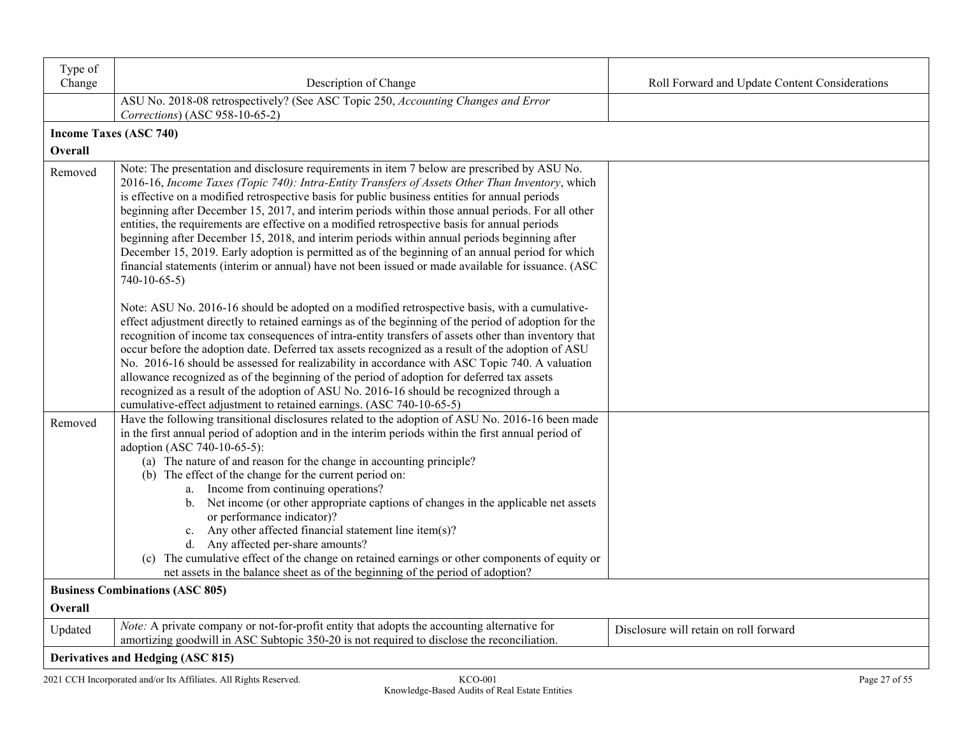| Type of<br>Change | Description of Change                                                                                                                                                                                                                                                                                                                                                                                                                                                                                                                                                                                                                                                                                                                                                                                                              | Roll Forward and Update Content Considerations |
|-------------------|------------------------------------------------------------------------------------------------------------------------------------------------------------------------------------------------------------------------------------------------------------------------------------------------------------------------------------------------------------------------------------------------------------------------------------------------------------------------------------------------------------------------------------------------------------------------------------------------------------------------------------------------------------------------------------------------------------------------------------------------------------------------------------------------------------------------------------|------------------------------------------------|
|                   | ASU No. 2018-08 retrospectively? (See ASC Topic 250, Accounting Changes and Error<br>Corrections) (ASC 958-10-65-2)                                                                                                                                                                                                                                                                                                                                                                                                                                                                                                                                                                                                                                                                                                                |                                                |
|                   | <b>Income Taxes (ASC 740)</b>                                                                                                                                                                                                                                                                                                                                                                                                                                                                                                                                                                                                                                                                                                                                                                                                      |                                                |
| Overall           |                                                                                                                                                                                                                                                                                                                                                                                                                                                                                                                                                                                                                                                                                                                                                                                                                                    |                                                |
| Removed           | Note: The presentation and disclosure requirements in item 7 below are prescribed by ASU No.<br>2016-16, Income Taxes (Topic 740): Intra-Entity Transfers of Assets Other Than Inventory, which<br>is effective on a modified retrospective basis for public business entities for annual periods<br>beginning after December 15, 2017, and interim periods within those annual periods. For all other<br>entities, the requirements are effective on a modified retrospective basis for annual periods<br>beginning after December 15, 2018, and interim periods within annual periods beginning after<br>December 15, 2019. Early adoption is permitted as of the beginning of an annual period for which<br>financial statements (interim or annual) have not been issued or made available for issuance. (ASC<br>$740-10-65-5$ |                                                |
|                   | Note: ASU No. 2016-16 should be adopted on a modified retrospective basis, with a cumulative-<br>effect adjustment directly to retained earnings as of the beginning of the period of adoption for the<br>recognition of income tax consequences of intra-entity transfers of assets other than inventory that<br>occur before the adoption date. Deferred tax assets recognized as a result of the adoption of ASU<br>No. 2016-16 should be assessed for realizability in accordance with ASC Topic 740. A valuation<br>allowance recognized as of the beginning of the period of adoption for deferred tax assets<br>recognized as a result of the adoption of ASU No. 2016-16 should be recognized through a<br>cumulative-effect adjustment to retained earnings. (ASC 740-10-65-5)                                            |                                                |
| Removed           | Have the following transitional disclosures related to the adoption of ASU No. 2016-16 been made<br>in the first annual period of adoption and in the interim periods within the first annual period of<br>adoption (ASC 740-10-65-5):<br>(a) The nature of and reason for the change in accounting principle?<br>(b) The effect of the change for the current period on:<br>a. Income from continuing operations?<br>b. Net income (or other appropriate captions of changes in the applicable net assets<br>or performance indicator)?<br>c. Any other affected financial statement line item(s)?<br>d. Any affected per-share amounts?<br>(c) The cumulative effect of the change on retained earnings or other components of equity or<br>net assets in the balance sheet as of the beginning of the period of adoption?       |                                                |
|                   | <b>Business Combinations (ASC 805)</b>                                                                                                                                                                                                                                                                                                                                                                                                                                                                                                                                                                                                                                                                                                                                                                                             |                                                |
| Overall           |                                                                                                                                                                                                                                                                                                                                                                                                                                                                                                                                                                                                                                                                                                                                                                                                                                    |                                                |
| Updated           | Note: A private company or not-for-profit entity that adopts the accounting alternative for<br>amortizing goodwill in ASC Subtopic 350-20 is not required to disclose the reconciliation.                                                                                                                                                                                                                                                                                                                                                                                                                                                                                                                                                                                                                                          | Disclosure will retain on roll forward         |
|                   | Derivatives and Hedging (ASC 815)                                                                                                                                                                                                                                                                                                                                                                                                                                                                                                                                                                                                                                                                                                                                                                                                  |                                                |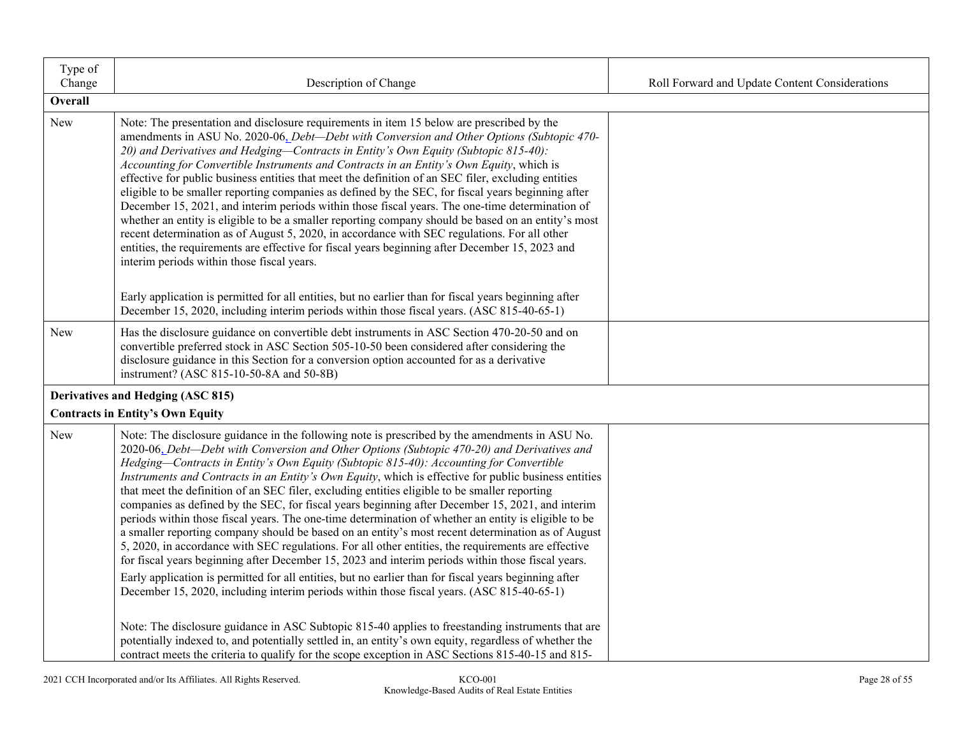| Type of<br>Change | Description of Change                                                                                                                                                                                                                                                                                                                                                                                                                                                                                                                                                                                                                                                                                                                                                                                                                                                                                                                                                                                                                                                                                                                                                                                                                                                                                                                                                                                                                                                                                                                                 | Roll Forward and Update Content Considerations |
|-------------------|-------------------------------------------------------------------------------------------------------------------------------------------------------------------------------------------------------------------------------------------------------------------------------------------------------------------------------------------------------------------------------------------------------------------------------------------------------------------------------------------------------------------------------------------------------------------------------------------------------------------------------------------------------------------------------------------------------------------------------------------------------------------------------------------------------------------------------------------------------------------------------------------------------------------------------------------------------------------------------------------------------------------------------------------------------------------------------------------------------------------------------------------------------------------------------------------------------------------------------------------------------------------------------------------------------------------------------------------------------------------------------------------------------------------------------------------------------------------------------------------------------------------------------------------------------|------------------------------------------------|
| Overall           |                                                                                                                                                                                                                                                                                                                                                                                                                                                                                                                                                                                                                                                                                                                                                                                                                                                                                                                                                                                                                                                                                                                                                                                                                                                                                                                                                                                                                                                                                                                                                       |                                                |
| New               | Note: The presentation and disclosure requirements in item 15 below are prescribed by the<br>amendments in ASU No. 2020-06, Debt-Debt with Conversion and Other Options (Subtopic 470-<br>20) and Derivatives and Hedging-Contracts in Entity's Own Equity (Subtopic 815-40):<br>Accounting for Convertible Instruments and Contracts in an Entity's Own Equity, which is<br>effective for public business entities that meet the definition of an SEC filer, excluding entities<br>eligible to be smaller reporting companies as defined by the SEC, for fiscal years beginning after<br>December 15, 2021, and interim periods within those fiscal years. The one-time determination of<br>whether an entity is eligible to be a smaller reporting company should be based on an entity's most<br>recent determination as of August 5, 2020, in accordance with SEC regulations. For all other<br>entities, the requirements are effective for fiscal years beginning after December 15, 2023 and<br>interim periods within those fiscal years.                                                                                                                                                                                                                                                                                                                                                                                                                                                                                                     |                                                |
|                   | Early application is permitted for all entities, but no earlier than for fiscal years beginning after<br>December 15, 2020, including interim periods within those fiscal years. (ASC 815-40-65-1)                                                                                                                                                                                                                                                                                                                                                                                                                                                                                                                                                                                                                                                                                                                                                                                                                                                                                                                                                                                                                                                                                                                                                                                                                                                                                                                                                    |                                                |
| New               | Has the disclosure guidance on convertible debt instruments in ASC Section 470-20-50 and on<br>convertible preferred stock in ASC Section 505-10-50 been considered after considering the<br>disclosure guidance in this Section for a conversion option accounted for as a derivative<br>instrument? (ASC 815-10-50-8A and 50-8B)                                                                                                                                                                                                                                                                                                                                                                                                                                                                                                                                                                                                                                                                                                                                                                                                                                                                                                                                                                                                                                                                                                                                                                                                                    |                                                |
|                   | Derivatives and Hedging (ASC 815)<br><b>Contracts in Entity's Own Equity</b>                                                                                                                                                                                                                                                                                                                                                                                                                                                                                                                                                                                                                                                                                                                                                                                                                                                                                                                                                                                                                                                                                                                                                                                                                                                                                                                                                                                                                                                                          |                                                |
| New               | Note: The disclosure guidance in the following note is prescribed by the amendments in ASU No.<br>2020-06, Debt-Debt with Conversion and Other Options (Subtopic 470-20) and Derivatives and<br>Hedging-Contracts in Entity's Own Equity (Subtopic 815-40): Accounting for Convertible<br>Instruments and Contracts in an Entity's Own Equity, which is effective for public business entities<br>that meet the definition of an SEC filer, excluding entities eligible to be smaller reporting<br>companies as defined by the SEC, for fiscal years beginning after December 15, 2021, and interim<br>periods within those fiscal years. The one-time determination of whether an entity is eligible to be<br>a smaller reporting company should be based on an entity's most recent determination as of August<br>5, 2020, in accordance with SEC regulations. For all other entities, the requirements are effective<br>for fiscal years beginning after December 15, 2023 and interim periods within those fiscal years.<br>Early application is permitted for all entities, but no earlier than for fiscal years beginning after<br>December 15, 2020, including interim periods within those fiscal years. (ASC 815-40-65-1)<br>Note: The disclosure guidance in ASC Subtopic 815-40 applies to freestanding instruments that are<br>potentially indexed to, and potentially settled in, an entity's own equity, regardless of whether the<br>contract meets the criteria to qualify for the scope exception in ASC Sections 815-40-15 and 815- |                                                |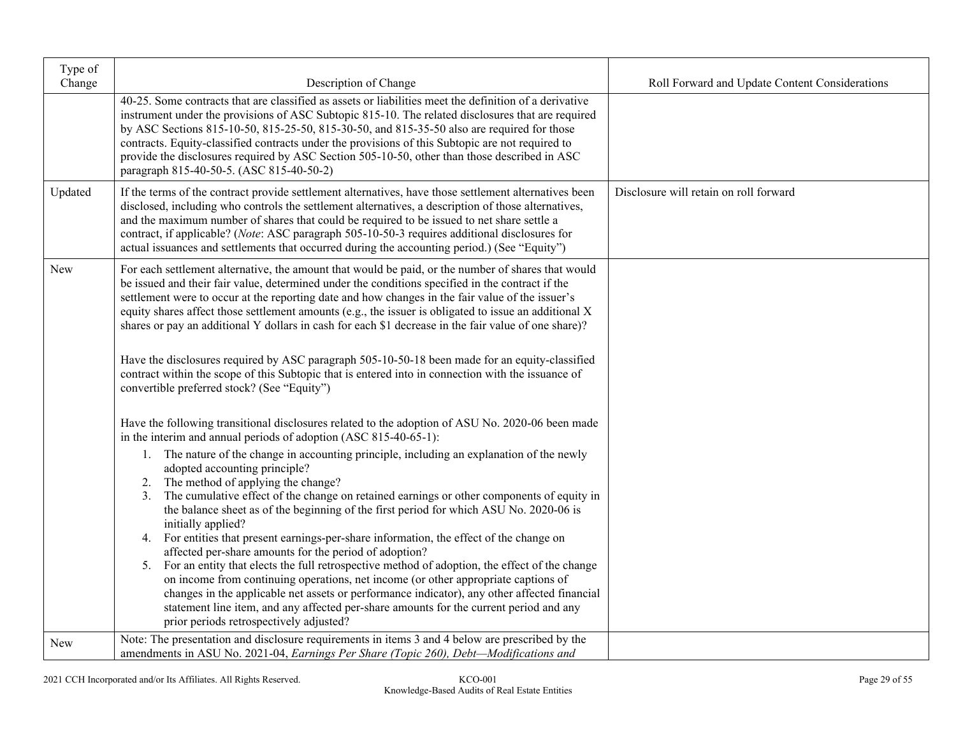| Type of<br>Change | Description of Change                                                                                                                                                                                                                                                                                                                                                                                                                                                                                                                                                                                                         | Roll Forward and Update Content Considerations |
|-------------------|-------------------------------------------------------------------------------------------------------------------------------------------------------------------------------------------------------------------------------------------------------------------------------------------------------------------------------------------------------------------------------------------------------------------------------------------------------------------------------------------------------------------------------------------------------------------------------------------------------------------------------|------------------------------------------------|
|                   | 40-25. Some contracts that are classified as assets or liabilities meet the definition of a derivative<br>instrument under the provisions of ASC Subtopic 815-10. The related disclosures that are required<br>by ASC Sections 815-10-50, 815-25-50, 815-30-50, and 815-35-50 also are required for those<br>contracts. Equity-classified contracts under the provisions of this Subtopic are not required to<br>provide the disclosures required by ASC Section 505-10-50, other than those described in ASC<br>paragraph 815-40-50-5. (ASC 815-40-50-2)                                                                     |                                                |
| Updated           | If the terms of the contract provide settlement alternatives, have those settlement alternatives been<br>disclosed, including who controls the settlement alternatives, a description of those alternatives,<br>and the maximum number of shares that could be required to be issued to net share settle a<br>contract, if applicable? (Note: ASC paragraph 505-10-50-3 requires additional disclosures for<br>actual issuances and settlements that occurred during the accounting period.) (See "Equity")                                                                                                                   | Disclosure will retain on roll forward         |
| New               | For each settlement alternative, the amount that would be paid, or the number of shares that would<br>be issued and their fair value, determined under the conditions specified in the contract if the<br>settlement were to occur at the reporting date and how changes in the fair value of the issuer's<br>equity shares affect those settlement amounts (e.g., the issuer is obligated to issue an additional X<br>shares or pay an additional Y dollars in cash for each \$1 decrease in the fair value of one share)?<br>Have the disclosures required by ASC paragraph 505-10-50-18 been made for an equity-classified |                                                |
|                   | contract within the scope of this Subtopic that is entered into in connection with the issuance of<br>convertible preferred stock? (See "Equity")                                                                                                                                                                                                                                                                                                                                                                                                                                                                             |                                                |
|                   | Have the following transitional disclosures related to the adoption of ASU No. 2020-06 been made<br>in the interim and annual periods of adoption (ASC 815-40-65-1):                                                                                                                                                                                                                                                                                                                                                                                                                                                          |                                                |
|                   | 1. The nature of the change in accounting principle, including an explanation of the newly<br>adopted accounting principle?<br>2. The method of applying the change?                                                                                                                                                                                                                                                                                                                                                                                                                                                          |                                                |
|                   | 3. The cumulative effect of the change on retained earnings or other components of equity in<br>the balance sheet as of the beginning of the first period for which ASU No. 2020-06 is<br>initially applied?                                                                                                                                                                                                                                                                                                                                                                                                                  |                                                |
|                   | 4. For entities that present earnings-per-share information, the effect of the change on<br>affected per-share amounts for the period of adoption?                                                                                                                                                                                                                                                                                                                                                                                                                                                                            |                                                |
|                   | For an entity that elects the full retrospective method of adoption, the effect of the change<br>5.<br>on income from continuing operations, net income (or other appropriate captions of                                                                                                                                                                                                                                                                                                                                                                                                                                     |                                                |
|                   | changes in the applicable net assets or performance indicator), any other affected financial<br>statement line item, and any affected per-share amounts for the current period and any<br>prior periods retrospectively adjusted?                                                                                                                                                                                                                                                                                                                                                                                             |                                                |
| New               | Note: The presentation and disclosure requirements in items 3 and 4 below are prescribed by the<br>amendments in ASU No. 2021-04, Earnings Per Share (Topic 260), Debt-Modifications and                                                                                                                                                                                                                                                                                                                                                                                                                                      |                                                |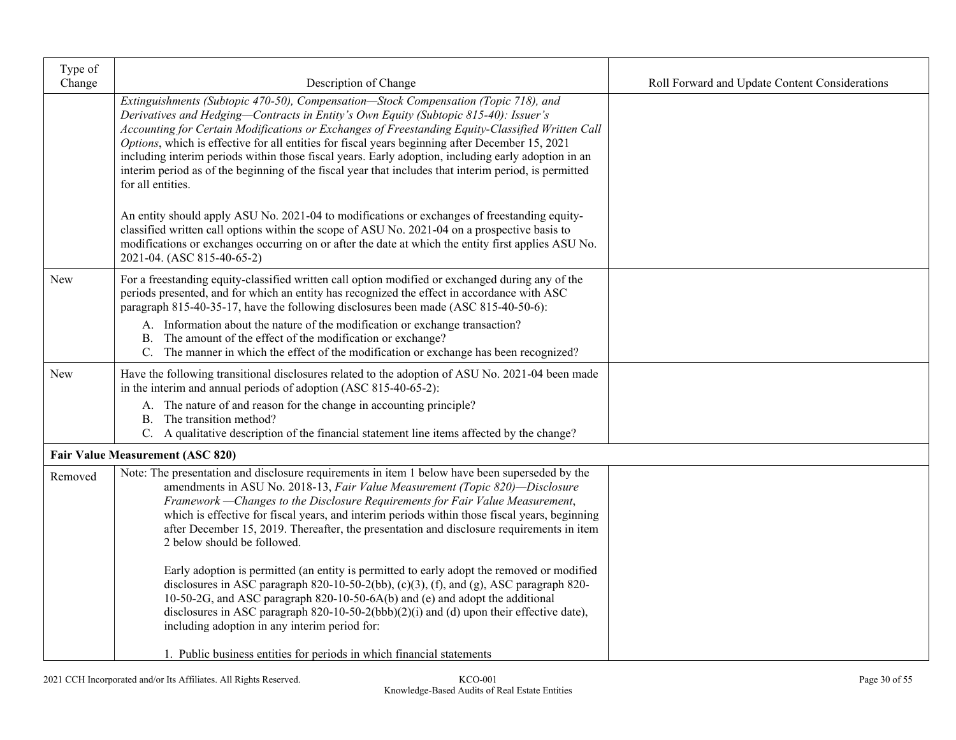| Type of<br>Change | Description of Change                                                                                                                                                                                                                                                                                                                                                                                                                                                                                                                                                                                                   | Roll Forward and Update Content Considerations |
|-------------------|-------------------------------------------------------------------------------------------------------------------------------------------------------------------------------------------------------------------------------------------------------------------------------------------------------------------------------------------------------------------------------------------------------------------------------------------------------------------------------------------------------------------------------------------------------------------------------------------------------------------------|------------------------------------------------|
|                   | Extinguishments (Subtopic 470-50), Compensation-Stock Compensation (Topic 718), and<br>Derivatives and Hedging-Contracts in Entity's Own Equity (Subtopic 815-40): Issuer's<br>Accounting for Certain Modifications or Exchanges of Freestanding Equity-Classified Written Call<br>Options, which is effective for all entities for fiscal years beginning after December 15, 2021<br>including interim periods within those fiscal years. Early adoption, including early adoption in an<br>interim period as of the beginning of the fiscal year that includes that interim period, is permitted<br>for all entities. |                                                |
|                   | An entity should apply ASU No. 2021-04 to modifications or exchanges of freestanding equity-<br>classified written call options within the scope of ASU No. 2021-04 on a prospective basis to<br>modifications or exchanges occurring on or after the date at which the entity first applies ASU No.<br>2021-04. (ASC 815-40-65-2)                                                                                                                                                                                                                                                                                      |                                                |
| <b>New</b>        | For a freestanding equity-classified written call option modified or exchanged during any of the<br>periods presented, and for which an entity has recognized the effect in accordance with ASC<br>paragraph 815-40-35-17, have the following disclosures been made (ASC 815-40-50-6):                                                                                                                                                                                                                                                                                                                                  |                                                |
|                   | A. Information about the nature of the modification or exchange transaction?<br>B. The amount of the effect of the modification or exchange?<br>C. The manner in which the effect of the modification or exchange has been recognized?                                                                                                                                                                                                                                                                                                                                                                                  |                                                |
| New               | Have the following transitional disclosures related to the adoption of ASU No. 2021-04 been made<br>in the interim and annual periods of adoption (ASC 815-40-65-2):                                                                                                                                                                                                                                                                                                                                                                                                                                                    |                                                |
|                   | A. The nature of and reason for the change in accounting principle?<br>B. The transition method?<br>C. A qualitative description of the financial statement line items affected by the change?                                                                                                                                                                                                                                                                                                                                                                                                                          |                                                |
|                   | <b>Fair Value Measurement (ASC 820)</b>                                                                                                                                                                                                                                                                                                                                                                                                                                                                                                                                                                                 |                                                |
| Removed           | Note: The presentation and disclosure requirements in item 1 below have been superseded by the<br>amendments in ASU No. 2018-13, Fair Value Measurement (Topic 820)-Disclosure<br>Framework - Changes to the Disclosure Requirements for Fair Value Measurement,<br>which is effective for fiscal years, and interim periods within those fiscal years, beginning<br>after December 15, 2019. Thereafter, the presentation and disclosure requirements in item<br>2 below should be followed.                                                                                                                           |                                                |
|                   | Early adoption is permitted (an entity is permitted to early adopt the removed or modified<br>disclosures in ASC paragraph 820-10-50-2(bb), $(c)(3)$ , $(f)$ , and $(g)$ , ASC paragraph 820-<br>10-50-2G, and ASC paragraph 820-10-50-6A(b) and (e) and adopt the additional<br>disclosures in ASC paragraph 820-10-50-2(bbb)(2)(i) and (d) upon their effective date),<br>including adoption in any interim period for:                                                                                                                                                                                               |                                                |
|                   | 1. Public business entities for periods in which financial statements                                                                                                                                                                                                                                                                                                                                                                                                                                                                                                                                                   |                                                |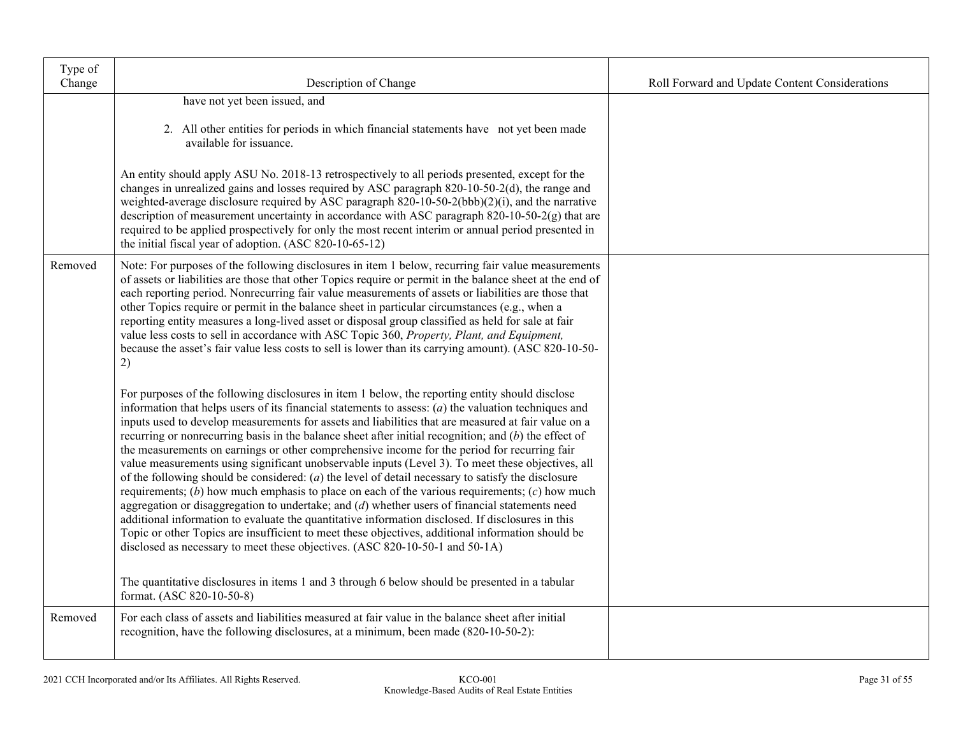| Type of<br>Change | Description of Change                                                                                                                                                                                                                                                                                                                                                                                                                                                                                                                                                                                                                                                                                                                                                                                                                                                                                                                                                                                                                                                                                                                                                                                                                        | Roll Forward and Update Content Considerations |
|-------------------|----------------------------------------------------------------------------------------------------------------------------------------------------------------------------------------------------------------------------------------------------------------------------------------------------------------------------------------------------------------------------------------------------------------------------------------------------------------------------------------------------------------------------------------------------------------------------------------------------------------------------------------------------------------------------------------------------------------------------------------------------------------------------------------------------------------------------------------------------------------------------------------------------------------------------------------------------------------------------------------------------------------------------------------------------------------------------------------------------------------------------------------------------------------------------------------------------------------------------------------------|------------------------------------------------|
|                   | have not yet been issued, and                                                                                                                                                                                                                                                                                                                                                                                                                                                                                                                                                                                                                                                                                                                                                                                                                                                                                                                                                                                                                                                                                                                                                                                                                |                                                |
|                   | 2. All other entities for periods in which financial statements have not yet been made<br>available for issuance.                                                                                                                                                                                                                                                                                                                                                                                                                                                                                                                                                                                                                                                                                                                                                                                                                                                                                                                                                                                                                                                                                                                            |                                                |
|                   | An entity should apply ASU No. 2018-13 retrospectively to all periods presented, except for the<br>changes in unrealized gains and losses required by ASC paragraph 820-10-50-2(d), the range and<br>weighted-average disclosure required by ASC paragraph 820-10-50-2(bbb)(2)(i), and the narrative<br>description of measurement uncertainty in accordance with ASC paragraph 820-10-50-2(g) that are<br>required to be applied prospectively for only the most recent interim or annual period presented in<br>the initial fiscal year of adoption. (ASC 820-10-65-12)                                                                                                                                                                                                                                                                                                                                                                                                                                                                                                                                                                                                                                                                    |                                                |
| Removed           | Note: For purposes of the following disclosures in item 1 below, recurring fair value measurements<br>of assets or liabilities are those that other Topics require or permit in the balance sheet at the end of<br>each reporting period. Nonrecurring fair value measurements of assets or liabilities are those that<br>other Topics require or permit in the balance sheet in particular circumstances (e.g., when a<br>reporting entity measures a long-lived asset or disposal group classified as held for sale at fair<br>value less costs to sell in accordance with ASC Topic 360, Property, Plant, and Equipment,<br>because the asset's fair value less costs to sell is lower than its carrying amount). (ASC 820-10-50-<br>2)                                                                                                                                                                                                                                                                                                                                                                                                                                                                                                   |                                                |
|                   | For purposes of the following disclosures in item 1 below, the reporting entity should disclose<br>information that helps users of its financial statements to assess: $(a)$ the valuation techniques and<br>inputs used to develop measurements for assets and liabilities that are measured at fair value on a<br>recurring or nonrecurring basis in the balance sheet after initial recognition; and $(b)$ the effect of<br>the measurements on earnings or other comprehensive income for the period for recurring fair<br>value measurements using significant unobservable inputs (Level 3). To meet these objectives, all<br>of the following should be considered: $(a)$ the level of detail necessary to satisfy the disclosure<br>requirements; $(b)$ how much emphasis to place on each of the various requirements; $(c)$ how much<br>aggregation or disaggregation to undertake; and $(d)$ whether users of financial statements need<br>additional information to evaluate the quantitative information disclosed. If disclosures in this<br>Topic or other Topics are insufficient to meet these objectives, additional information should be<br>disclosed as necessary to meet these objectives. (ASC 820-10-50-1 and 50-1A) |                                                |
|                   | The quantitative disclosures in items 1 and 3 through 6 below should be presented in a tabular<br>format. (ASC 820-10-50-8)                                                                                                                                                                                                                                                                                                                                                                                                                                                                                                                                                                                                                                                                                                                                                                                                                                                                                                                                                                                                                                                                                                                  |                                                |
| Removed           | For each class of assets and liabilities measured at fair value in the balance sheet after initial<br>recognition, have the following disclosures, at a minimum, been made (820-10-50-2):                                                                                                                                                                                                                                                                                                                                                                                                                                                                                                                                                                                                                                                                                                                                                                                                                                                                                                                                                                                                                                                    |                                                |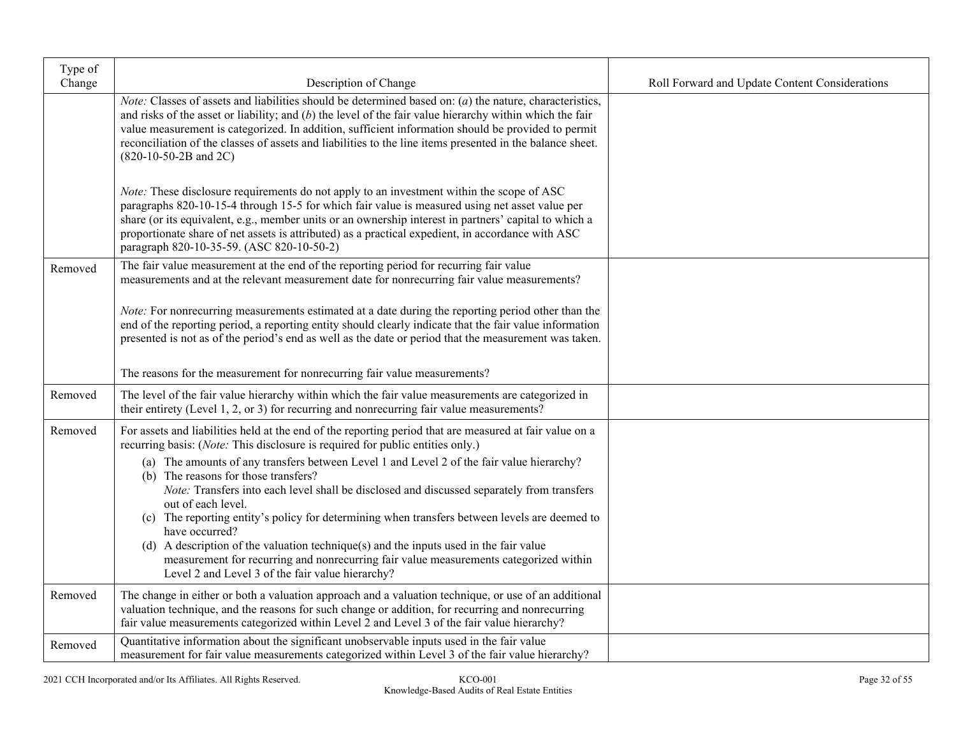| Type of<br>Change | Description of Change                                                                                                                                                                                                                                                                                                                                                                                                                                                                                                                                                                                          | Roll Forward and Update Content Considerations |
|-------------------|----------------------------------------------------------------------------------------------------------------------------------------------------------------------------------------------------------------------------------------------------------------------------------------------------------------------------------------------------------------------------------------------------------------------------------------------------------------------------------------------------------------------------------------------------------------------------------------------------------------|------------------------------------------------|
|                   | <i>Note:</i> Classes of assets and liabilities should be determined based on: $(a)$ the nature, characteristics,<br>and risks of the asset or liability; and $(b)$ the level of the fair value hierarchy within which the fair<br>value measurement is categorized. In addition, sufficient information should be provided to permit<br>reconciliation of the classes of assets and liabilities to the line items presented in the balance sheet.<br>$(820-10-50-2B$ and $2C)$                                                                                                                                 |                                                |
|                   | <i>Note:</i> These disclosure requirements do not apply to an investment within the scope of ASC<br>paragraphs 820-10-15-4 through 15-5 for which fair value is measured using net asset value per<br>share (or its equivalent, e.g., member units or an ownership interest in partners' capital to which a<br>proportionate share of net assets is attributed) as a practical expedient, in accordance with ASC<br>paragraph 820-10-35-59. (ASC 820-10-50-2)                                                                                                                                                  |                                                |
| Removed           | The fair value measurement at the end of the reporting period for recurring fair value<br>measurements and at the relevant measurement date for nonrecurring fair value measurements?                                                                                                                                                                                                                                                                                                                                                                                                                          |                                                |
|                   | Note: For nonrecurring measurements estimated at a date during the reporting period other than the<br>end of the reporting period, a reporting entity should clearly indicate that the fair value information<br>presented is not as of the period's end as well as the date or period that the measurement was taken.                                                                                                                                                                                                                                                                                         |                                                |
|                   | The reasons for the measurement for nonrecurring fair value measurements?                                                                                                                                                                                                                                                                                                                                                                                                                                                                                                                                      |                                                |
| Removed           | The level of the fair value hierarchy within which the fair value measurements are categorized in<br>their entirety (Level 1, 2, or 3) for recurring and nonrecurring fair value measurements?                                                                                                                                                                                                                                                                                                                                                                                                                 |                                                |
| Removed           | For assets and liabilities held at the end of the reporting period that are measured at fair value on a<br>recurring basis: (Note: This disclosure is required for public entities only.)                                                                                                                                                                                                                                                                                                                                                                                                                      |                                                |
|                   | (a) The amounts of any transfers between Level 1 and Level 2 of the fair value hierarchy?<br>(b) The reasons for those transfers?<br>Note: Transfers into each level shall be disclosed and discussed separately from transfers<br>out of each level.<br>(c) The reporting entity's policy for determining when transfers between levels are deemed to<br>have occurred?<br>(d) A description of the valuation technique(s) and the inputs used in the fair value<br>measurement for recurring and nonrecurring fair value measurements categorized within<br>Level 2 and Level 3 of the fair value hierarchy? |                                                |
| Removed           | The change in either or both a valuation approach and a valuation technique, or use of an additional<br>valuation technique, and the reasons for such change or addition, for recurring and nonrecurring<br>fair value measurements categorized within Level 2 and Level 3 of the fair value hierarchy?                                                                                                                                                                                                                                                                                                        |                                                |
| Removed           | Quantitative information about the significant unobservable inputs used in the fair value<br>measurement for fair value measurements categorized within Level 3 of the fair value hierarchy?                                                                                                                                                                                                                                                                                                                                                                                                                   |                                                |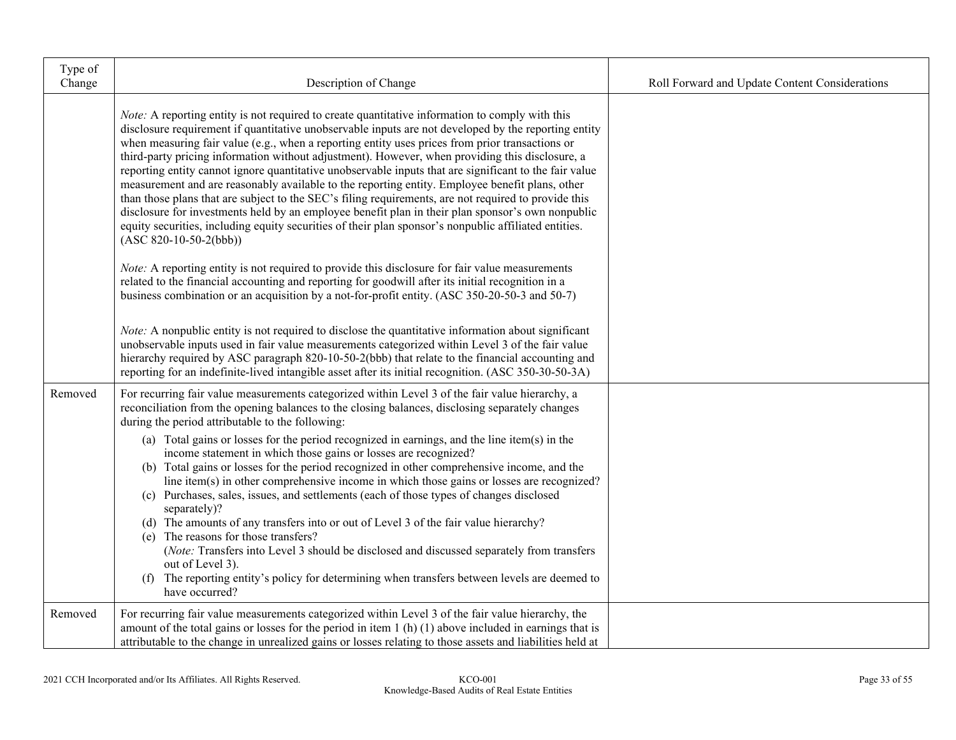| Type of<br>Change | Description of Change                                                                                                                                                                                                                                                                                                                                                                                                                                                                                                                                                                                                                                                                                                                                                                                                                                                                                                                                                                                                                                                                                                                                                                                                                                                                                                                                                                                                                                                                                                                                                                                       | Roll Forward and Update Content Considerations |
|-------------------|-------------------------------------------------------------------------------------------------------------------------------------------------------------------------------------------------------------------------------------------------------------------------------------------------------------------------------------------------------------------------------------------------------------------------------------------------------------------------------------------------------------------------------------------------------------------------------------------------------------------------------------------------------------------------------------------------------------------------------------------------------------------------------------------------------------------------------------------------------------------------------------------------------------------------------------------------------------------------------------------------------------------------------------------------------------------------------------------------------------------------------------------------------------------------------------------------------------------------------------------------------------------------------------------------------------------------------------------------------------------------------------------------------------------------------------------------------------------------------------------------------------------------------------------------------------------------------------------------------------|------------------------------------------------|
|                   | <i>Note:</i> A reporting entity is not required to create quantitative information to comply with this<br>disclosure requirement if quantitative unobservable inputs are not developed by the reporting entity<br>when measuring fair value (e.g., when a reporting entity uses prices from prior transactions or<br>third-party pricing information without adjustment). However, when providing this disclosure, a<br>reporting entity cannot ignore quantitative unobservable inputs that are significant to the fair value<br>measurement and are reasonably available to the reporting entity. Employee benefit plans, other<br>than those plans that are subject to the SEC's filing requirements, are not required to provide this<br>disclosure for investments held by an employee benefit plan in their plan sponsor's own nonpublic<br>equity securities, including equity securities of their plan sponsor's nonpublic affiliated entities.<br>$(ASC 820-10-50-2(bbb))$<br>Note: A reporting entity is not required to provide this disclosure for fair value measurements<br>related to the financial accounting and reporting for goodwill after its initial recognition in a<br>business combination or an acquisition by a not-for-profit entity. (ASC 350-20-50-3 and 50-7)<br>Note: A nonpublic entity is not required to disclose the quantitative information about significant<br>unobservable inputs used in fair value measurements categorized within Level 3 of the fair value<br>hierarchy required by ASC paragraph 820-10-50-2(bbb) that relate to the financial accounting and |                                                |
| Removed           | reporting for an indefinite-lived intangible asset after its initial recognition. (ASC 350-30-50-3A)<br>For recurring fair value measurements categorized within Level 3 of the fair value hierarchy, a<br>reconciliation from the opening balances to the closing balances, disclosing separately changes<br>during the period attributable to the following:<br>(a) Total gains or losses for the period recognized in earnings, and the line item(s) in the<br>income statement in which those gains or losses are recognized?<br>(b) Total gains or losses for the period recognized in other comprehensive income, and the<br>line item(s) in other comprehensive income in which those gains or losses are recognized?<br>(c) Purchases, sales, issues, and settlements (each of those types of changes disclosed<br>separately)?<br>(d) The amounts of any transfers into or out of Level 3 of the fair value hierarchy?<br>(e) The reasons for those transfers?<br>(Note: Transfers into Level 3 should be disclosed and discussed separately from transfers<br>out of Level 3).<br>(f) The reporting entity's policy for determining when transfers between levels are deemed to<br>have occurred?                                                                                                                                                                                                                                                                                                                                                                                                 |                                                |
| Removed           | For recurring fair value measurements categorized within Level 3 of the fair value hierarchy, the<br>amount of the total gains or losses for the period in item $1(h)(1)$ above included in earnings that is<br>attributable to the change in unrealized gains or losses relating to those assets and liabilities held at                                                                                                                                                                                                                                                                                                                                                                                                                                                                                                                                                                                                                                                                                                                                                                                                                                                                                                                                                                                                                                                                                                                                                                                                                                                                                   |                                                |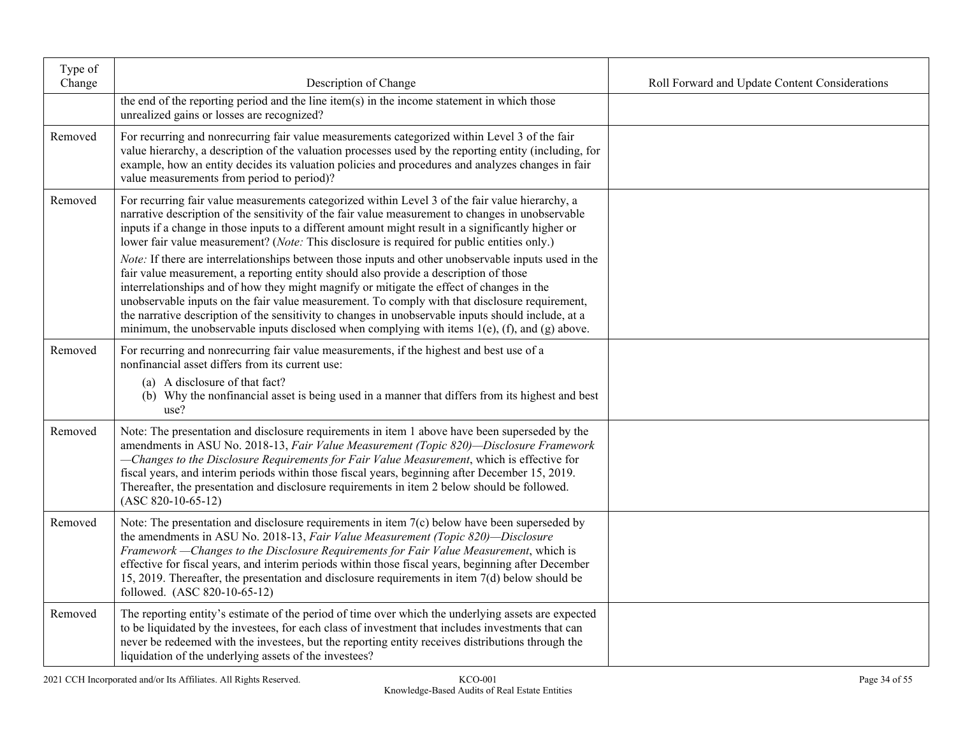| Type of<br>Change | Description of Change                                                                                                                                                                                                                                                                                                                                                                                                                                                                                                                                                                                    | Roll Forward and Update Content Considerations |
|-------------------|----------------------------------------------------------------------------------------------------------------------------------------------------------------------------------------------------------------------------------------------------------------------------------------------------------------------------------------------------------------------------------------------------------------------------------------------------------------------------------------------------------------------------------------------------------------------------------------------------------|------------------------------------------------|
|                   | the end of the reporting period and the line item(s) in the income statement in which those<br>unrealized gains or losses are recognized?                                                                                                                                                                                                                                                                                                                                                                                                                                                                |                                                |
| Removed           | For recurring and nonrecurring fair value measurements categorized within Level 3 of the fair<br>value hierarchy, a description of the valuation processes used by the reporting entity (including, for<br>example, how an entity decides its valuation policies and procedures and analyzes changes in fair<br>value measurements from period to period)?                                                                                                                                                                                                                                               |                                                |
| Removed           | For recurring fair value measurements categorized within Level 3 of the fair value hierarchy, a<br>narrative description of the sensitivity of the fair value measurement to changes in unobservable<br>inputs if a change in those inputs to a different amount might result in a significantly higher or<br>lower fair value measurement? (Note: This disclosure is required for public entities only.)                                                                                                                                                                                                |                                                |
|                   | Note: If there are interrelationships between those inputs and other unobservable inputs used in the<br>fair value measurement, a reporting entity should also provide a description of those<br>interrelationships and of how they might magnify or mitigate the effect of changes in the<br>unobservable inputs on the fair value measurement. To comply with that disclosure requirement,<br>the narrative description of the sensitivity to changes in unobservable inputs should include, at a<br>minimum, the unobservable inputs disclosed when complying with items $1(e)$ , (f), and (g) above. |                                                |
| Removed           | For recurring and nonrecurring fair value measurements, if the highest and best use of a<br>nonfinancial asset differs from its current use:<br>(a) A disclosure of that fact?<br>(b) Why the nonfinancial asset is being used in a manner that differs from its highest and best<br>use?                                                                                                                                                                                                                                                                                                                |                                                |
| Removed           | Note: The presentation and disclosure requirements in item 1 above have been superseded by the<br>amendments in ASU No. 2018-13, Fair Value Measurement (Topic 820)-Disclosure Framework<br>-Changes to the Disclosure Requirements for Fair Value Measurement, which is effective for<br>fiscal years, and interim periods within those fiscal years, beginning after December 15, 2019.<br>Thereafter, the presentation and disclosure requirements in item 2 below should be followed.<br>$(ASC 820-10-65-12)$                                                                                        |                                                |
| Removed           | Note: The presentation and disclosure requirements in item 7(c) below have been superseded by<br>the amendments in ASU No. 2018-13, Fair Value Measurement (Topic 820)-Disclosure<br>Framework - Changes to the Disclosure Requirements for Fair Value Measurement, which is<br>effective for fiscal years, and interim periods within those fiscal years, beginning after December<br>15, 2019. Thereafter, the presentation and disclosure requirements in item $7(d)$ below should be<br>followed. (ASC 820-10-65-12)                                                                                 |                                                |
| Removed           | The reporting entity's estimate of the period of time over which the underlying assets are expected<br>to be liquidated by the investees, for each class of investment that includes investments that can<br>never be redeemed with the investees, but the reporting entity receives distributions through the<br>liquidation of the underlying assets of the investees?                                                                                                                                                                                                                                 |                                                |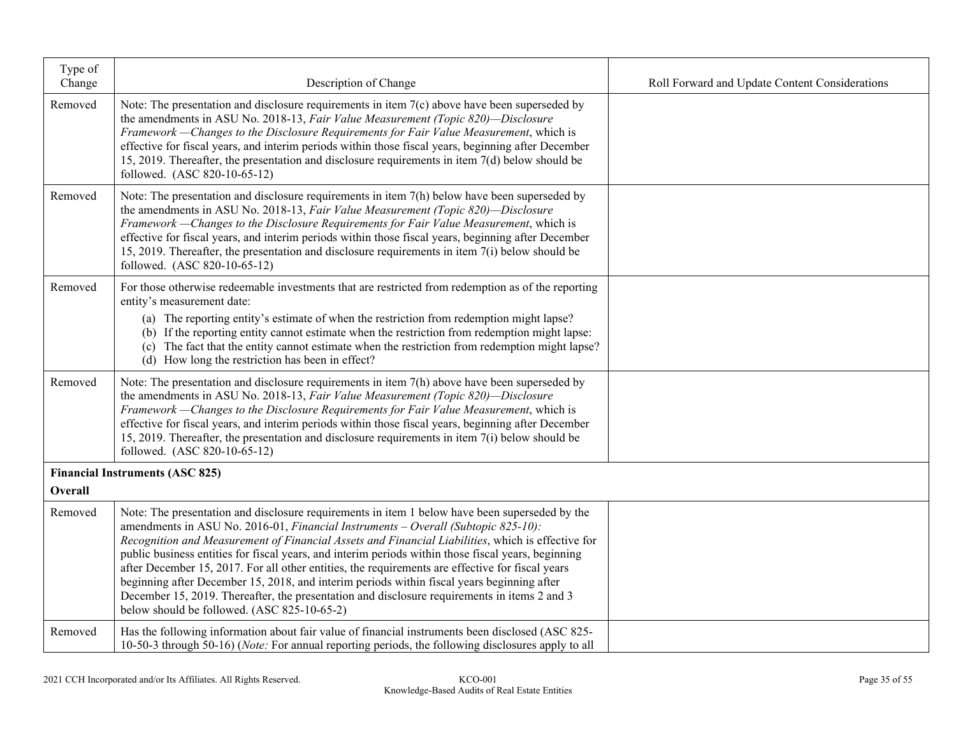| Type of<br>Change | Description of Change                                                                                                                                                                                                                                                                                                                                                                                                                                                                                                                                                                                                                                                                                                                            | Roll Forward and Update Content Considerations |
|-------------------|--------------------------------------------------------------------------------------------------------------------------------------------------------------------------------------------------------------------------------------------------------------------------------------------------------------------------------------------------------------------------------------------------------------------------------------------------------------------------------------------------------------------------------------------------------------------------------------------------------------------------------------------------------------------------------------------------------------------------------------------------|------------------------------------------------|
| Removed           | Note: The presentation and disclosure requirements in item $7(c)$ above have been superseded by<br>the amendments in ASU No. 2018-13, Fair Value Measurement (Topic 820)-Disclosure<br>Framework - Changes to the Disclosure Requirements for Fair Value Measurement, which is<br>effective for fiscal years, and interim periods within those fiscal years, beginning after December<br>15, 2019. Thereafter, the presentation and disclosure requirements in item 7(d) below should be<br>followed. (ASC 820-10-65-12)                                                                                                                                                                                                                         |                                                |
| Removed           | Note: The presentation and disclosure requirements in item $7(h)$ below have been superseded by<br>the amendments in ASU No. 2018-13, Fair Value Measurement (Topic 820)-Disclosure<br>Framework - Changes to the Disclosure Requirements for Fair Value Measurement, which is<br>effective for fiscal years, and interim periods within those fiscal years, beginning after December<br>15, 2019. Thereafter, the presentation and disclosure requirements in item $7(i)$ below should be<br>followed. (ASC 820-10-65-12)                                                                                                                                                                                                                       |                                                |
| Removed           | For those otherwise redeemable investments that are restricted from redemption as of the reporting<br>entity's measurement date:                                                                                                                                                                                                                                                                                                                                                                                                                                                                                                                                                                                                                 |                                                |
|                   | (a) The reporting entity's estimate of when the restriction from redemption might lapse?<br>(b) If the reporting entity cannot estimate when the restriction from redemption might lapse:<br>(c) The fact that the entity cannot estimate when the restriction from redemption might lapse?<br>(d) How long the restriction has been in effect?                                                                                                                                                                                                                                                                                                                                                                                                  |                                                |
| Removed           | Note: The presentation and disclosure requirements in item 7(h) above have been superseded by<br>the amendments in ASU No. 2018-13, Fair Value Measurement (Topic 820)-Disclosure<br>Framework - Changes to the Disclosure Requirements for Fair Value Measurement, which is<br>effective for fiscal years, and interim periods within those fiscal years, beginning after December<br>15, 2019. Thereafter, the presentation and disclosure requirements in item $7(i)$ below should be<br>followed. (ASC 820-10-65-12)                                                                                                                                                                                                                         |                                                |
| Overall           | <b>Financial Instruments (ASC 825)</b>                                                                                                                                                                                                                                                                                                                                                                                                                                                                                                                                                                                                                                                                                                           |                                                |
|                   |                                                                                                                                                                                                                                                                                                                                                                                                                                                                                                                                                                                                                                                                                                                                                  |                                                |
| Removed           | Note: The presentation and disclosure requirements in item 1 below have been superseded by the<br>amendments in ASU No. 2016-01, Financial Instruments - Overall (Subtopic 825-10):<br>Recognition and Measurement of Financial Assets and Financial Liabilities, which is effective for<br>public business entities for fiscal years, and interim periods within those fiscal years, beginning<br>after December 15, 2017. For all other entities, the requirements are effective for fiscal years<br>beginning after December 15, 2018, and interim periods within fiscal years beginning after<br>December 15, 2019. Thereafter, the presentation and disclosure requirements in items 2 and 3<br>below should be followed. (ASC 825-10-65-2) |                                                |
| Removed           | Has the following information about fair value of financial instruments been disclosed (ASC 825-<br>10-50-3 through 50-16) ( <i>Note:</i> For annual reporting periods, the following disclosures apply to all                                                                                                                                                                                                                                                                                                                                                                                                                                                                                                                                   |                                                |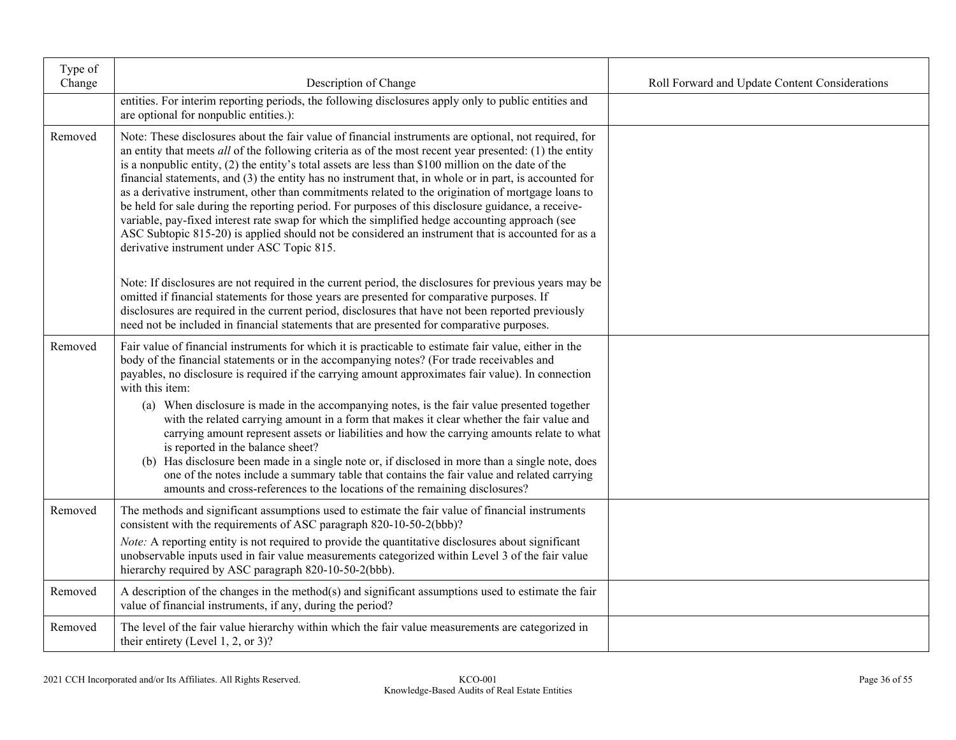| Type of<br>Change | Description of Change                                                                                                                                                                                                                                                                                                                                                                                                                                                                                                                                                                                                                                                                                                                                                                                                                                                                                | Roll Forward and Update Content Considerations |
|-------------------|------------------------------------------------------------------------------------------------------------------------------------------------------------------------------------------------------------------------------------------------------------------------------------------------------------------------------------------------------------------------------------------------------------------------------------------------------------------------------------------------------------------------------------------------------------------------------------------------------------------------------------------------------------------------------------------------------------------------------------------------------------------------------------------------------------------------------------------------------------------------------------------------------|------------------------------------------------|
|                   | entities. For interim reporting periods, the following disclosures apply only to public entities and<br>are optional for nonpublic entities.):                                                                                                                                                                                                                                                                                                                                                                                                                                                                                                                                                                                                                                                                                                                                                       |                                                |
| Removed           | Note: These disclosures about the fair value of financial instruments are optional, not required, for<br>an entity that meets all of the following criteria as of the most recent year presented: (1) the entity<br>is a nonpublic entity, $(2)$ the entity's total assets are less than \$100 million on the date of the<br>financial statements, and (3) the entity has no instrument that, in whole or in part, is accounted for<br>as a derivative instrument, other than commitments related to the origination of mortgage loans to<br>be held for sale during the reporting period. For purposes of this disclosure guidance, a receive-<br>variable, pay-fixed interest rate swap for which the simplified hedge accounting approach (see<br>ASC Subtopic 815-20) is applied should not be considered an instrument that is accounted for as a<br>derivative instrument under ASC Topic 815. |                                                |
|                   | Note: If disclosures are not required in the current period, the disclosures for previous years may be<br>omitted if financial statements for those years are presented for comparative purposes. If<br>disclosures are required in the current period, disclosures that have not been reported previously<br>need not be included in financial statements that are presented for comparative purposes.                                                                                                                                                                                                                                                                                                                                                                                                                                                                                              |                                                |
| Removed           | Fair value of financial instruments for which it is practicable to estimate fair value, either in the<br>body of the financial statements or in the accompanying notes? (For trade receivables and<br>payables, no disclosure is required if the carrying amount approximates fair value). In connection<br>with this item:                                                                                                                                                                                                                                                                                                                                                                                                                                                                                                                                                                          |                                                |
|                   | (a) When disclosure is made in the accompanying notes, is the fair value presented together<br>with the related carrying amount in a form that makes it clear whether the fair value and<br>carrying amount represent assets or liabilities and how the carrying amounts relate to what<br>is reported in the balance sheet?<br>(b) Has disclosure been made in a single note or, if disclosed in more than a single note, does<br>one of the notes include a summary table that contains the fair value and related carrying<br>amounts and cross-references to the locations of the remaining disclosures?                                                                                                                                                                                                                                                                                         |                                                |
| Removed           | The methods and significant assumptions used to estimate the fair value of financial instruments<br>consistent with the requirements of ASC paragraph 820-10-50-2(bbb)?                                                                                                                                                                                                                                                                                                                                                                                                                                                                                                                                                                                                                                                                                                                              |                                                |
|                   | Note: A reporting entity is not required to provide the quantitative disclosures about significant<br>unobservable inputs used in fair value measurements categorized within Level 3 of the fair value<br>hierarchy required by ASC paragraph 820-10-50-2(bbb).                                                                                                                                                                                                                                                                                                                                                                                                                                                                                                                                                                                                                                      |                                                |
| Removed           | A description of the changes in the method(s) and significant assumptions used to estimate the fair<br>value of financial instruments, if any, during the period?                                                                                                                                                                                                                                                                                                                                                                                                                                                                                                                                                                                                                                                                                                                                    |                                                |
| Removed           | The level of the fair value hierarchy within which the fair value measurements are categorized in<br>their entirety (Level 1, 2, or 3)?                                                                                                                                                                                                                                                                                                                                                                                                                                                                                                                                                                                                                                                                                                                                                              |                                                |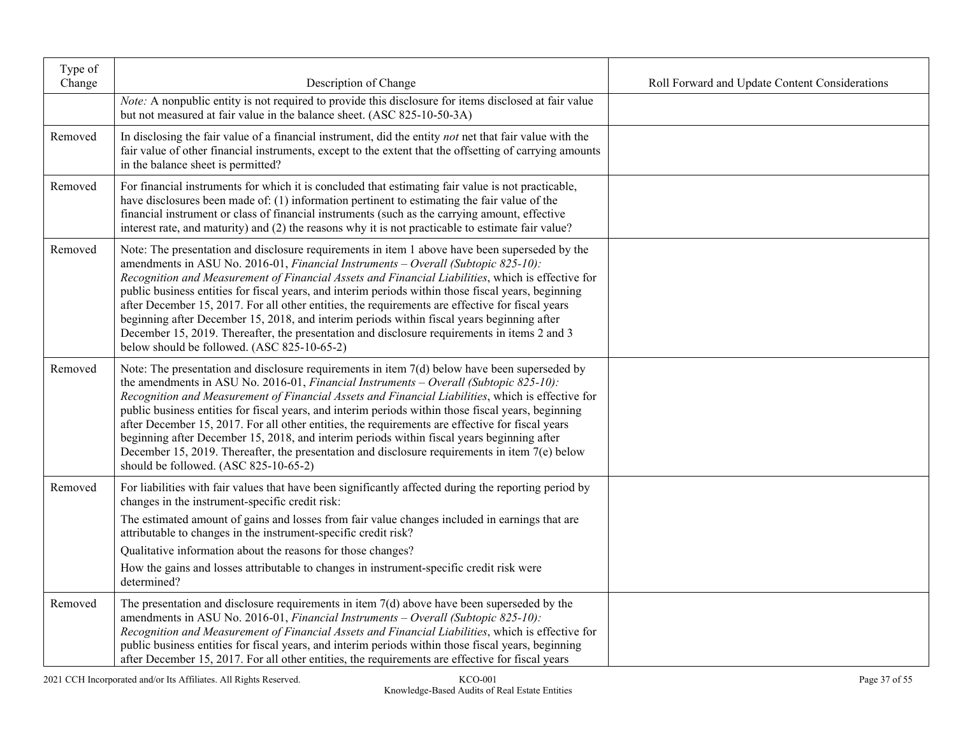| Type of<br>Change | Description of Change                                                                                                                                                                                                                                                                                                                                                                                                                                                                                                                                                                                                                                                                                                                               | Roll Forward and Update Content Considerations |
|-------------------|-----------------------------------------------------------------------------------------------------------------------------------------------------------------------------------------------------------------------------------------------------------------------------------------------------------------------------------------------------------------------------------------------------------------------------------------------------------------------------------------------------------------------------------------------------------------------------------------------------------------------------------------------------------------------------------------------------------------------------------------------------|------------------------------------------------|
|                   | Note: A nonpublic entity is not required to provide this disclosure for items disclosed at fair value<br>but not measured at fair value in the balance sheet. (ASC 825-10-50-3A)                                                                                                                                                                                                                                                                                                                                                                                                                                                                                                                                                                    |                                                |
| Removed           | In disclosing the fair value of a financial instrument, did the entity not net that fair value with the<br>fair value of other financial instruments, except to the extent that the offsetting of carrying amounts<br>in the balance sheet is permitted?                                                                                                                                                                                                                                                                                                                                                                                                                                                                                            |                                                |
| Removed           | For financial instruments for which it is concluded that estimating fair value is not practicable,<br>have disclosures been made of: (1) information pertinent to estimating the fair value of the<br>financial instrument or class of financial instruments (such as the carrying amount, effective<br>interest rate, and maturity) and (2) the reasons why it is not practicable to estimate fair value?                                                                                                                                                                                                                                                                                                                                          |                                                |
| Removed           | Note: The presentation and disclosure requirements in item 1 above have been superseded by the<br>amendments in ASU No. 2016-01, Financial Instruments - Overall (Subtopic 825-10):<br>Recognition and Measurement of Financial Assets and Financial Liabilities, which is effective for<br>public business entities for fiscal years, and interim periods within those fiscal years, beginning<br>after December 15, 2017. For all other entities, the requirements are effective for fiscal years<br>beginning after December 15, 2018, and interim periods within fiscal years beginning after<br>December 15, 2019. Thereafter, the presentation and disclosure requirements in items 2 and 3<br>below should be followed. (ASC 825-10-65-2)    |                                                |
| Removed           | Note: The presentation and disclosure requirements in item $7(d)$ below have been superseded by<br>the amendments in ASU No. 2016-01, Financial Instruments – Overall (Subtopic 825-10):<br>Recognition and Measurement of Financial Assets and Financial Liabilities, which is effective for<br>public business entities for fiscal years, and interim periods within those fiscal years, beginning<br>after December 15, 2017. For all other entities, the requirements are effective for fiscal years<br>beginning after December 15, 2018, and interim periods within fiscal years beginning after<br>December 15, 2019. Thereafter, the presentation and disclosure requirements in item $7(e)$ below<br>should be followed. (ASC 825-10-65-2) |                                                |
| Removed           | For liabilities with fair values that have been significantly affected during the reporting period by<br>changes in the instrument-specific credit risk:                                                                                                                                                                                                                                                                                                                                                                                                                                                                                                                                                                                            |                                                |
|                   | The estimated amount of gains and losses from fair value changes included in earnings that are<br>attributable to changes in the instrument-specific credit risk?                                                                                                                                                                                                                                                                                                                                                                                                                                                                                                                                                                                   |                                                |
|                   | Qualitative information about the reasons for those changes?                                                                                                                                                                                                                                                                                                                                                                                                                                                                                                                                                                                                                                                                                        |                                                |
|                   | How the gains and losses attributable to changes in instrument-specific credit risk were<br>determined?                                                                                                                                                                                                                                                                                                                                                                                                                                                                                                                                                                                                                                             |                                                |
| Removed           | The presentation and disclosure requirements in item $7(d)$ above have been superseded by the<br>amendments in ASU No. 2016-01, Financial Instruments - Overall (Subtopic 825-10):<br>Recognition and Measurement of Financial Assets and Financial Liabilities, which is effective for<br>public business entities for fiscal years, and interim periods within those fiscal years, beginning<br>after December 15, 2017. For all other entities, the requirements are effective for fiscal years                                                                                                                                                                                                                                                  |                                                |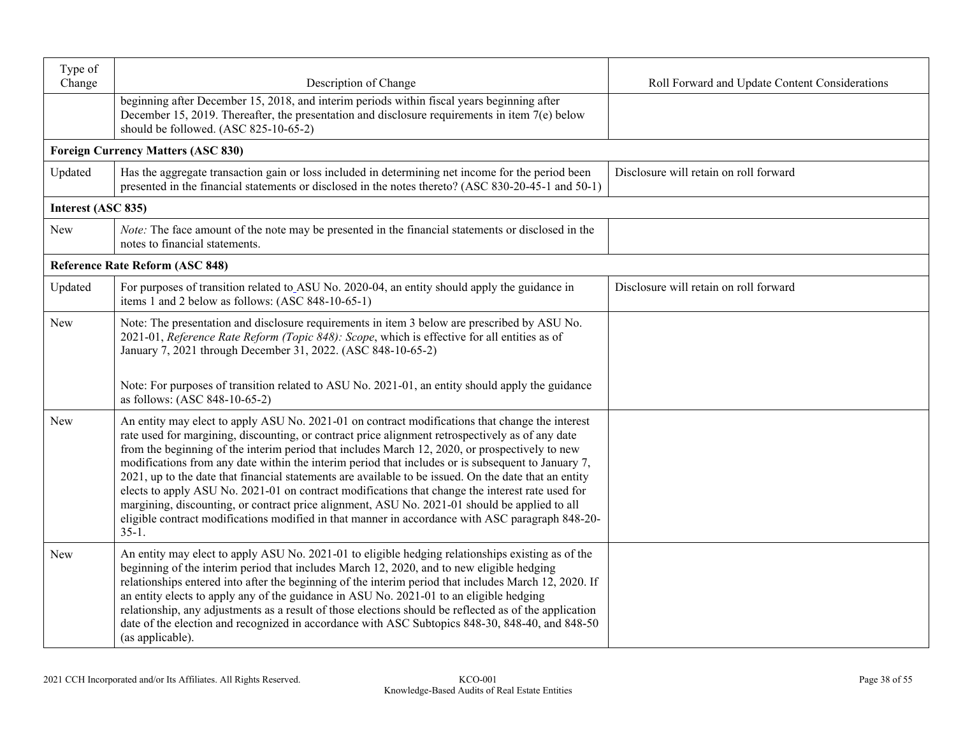| Type of<br>Change  |                                                                                                                                                                                                                                                                                                                                                                                                                                                                                                                                                                                                                                                                                                                                                                                                                                          |                                                |
|--------------------|------------------------------------------------------------------------------------------------------------------------------------------------------------------------------------------------------------------------------------------------------------------------------------------------------------------------------------------------------------------------------------------------------------------------------------------------------------------------------------------------------------------------------------------------------------------------------------------------------------------------------------------------------------------------------------------------------------------------------------------------------------------------------------------------------------------------------------------|------------------------------------------------|
|                    | Description of Change<br>beginning after December 15, 2018, and interim periods within fiscal years beginning after<br>December 15, 2019. Thereafter, the presentation and disclosure requirements in item $7(e)$ below<br>should be followed. (ASC 825-10-65-2)                                                                                                                                                                                                                                                                                                                                                                                                                                                                                                                                                                         | Roll Forward and Update Content Considerations |
|                    | <b>Foreign Currency Matters (ASC 830)</b>                                                                                                                                                                                                                                                                                                                                                                                                                                                                                                                                                                                                                                                                                                                                                                                                |                                                |
| Updated            | Has the aggregate transaction gain or loss included in determining net income for the period been<br>presented in the financial statements or disclosed in the notes thereto? (ASC 830-20-45-1 and 50-1)                                                                                                                                                                                                                                                                                                                                                                                                                                                                                                                                                                                                                                 | Disclosure will retain on roll forward         |
| Interest (ASC 835) |                                                                                                                                                                                                                                                                                                                                                                                                                                                                                                                                                                                                                                                                                                                                                                                                                                          |                                                |
| <b>New</b>         | Note: The face amount of the note may be presented in the financial statements or disclosed in the<br>notes to financial statements.                                                                                                                                                                                                                                                                                                                                                                                                                                                                                                                                                                                                                                                                                                     |                                                |
|                    | <b>Reference Rate Reform (ASC 848)</b>                                                                                                                                                                                                                                                                                                                                                                                                                                                                                                                                                                                                                                                                                                                                                                                                   |                                                |
| Updated            | For purposes of transition related to ASU No. 2020-04, an entity should apply the guidance in<br>items 1 and 2 below as follows: (ASC 848-10-65-1)                                                                                                                                                                                                                                                                                                                                                                                                                                                                                                                                                                                                                                                                                       | Disclosure will retain on roll forward         |
| <b>New</b>         | Note: The presentation and disclosure requirements in item 3 below are prescribed by ASU No.<br>2021-01, Reference Rate Reform (Topic 848): Scope, which is effective for all entities as of<br>January 7, 2021 through December 31, 2022. (ASC 848-10-65-2)                                                                                                                                                                                                                                                                                                                                                                                                                                                                                                                                                                             |                                                |
|                    | Note: For purposes of transition related to ASU No. 2021-01, an entity should apply the guidance<br>as follows: (ASC 848-10-65-2)                                                                                                                                                                                                                                                                                                                                                                                                                                                                                                                                                                                                                                                                                                        |                                                |
| <b>New</b>         | An entity may elect to apply ASU No. 2021-01 on contract modifications that change the interest<br>rate used for margining, discounting, or contract price alignment retrospectively as of any date<br>from the beginning of the interim period that includes March 12, 2020, or prospectively to new<br>modifications from any date within the interim period that includes or is subsequent to January 7,<br>2021, up to the date that financial statements are available to be issued. On the date that an entity<br>elects to apply ASU No. 2021-01 on contract modifications that change the interest rate used for<br>margining, discounting, or contract price alignment, ASU No. 2021-01 should be applied to all<br>eligible contract modifications modified in that manner in accordance with ASC paragraph 848-20-<br>$35-1.$ |                                                |
| New                | An entity may elect to apply ASU No. 2021-01 to eligible hedging relationships existing as of the<br>beginning of the interim period that includes March 12, 2020, and to new eligible hedging<br>relationships entered into after the beginning of the interim period that includes March 12, 2020. If<br>an entity elects to apply any of the guidance in ASU No. 2021-01 to an eligible hedging<br>relationship, any adjustments as a result of those elections should be reflected as of the application<br>date of the election and recognized in accordance with ASC Subtopics 848-30, 848-40, and 848-50<br>(as applicable).                                                                                                                                                                                                      |                                                |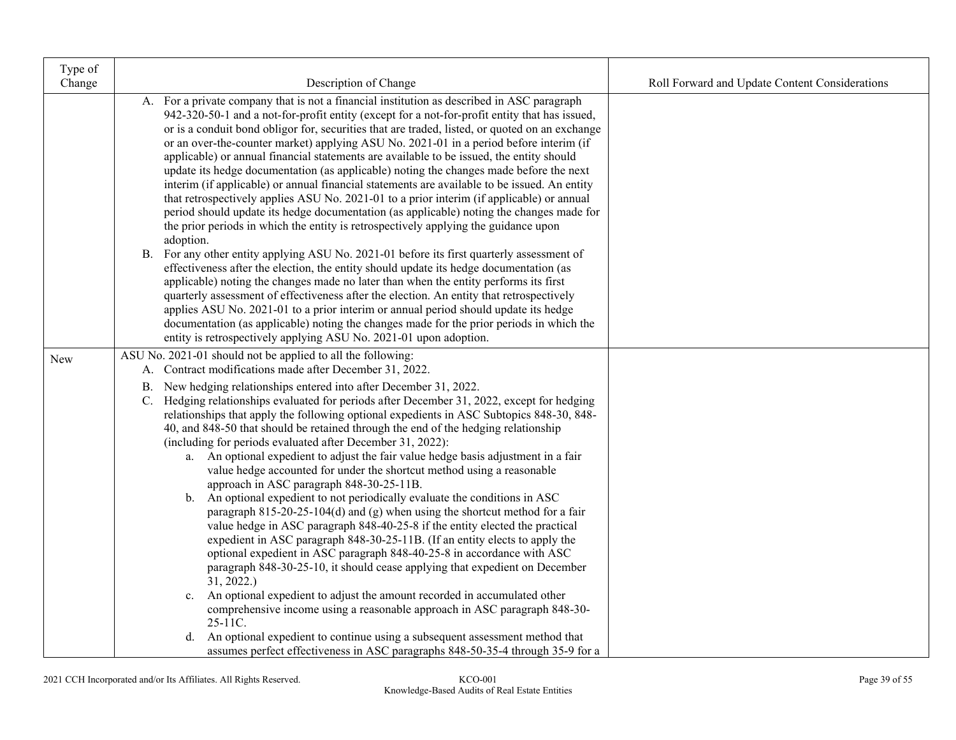| Type of |                                                                                                                                                                                                                                                                                                                                                                                                                                                                                                                                                                                                                                                                                                                                                                                                                                                                                                                                                                                                                                                                                                                                                                                                                                                                                                                                                                                                                                                                                                                                          |                                                |
|---------|------------------------------------------------------------------------------------------------------------------------------------------------------------------------------------------------------------------------------------------------------------------------------------------------------------------------------------------------------------------------------------------------------------------------------------------------------------------------------------------------------------------------------------------------------------------------------------------------------------------------------------------------------------------------------------------------------------------------------------------------------------------------------------------------------------------------------------------------------------------------------------------------------------------------------------------------------------------------------------------------------------------------------------------------------------------------------------------------------------------------------------------------------------------------------------------------------------------------------------------------------------------------------------------------------------------------------------------------------------------------------------------------------------------------------------------------------------------------------------------------------------------------------------------|------------------------------------------------|
| Change  | Description of Change                                                                                                                                                                                                                                                                                                                                                                                                                                                                                                                                                                                                                                                                                                                                                                                                                                                                                                                                                                                                                                                                                                                                                                                                                                                                                                                                                                                                                                                                                                                    | Roll Forward and Update Content Considerations |
|         | A. For a private company that is not a financial institution as described in ASC paragraph<br>942-320-50-1 and a not-for-profit entity (except for a not-for-profit entity that has issued,<br>or is a conduit bond obligor for, securities that are traded, listed, or quoted on an exchange<br>or an over-the-counter market) applying ASU No. 2021-01 in a period before interim (if<br>applicable) or annual financial statements are available to be issued, the entity should<br>update its hedge documentation (as applicable) noting the changes made before the next<br>interim (if applicable) or annual financial statements are available to be issued. An entity<br>that retrospectively applies ASU No. 2021-01 to a prior interim (if applicable) or annual<br>period should update its hedge documentation (as applicable) noting the changes made for<br>the prior periods in which the entity is retrospectively applying the guidance upon<br>adoption.<br>B. For any other entity applying ASU No. 2021-01 before its first quarterly assessment of<br>effectiveness after the election, the entity should update its hedge documentation (as<br>applicable) noting the changes made no later than when the entity performs its first<br>quarterly assessment of effectiveness after the election. An entity that retrospectively<br>applies ASU No. 2021-01 to a prior interim or annual period should update its hedge<br>documentation (as applicable) noting the changes made for the prior periods in which the |                                                |
|         | entity is retrospectively applying ASU No. 2021-01 upon adoption.<br>ASU No. 2021-01 should not be applied to all the following:                                                                                                                                                                                                                                                                                                                                                                                                                                                                                                                                                                                                                                                                                                                                                                                                                                                                                                                                                                                                                                                                                                                                                                                                                                                                                                                                                                                                         |                                                |
| New     | A. Contract modifications made after December 31, 2022.                                                                                                                                                                                                                                                                                                                                                                                                                                                                                                                                                                                                                                                                                                                                                                                                                                                                                                                                                                                                                                                                                                                                                                                                                                                                                                                                                                                                                                                                                  |                                                |
|         | B. New hedging relationships entered into after December 31, 2022.<br>C. Hedging relationships evaluated for periods after December 31, 2022, except for hedging<br>relationships that apply the following optional expedients in ASC Subtopics 848-30, 848-<br>40, and 848-50 that should be retained through the end of the hedging relationship<br>(including for periods evaluated after December 31, 2022):<br>a. An optional expedient to adjust the fair value hedge basis adjustment in a fair<br>value hedge accounted for under the shortcut method using a reasonable<br>approach in ASC paragraph 848-30-25-11B.<br>An optional expedient to not periodically evaluate the conditions in ASC<br>b.<br>paragraph $815-20-25-104(d)$ and (g) when using the shortcut method for a fair<br>value hedge in ASC paragraph 848-40-25-8 if the entity elected the practical<br>expedient in ASC paragraph 848-30-25-11B. (If an entity elects to apply the<br>optional expedient in ASC paragraph 848-40-25-8 in accordance with ASC<br>paragraph 848-30-25-10, it should cease applying that expedient on December<br>31, 2022.<br>An optional expedient to adjust the amount recorded in accumulated other<br>$c_{\cdot}$<br>comprehensive income using a reasonable approach in ASC paragraph 848-30-<br>25-11C.<br>d. An optional expedient to continue using a subsequent assessment method that<br>assumes perfect effectiveness in ASC paragraphs 848-50-35-4 through 35-9 for a                                             |                                                |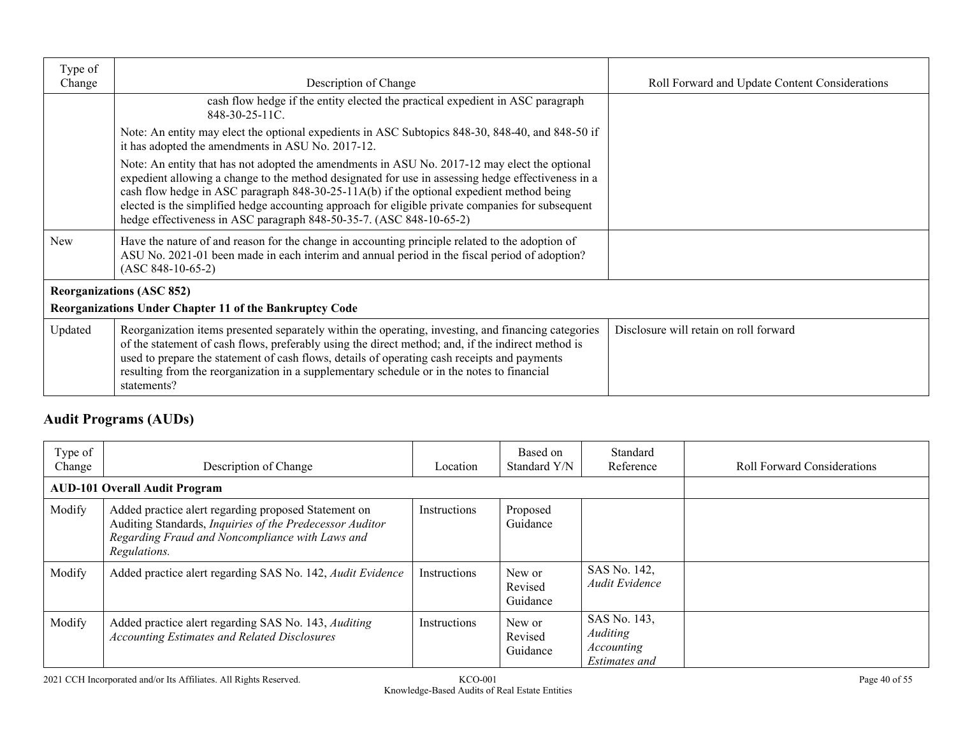| Type of    |                                                                                                                                                                                                                                                                                                                                                                                                                                                                               |                                                |
|------------|-------------------------------------------------------------------------------------------------------------------------------------------------------------------------------------------------------------------------------------------------------------------------------------------------------------------------------------------------------------------------------------------------------------------------------------------------------------------------------|------------------------------------------------|
| Change     | Description of Change                                                                                                                                                                                                                                                                                                                                                                                                                                                         | Roll Forward and Update Content Considerations |
|            | cash flow hedge if the entity elected the practical expedient in ASC paragraph<br>848-30-25-11C.                                                                                                                                                                                                                                                                                                                                                                              |                                                |
|            | Note: An entity may elect the optional expedients in ASC Subtopics 848-30, 848-40, and 848-50 if<br>it has adopted the amendments in ASU No. 2017-12.                                                                                                                                                                                                                                                                                                                         |                                                |
|            | Note: An entity that has not adopted the amendments in ASU No. 2017-12 may elect the optional<br>expedient allowing a change to the method designated for use in assessing hedge effectiveness in a<br>cash flow hedge in ASC paragraph $848-30-25-11A(b)$ if the optional expedient method being<br>elected is the simplified hedge accounting approach for eligible private companies for subsequent<br>hedge effectiveness in ASC paragraph 848-50-35-7. (ASC 848-10-65-2) |                                                |
| <b>New</b> | Have the nature of and reason for the change in accounting principle related to the adoption of<br>ASU No. 2021-01 been made in each interim and annual period in the fiscal period of adoption?<br>$(ASC 848-10-65-2)$                                                                                                                                                                                                                                                       |                                                |
|            | <b>Reorganizations (ASC 852)</b>                                                                                                                                                                                                                                                                                                                                                                                                                                              |                                                |
|            | Reorganizations Under Chapter 11 of the Bankruptcy Code                                                                                                                                                                                                                                                                                                                                                                                                                       |                                                |
| Updated    | Reorganization items presented separately within the operating, investing, and financing categories<br>of the statement of cash flows, preferably using the direct method; and, if the indirect method is<br>used to prepare the statement of cash flows, details of operating cash receipts and payments<br>resulting from the reorganization in a supplementary schedule or in the notes to financial<br>statements?                                                        | Disclosure will retain on roll forward         |

# **Audit Programs (AUDs)**

| Type of<br>Change | Description of Change                                                                                                                                                               | Location     | Based on<br>Standard Y/N      | Standard<br>Reference                                          | <b>Roll Forward Considerations</b> |
|-------------------|-------------------------------------------------------------------------------------------------------------------------------------------------------------------------------------|--------------|-------------------------------|----------------------------------------------------------------|------------------------------------|
|                   | <b>AUD-101 Overall Audit Program</b>                                                                                                                                                |              |                               |                                                                |                                    |
| Modify            | Added practice alert regarding proposed Statement on<br>Auditing Standards, Inquiries of the Predecessor Auditor<br>Regarding Fraud and Noncompliance with Laws and<br>Regulations. | Instructions | Proposed<br>Guidance          |                                                                |                                    |
| Modify            | Added practice alert regarding SAS No. 142, Audit Evidence                                                                                                                          | Instructions | New or<br>Revised<br>Guidance | SAS No. 142,<br>Audit Evidence                                 |                                    |
| Modify            | Added practice alert regarding SAS No. 143, Auditing<br><b>Accounting Estimates and Related Disclosures</b>                                                                         | Instructions | New or<br>Revised<br>Guidance | SAS No. 143,<br><b>Auditing</b><br>Accounting<br>Estimates and |                                    |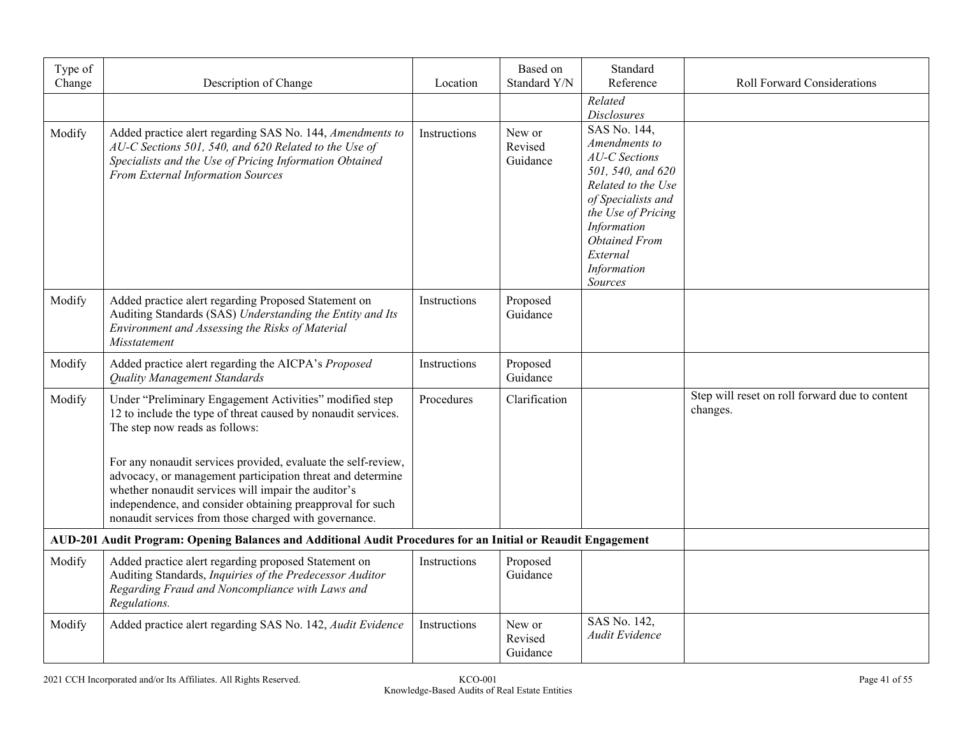| Type of<br>Change | Description of Change                                                                                                                                                                                                                                                                                                                                                                                                                                                  | Location            | Based on<br>Standard Y/N      | Standard<br>Reference                                                                                                                                                                                                       | <b>Roll Forward Considerations</b>                         |
|-------------------|------------------------------------------------------------------------------------------------------------------------------------------------------------------------------------------------------------------------------------------------------------------------------------------------------------------------------------------------------------------------------------------------------------------------------------------------------------------------|---------------------|-------------------------------|-----------------------------------------------------------------------------------------------------------------------------------------------------------------------------------------------------------------------------|------------------------------------------------------------|
|                   |                                                                                                                                                                                                                                                                                                                                                                                                                                                                        |                     |                               | Related<br><b>Disclosures</b>                                                                                                                                                                                               |                                                            |
| Modify            | Added practice alert regarding SAS No. 144, Amendments to<br>AU-C Sections 501, 540, and 620 Related to the Use of<br>Specialists and the Use of Pricing Information Obtained<br><b>From External Information Sources</b>                                                                                                                                                                                                                                              | Instructions        | New or<br>Revised<br>Guidance | $SAS$ No. 144,<br>Amendments to<br><b>AU-C</b> Sections<br>501, 540, and 620<br>Related to the Use<br>of Specialists and<br>the Use of Pricing<br>Information<br><b>Obtained From</b><br>External<br>Information<br>Sources |                                                            |
| Modify            | Added practice alert regarding Proposed Statement on<br>Auditing Standards (SAS) Understanding the Entity and Its<br>Environment and Assessing the Risks of Material<br>Misstatement                                                                                                                                                                                                                                                                                   | Instructions        | Proposed<br>Guidance          |                                                                                                                                                                                                                             |                                                            |
| Modify            | Added practice alert regarding the AICPA's Proposed<br><b>Ouality Management Standards</b>                                                                                                                                                                                                                                                                                                                                                                             | Instructions        | Proposed<br>Guidance          |                                                                                                                                                                                                                             |                                                            |
| Modify            | Under "Preliminary Engagement Activities" modified step<br>12 to include the type of threat caused by nonaudit services.<br>The step now reads as follows:<br>For any nonaudit services provided, evaluate the self-review,<br>advocacy, or management participation threat and determine<br>whether nonaudit services will impair the auditor's<br>independence, and consider obtaining preapproval for such<br>nonaudit services from those charged with governance. | Procedures          | Clarification                 |                                                                                                                                                                                                                             | Step will reset on roll forward due to content<br>changes. |
|                   | AUD-201 Audit Program: Opening Balances and Additional Audit Procedures for an Initial or Reaudit Engagement                                                                                                                                                                                                                                                                                                                                                           |                     |                               |                                                                                                                                                                                                                             |                                                            |
| Modify            | Added practice alert regarding proposed Statement on<br>Auditing Standards, Inquiries of the Predecessor Auditor<br>Regarding Fraud and Noncompliance with Laws and<br>Regulations.                                                                                                                                                                                                                                                                                    | <b>Instructions</b> | Proposed<br>Guidance          |                                                                                                                                                                                                                             |                                                            |
| Modify            | Added practice alert regarding SAS No. 142, Audit Evidence                                                                                                                                                                                                                                                                                                                                                                                                             | Instructions        | New or<br>Revised<br>Guidance | SAS No. 142,<br>Audit Evidence                                                                                                                                                                                              |                                                            |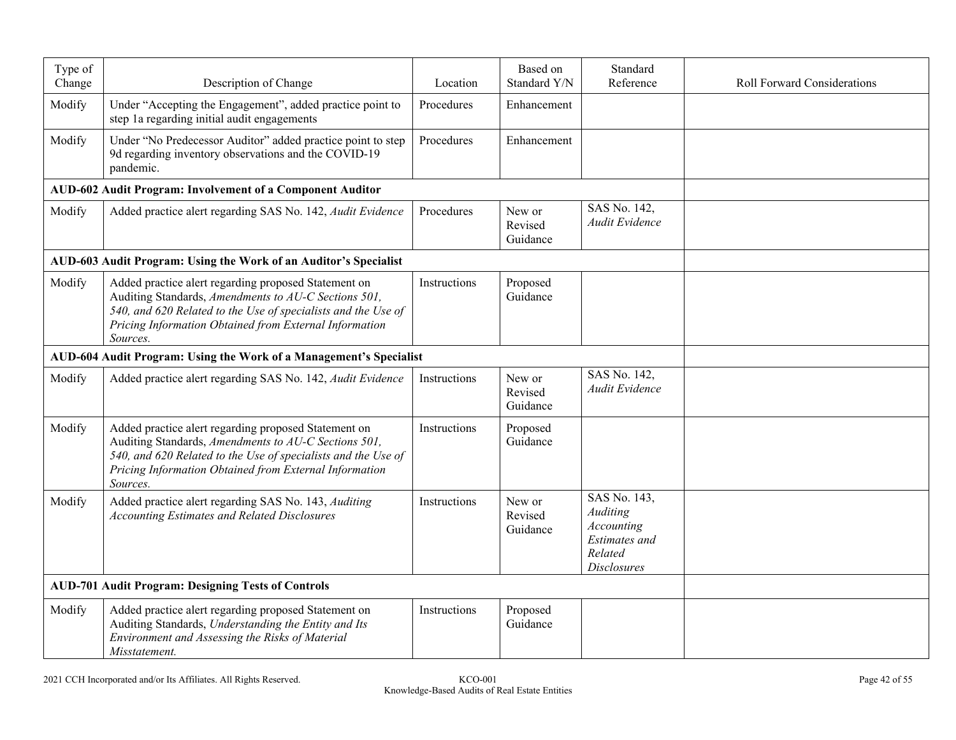| Type of<br>Change | Description of Change                                                                                                                                                                                                                               | Location     | Based on<br>Standard Y/N      | Standard<br>Reference                                                                                  | <b>Roll Forward Considerations</b> |
|-------------------|-----------------------------------------------------------------------------------------------------------------------------------------------------------------------------------------------------------------------------------------------------|--------------|-------------------------------|--------------------------------------------------------------------------------------------------------|------------------------------------|
| Modify            | Under "Accepting the Engagement", added practice point to<br>step 1a regarding initial audit engagements                                                                                                                                            | Procedures   | Enhancement                   |                                                                                                        |                                    |
| Modify            | Under "No Predecessor Auditor" added practice point to step<br>9d regarding inventory observations and the COVID-19<br>pandemic.                                                                                                                    | Procedures   | Enhancement                   |                                                                                                        |                                    |
|                   | AUD-602 Audit Program: Involvement of a Component Auditor                                                                                                                                                                                           |              |                               |                                                                                                        |                                    |
| Modify            | Added practice alert regarding SAS No. 142, Audit Evidence                                                                                                                                                                                          | Procedures   | New or<br>Revised<br>Guidance | SAS No. 142,<br>Audit Evidence                                                                         |                                    |
|                   | AUD-603 Audit Program: Using the Work of an Auditor's Specialist                                                                                                                                                                                    |              |                               |                                                                                                        |                                    |
| Modify            | Added practice alert regarding proposed Statement on<br>Auditing Standards, Amendments to AU-C Sections 501,<br>540, and 620 Related to the Use of specialists and the Use of<br>Pricing Information Obtained from External Information<br>Sources. | Instructions | Proposed<br>Guidance          |                                                                                                        |                                    |
|                   | AUD-604 Audit Program: Using the Work of a Management's Specialist                                                                                                                                                                                  |              |                               |                                                                                                        |                                    |
| Modify            | Added practice alert regarding SAS No. 142, Audit Evidence                                                                                                                                                                                          | Instructions | New or<br>Revised<br>Guidance | SAS No. 142,<br>Audit Evidence                                                                         |                                    |
| Modify            | Added practice alert regarding proposed Statement on<br>Auditing Standards, Amendments to AU-C Sections 501,<br>540, and 620 Related to the Use of specialists and the Use of<br>Pricing Information Obtained from External Information<br>Sources. | Instructions | Proposed<br>Guidance          |                                                                                                        |                                    |
| Modify            | Added practice alert regarding SAS No. 143, Auditing<br><b>Accounting Estimates and Related Disclosures</b>                                                                                                                                         | Instructions | New or<br>Revised<br>Guidance | SAS No. 143,<br>Auditing<br><b>Accounting</b><br><b>Estimates</b> and<br>Related<br><b>Disclosures</b> |                                    |
|                   | <b>AUD-701 Audit Program: Designing Tests of Controls</b>                                                                                                                                                                                           |              |                               |                                                                                                        |                                    |
| Modify            | Added practice alert regarding proposed Statement on<br>Auditing Standards, Understanding the Entity and Its<br>Environment and Assessing the Risks of Material<br>Misstatement.                                                                    | Instructions | Proposed<br>Guidance          |                                                                                                        |                                    |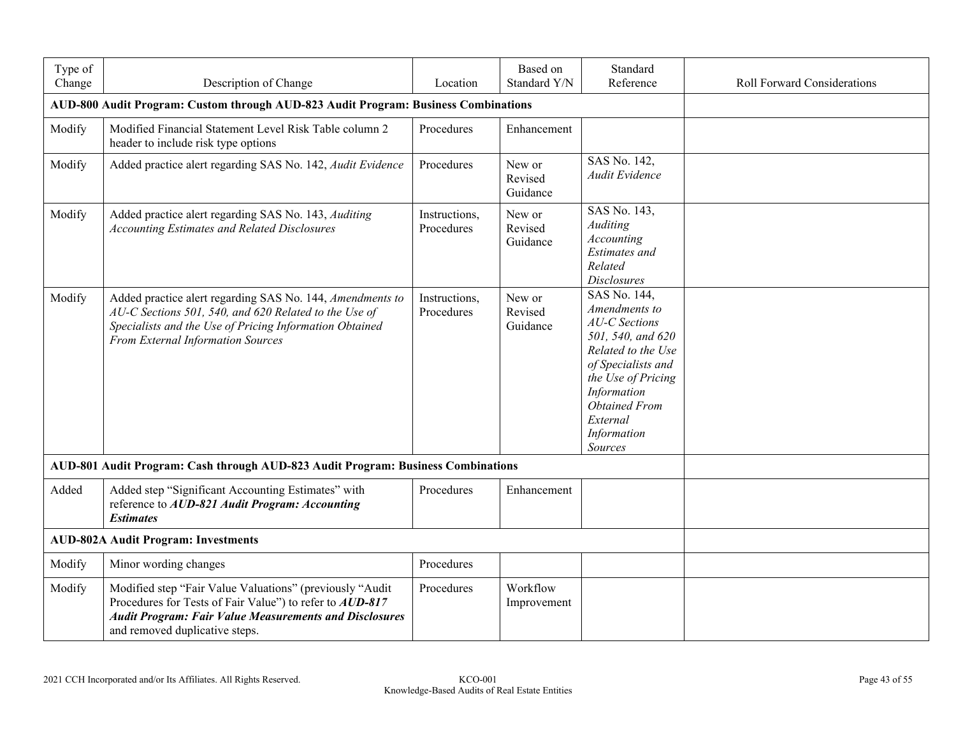| Type of<br>Change | Description of Change                                                                                                                                                                                                   | Location                    | Based on<br>Standard Y/N      | Standard<br>Reference                                                                                                                                                                                                     | <b>Roll Forward Considerations</b> |
|-------------------|-------------------------------------------------------------------------------------------------------------------------------------------------------------------------------------------------------------------------|-----------------------------|-------------------------------|---------------------------------------------------------------------------------------------------------------------------------------------------------------------------------------------------------------------------|------------------------------------|
|                   | AUD-800 Audit Program: Custom through AUD-823 Audit Program: Business Combinations                                                                                                                                      |                             |                               |                                                                                                                                                                                                                           |                                    |
| Modify            | Modified Financial Statement Level Risk Table column 2<br>header to include risk type options                                                                                                                           | Procedures                  | Enhancement                   |                                                                                                                                                                                                                           |                                    |
| Modify            | Added practice alert regarding SAS No. 142, Audit Evidence                                                                                                                                                              | Procedures                  | New or<br>Revised<br>Guidance | SAS No. 142,<br>Audit Evidence                                                                                                                                                                                            |                                    |
| Modify            | Added practice alert regarding SAS No. 143, Auditing<br><b>Accounting Estimates and Related Disclosures</b>                                                                                                             | Instructions,<br>Procedures | New or<br>Revised<br>Guidance | SAS No. 143,<br>Auditing<br>Accounting<br><b>Estimates</b> and<br>Related<br><b>Disclosures</b>                                                                                                                           |                                    |
| Modify            | Added practice alert regarding SAS No. 144, Amendments to<br>AU-C Sections 501, 540, and 620 Related to the Use of<br>Specialists and the Use of Pricing Information Obtained<br>From External Information Sources      | Instructions,<br>Procedures | New or<br>Revised<br>Guidance | SAS No. 144,<br>Amendments to<br><b>AU-C</b> Sections<br>501, 540, and 620<br>Related to the Use<br>of Specialists and<br>the Use of Pricing<br>Information<br><b>Obtained From</b><br>External<br>Information<br>Sources |                                    |
|                   | AUD-801 Audit Program: Cash through AUD-823 Audit Program: Business Combinations                                                                                                                                        |                             |                               |                                                                                                                                                                                                                           |                                    |
| Added             | Added step "Significant Accounting Estimates" with<br>reference to AUD-821 Audit Program: Accounting<br><b>Estimates</b>                                                                                                | Procedures                  | Enhancement                   |                                                                                                                                                                                                                           |                                    |
|                   | <b>AUD-802A Audit Program: Investments</b>                                                                                                                                                                              |                             |                               |                                                                                                                                                                                                                           |                                    |
| Modify            | Minor wording changes                                                                                                                                                                                                   | Procedures                  |                               |                                                                                                                                                                                                                           |                                    |
| Modify            | Modified step "Fair Value Valuations" (previously "Audit<br>Procedures for Tests of Fair Value") to refer to AUD-817<br><b>Audit Program: Fair Value Measurements and Disclosures</b><br>and removed duplicative steps. | Procedures                  | Workflow<br>Improvement       |                                                                                                                                                                                                                           |                                    |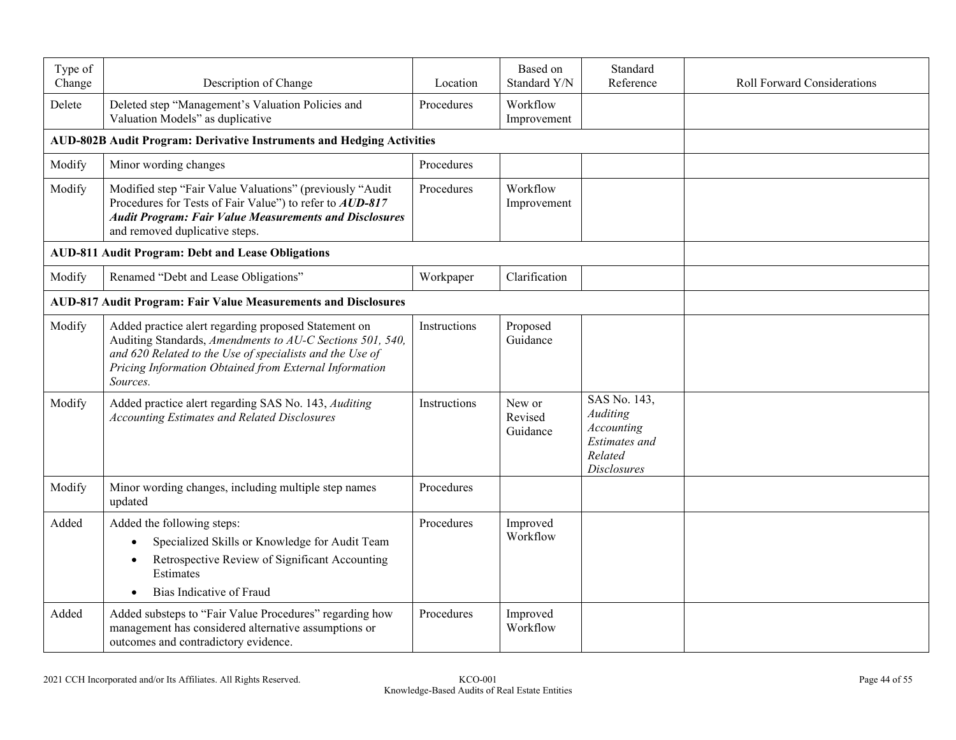| Type of<br>Change | Description of Change                                                                                                                                                                                                                               | Location     | Based on<br>Standard Y/N      | Standard<br>Reference                                                                                  | <b>Roll Forward Considerations</b> |
|-------------------|-----------------------------------------------------------------------------------------------------------------------------------------------------------------------------------------------------------------------------------------------------|--------------|-------------------------------|--------------------------------------------------------------------------------------------------------|------------------------------------|
| Delete            | Deleted step "Management's Valuation Policies and<br>Valuation Models" as duplicative                                                                                                                                                               | Procedures   | Workflow<br>Improvement       |                                                                                                        |                                    |
|                   | <b>AUD-802B Audit Program: Derivative Instruments and Hedging Activities</b>                                                                                                                                                                        |              |                               |                                                                                                        |                                    |
| Modify            | Minor wording changes                                                                                                                                                                                                                               | Procedures   |                               |                                                                                                        |                                    |
| Modify            | Modified step "Fair Value Valuations" (previously "Audit<br>Procedures for Tests of Fair Value") to refer to <b>AUD-817</b><br><b>Audit Program: Fair Value Measurements and Disclosures</b><br>and removed duplicative steps.                      | Procedures   | Workflow<br>Improvement       |                                                                                                        |                                    |
|                   | <b>AUD-811 Audit Program: Debt and Lease Obligations</b>                                                                                                                                                                                            |              |                               |                                                                                                        |                                    |
| Modify            | Renamed "Debt and Lease Obligations"                                                                                                                                                                                                                | Workpaper    | Clarification                 |                                                                                                        |                                    |
|                   | <b>AUD-817 Audit Program: Fair Value Measurements and Disclosures</b>                                                                                                                                                                               |              |                               |                                                                                                        |                                    |
| Modify            | Added practice alert regarding proposed Statement on<br>Auditing Standards, Amendments to AU-C Sections 501, 540,<br>and 620 Related to the Use of specialists and the Use of<br>Pricing Information Obtained from External Information<br>Sources. | Instructions | Proposed<br>Guidance          |                                                                                                        |                                    |
| Modify            | Added practice alert regarding SAS No. 143, Auditing<br><b>Accounting Estimates and Related Disclosures</b>                                                                                                                                         | Instructions | New or<br>Revised<br>Guidance | SAS No. 143,<br>Auditing<br><b>Accounting</b><br><b>Estimates</b> and<br>Related<br><b>Disclosures</b> |                                    |
| Modify            | Minor wording changes, including multiple step names<br>updated                                                                                                                                                                                     | Procedures   |                               |                                                                                                        |                                    |
| Added             | Added the following steps:<br>Specialized Skills or Knowledge for Audit Team<br>$\bullet$<br>Retrospective Review of Significant Accounting<br>$\bullet$<br>Estimates<br>Bias Indicative of Fraud                                                   | Procedures   | Improved<br>Workflow          |                                                                                                        |                                    |
| Added             | Added substeps to "Fair Value Procedures" regarding how<br>management has considered alternative assumptions or<br>outcomes and contradictory evidence.                                                                                             | Procedures   | Improved<br>Workflow          |                                                                                                        |                                    |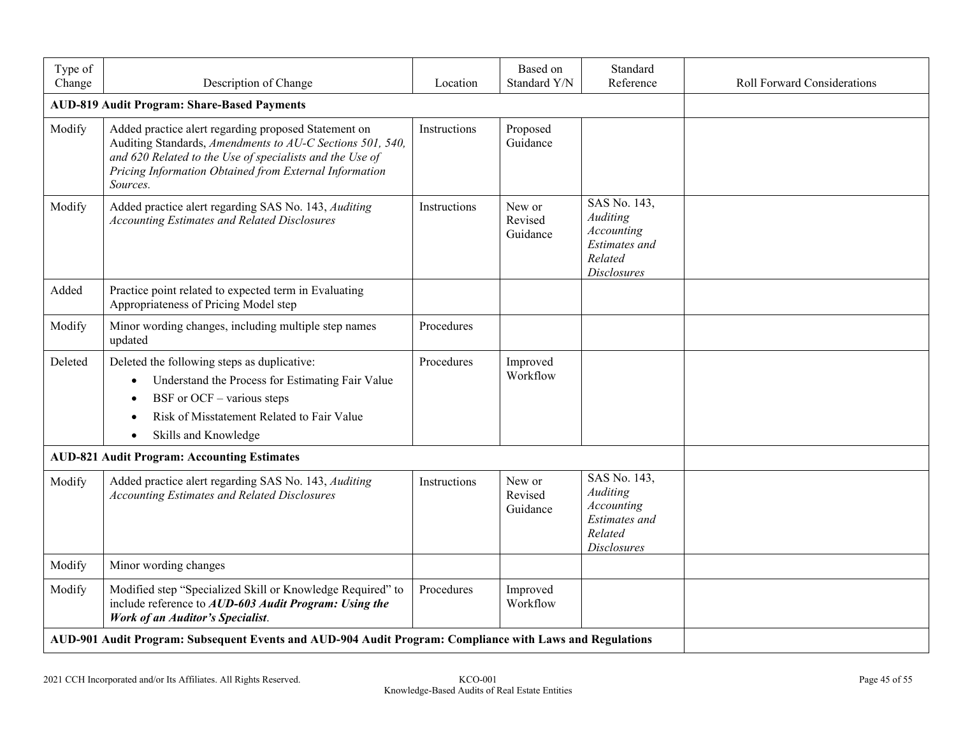| Type of<br>Change | Description of Change                                                                                                                                                                                                                               | Location     | Based on<br>Standard Y/N      | Standard<br>Reference                                                                    | <b>Roll Forward Considerations</b> |
|-------------------|-----------------------------------------------------------------------------------------------------------------------------------------------------------------------------------------------------------------------------------------------------|--------------|-------------------------------|------------------------------------------------------------------------------------------|------------------------------------|
|                   | <b>AUD-819 Audit Program: Share-Based Payments</b>                                                                                                                                                                                                  |              |                               |                                                                                          |                                    |
| Modify            | Added practice alert regarding proposed Statement on<br>Auditing Standards, Amendments to AU-C Sections 501, 540,<br>and 620 Related to the Use of specialists and the Use of<br>Pricing Information Obtained from External Information<br>Sources. | Instructions | Proposed<br>Guidance          |                                                                                          |                                    |
| Modify            | Added practice alert regarding SAS No. 143, Auditing<br><b>Accounting Estimates and Related Disclosures</b>                                                                                                                                         | Instructions | New or<br>Revised<br>Guidance | SAS No. 143,<br>Auditing<br>Accounting<br>Estimates and<br>Related<br><b>Disclosures</b> |                                    |
| Added             | Practice point related to expected term in Evaluating<br>Appropriateness of Pricing Model step                                                                                                                                                      |              |                               |                                                                                          |                                    |
| Modify            | Minor wording changes, including multiple step names<br>updated                                                                                                                                                                                     | Procedures   |                               |                                                                                          |                                    |
| Deleted           | Deleted the following steps as duplicative:<br>Understand the Process for Estimating Fair Value<br>$\bullet$<br>BSF or $OCF - \nu$ various steps<br>Risk of Misstatement Related to Fair Value<br>Skills and Knowledge<br>$\bullet$                 | Procedures   | Improved<br>Workflow          |                                                                                          |                                    |
|                   | <b>AUD-821 Audit Program: Accounting Estimates</b>                                                                                                                                                                                                  |              |                               |                                                                                          |                                    |
| Modify            | Added practice alert regarding SAS No. 143, Auditing<br><b>Accounting Estimates and Related Disclosures</b>                                                                                                                                         | Instructions | New or<br>Revised<br>Guidance | SAS No. 143,<br>Auditing<br>Accounting<br>Estimates and<br>Related<br><b>Disclosures</b> |                                    |
| Modify            | Minor wording changes                                                                                                                                                                                                                               |              |                               |                                                                                          |                                    |
| Modify            | Modified step "Specialized Skill or Knowledge Required" to<br>include reference to AUD-603 Audit Program: Using the<br><b>Work of an Auditor's Specialist.</b>                                                                                      | Procedures   | Improved<br>Workflow          |                                                                                          |                                    |
|                   | AUD-901 Audit Program: Subsequent Events and AUD-904 Audit Program: Compliance with Laws and Regulations                                                                                                                                            |              |                               |                                                                                          |                                    |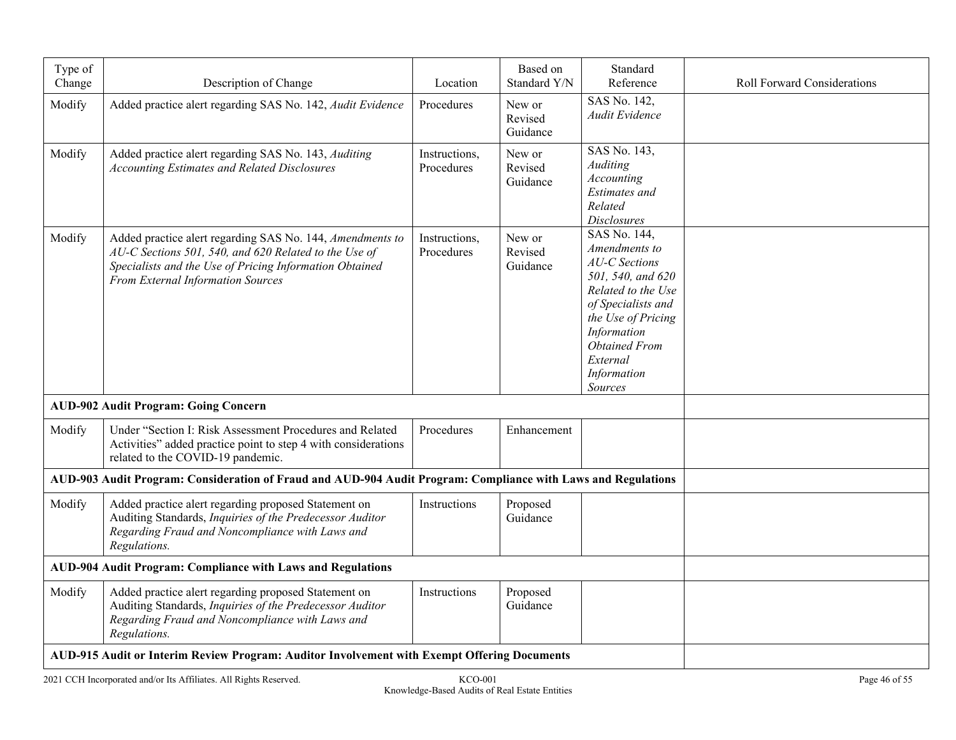| Type of |                                                                                                                                                                                                                    |                             | Based on                      | Standard                                                                                                                                                                                                                  |                                    |
|---------|--------------------------------------------------------------------------------------------------------------------------------------------------------------------------------------------------------------------|-----------------------------|-------------------------------|---------------------------------------------------------------------------------------------------------------------------------------------------------------------------------------------------------------------------|------------------------------------|
| Change  | Description of Change                                                                                                                                                                                              | Location                    | Standard Y/N                  | Reference                                                                                                                                                                                                                 | <b>Roll Forward Considerations</b> |
| Modify  | Added practice alert regarding SAS No. 142, Audit Evidence                                                                                                                                                         | Procedures                  | New or<br>Revised<br>Guidance | SAS No. 142,<br>Audit Evidence                                                                                                                                                                                            |                                    |
| Modify  | Added practice alert regarding SAS No. 143, Auditing<br><b>Accounting Estimates and Related Disclosures</b>                                                                                                        | Instructions,<br>Procedures | New or<br>Revised<br>Guidance | SAS No. 143,<br>Auditing<br>Accounting<br><b>Estimates</b> and<br>Related<br><b>Disclosures</b>                                                                                                                           |                                    |
| Modify  | Added practice alert regarding SAS No. 144, Amendments to<br>AU-C Sections 501, 540, and 620 Related to the Use of<br>Specialists and the Use of Pricing Information Obtained<br>From External Information Sources | Instructions,<br>Procedures | New or<br>Revised<br>Guidance | SAS No. 144,<br>Amendments to<br><b>AU-C</b> Sections<br>501, 540, and 620<br>Related to the Use<br>of Specialists and<br>the Use of Pricing<br>Information<br><b>Obtained From</b><br>External<br>Information<br>Sources |                                    |
|         | <b>AUD-902 Audit Program: Going Concern</b>                                                                                                                                                                        |                             |                               |                                                                                                                                                                                                                           |                                    |
| Modify  | Under "Section I: Risk Assessment Procedures and Related<br>Activities" added practice point to step 4 with considerations<br>related to the COVID-19 pandemic.                                                    | Procedures                  | Enhancement                   |                                                                                                                                                                                                                           |                                    |
|         | AUD-903 Audit Program: Consideration of Fraud and AUD-904 Audit Program: Compliance with Laws and Regulations                                                                                                      |                             |                               |                                                                                                                                                                                                                           |                                    |
| Modify  | Added practice alert regarding proposed Statement on<br>Auditing Standards, Inquiries of the Predecessor Auditor<br>Regarding Fraud and Noncompliance with Laws and<br>Regulations.                                | Instructions                | Proposed<br>Guidance          |                                                                                                                                                                                                                           |                                    |
|         | AUD-904 Audit Program: Compliance with Laws and Regulations                                                                                                                                                        |                             |                               |                                                                                                                                                                                                                           |                                    |
| Modify  | Added practice alert regarding proposed Statement on<br>Auditing Standards, Inquiries of the Predecessor Auditor<br>Regarding Fraud and Noncompliance with Laws and<br>Regulations.                                | Instructions                | Proposed<br>Guidance          |                                                                                                                                                                                                                           |                                    |
|         | AUD-915 Audit or Interim Review Program: Auditor Involvement with Exempt Offering Documents                                                                                                                        |                             |                               |                                                                                                                                                                                                                           |                                    |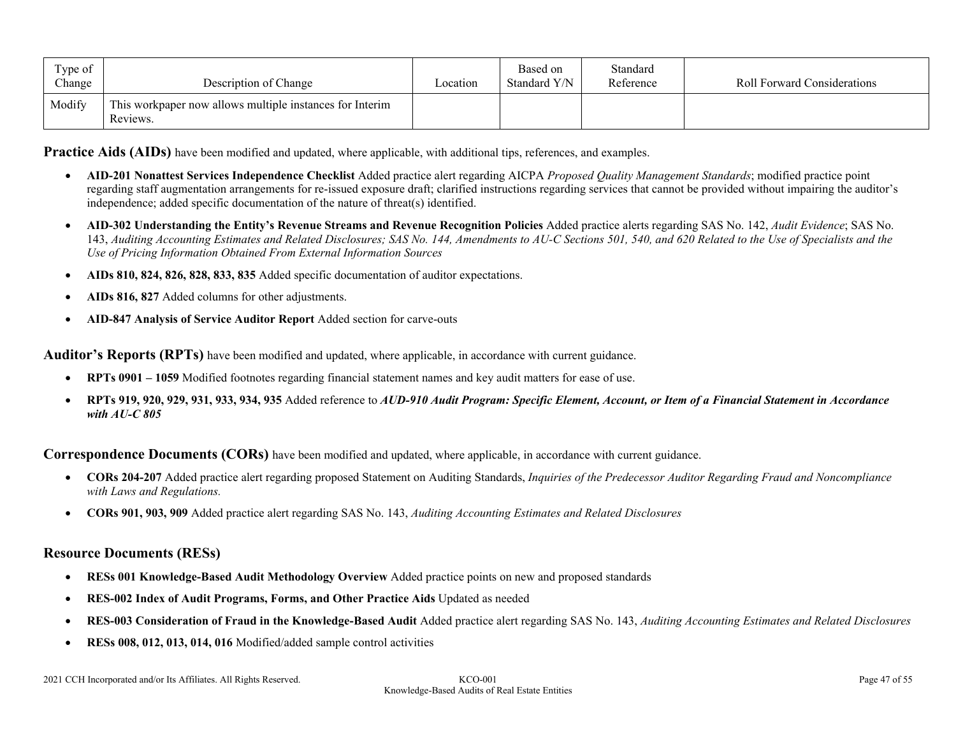| Type of<br>Change | Description of Change                                                | Location | Based on<br>Standard Y/N | Standard<br>Reference | <b>Roll Forward Considerations</b> |
|-------------------|----------------------------------------------------------------------|----------|--------------------------|-----------------------|------------------------------------|
| Modify            | This workpaper now allows multiple instances for Interim<br>Reviews. |          |                          |                       |                                    |

**Practice Aids (AIDs)** have been modified and updated, where applicable, with additional tips, references, and examples.

- **AID-201 Nonattest Services Independence Checklist** Added practice alert regarding AICPA *Proposed Quality Management Standards*; modified practice point regarding staff augmentation arrangements for re-issued exposure draft; clarified instructions regarding services that cannot be provided without impairing the auditor's independence; added specific documentation of the nature of threat(s) identified.
- **AID-302 Understanding the Entity's Revenue Streams and Revenue Recognition Policies** Added practice alerts regarding SAS No. 142, *Audit Evidence*; SAS No. 143, *Auditing Accounting Estimates and Related Disclosures; SAS No. 144, Amendments to AU-C Sections 501, 540, and 620 Related to the Use of Specialists and the Use of Pricing Information Obtained From External Information Sources*
- **AIDs 810, 824, 826, 828, 833, 835** Added specific documentation of auditor expectations.
- **AIDs 816, 827** Added columns for other adjustments.
- **AID-847 Analysis of Service Auditor Report** Added section for carve-outs

**Auditor's Reports (RPTs)** have been modified and updated, where applicable, in accordance with current guidance.

- **RPTs 0901 – 1059** Modified footnotes regarding financial statement names and key audit matters for ease of use.
- **RPTs 919, 920, 929, 931, 933, 934, 935** Added reference to *AUD-910 Audit Program: Specific Element, Account, or Item of a Financial Statement in Accordance with AU-C 805*

**Correspondence Documents (CORs)** have been modified and updated, where applicable, in accordance with current guidance.

- **CORs 204-207** Added practice alert regarding proposed Statement on Auditing Standards, *Inquiries of the Predecessor Auditor Regarding Fraud and Noncompliance with Laws and Regulations.*
- **CORs 901, 903, 909** Added practice alert regarding SAS No. 143, *Auditing Accounting Estimates and Related Disclosures*

#### **Resource Documents (RESs)**

- **RESs 001 Knowledge-Based Audit Methodology Overview** Added practice points on new and proposed standards
- **RES-002 Index of Audit Programs, Forms, and Other Practice Aids** Updated as needed
- **RES-003 Consideration of Fraud in the Knowledge-Based Audit** Added practice alert regarding SAS No. 143, *Auditing Accounting Estimates and Related Disclosures*
- **RESs 008, 012, 013, 014, 016** Modified/added sample control activities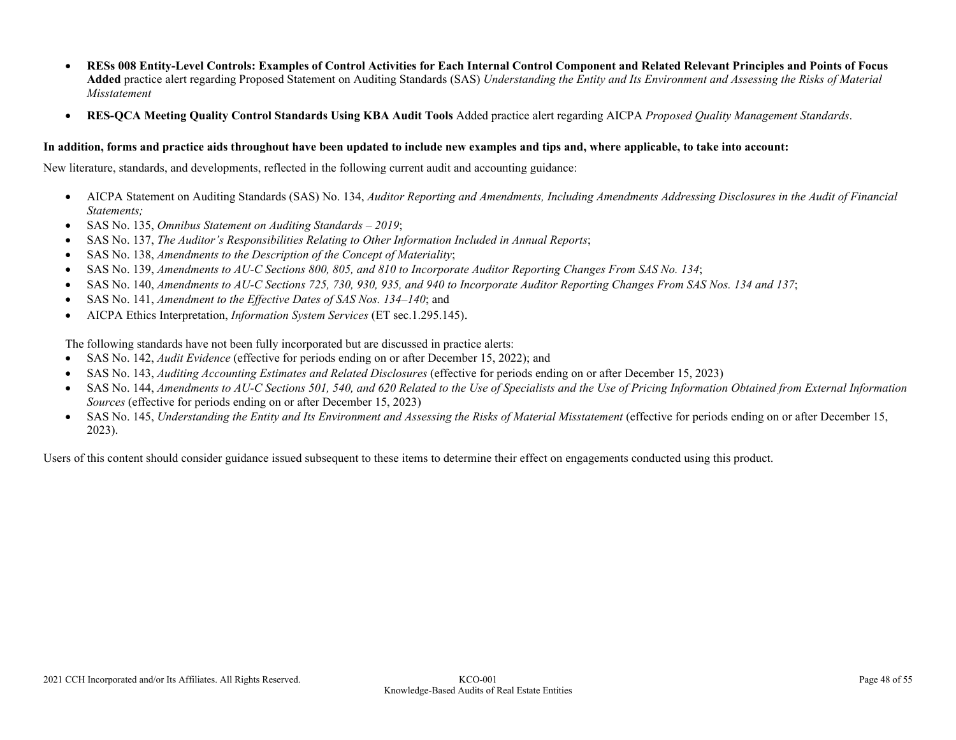- **RESs 008 Entity-Level Controls: Examples of Control Activities for Each Internal Control Component and Related Relevant Principles and Points of Focus Added** practice alert regarding Proposed Statement on Auditing Standards (SAS) *Understanding the Entity and Its Environment and Assessing the Risks of Material Misstatement*
- **RES-QCA Meeting Quality Control Standards Using KBA Audit Tools** Added practice alert regarding AICPA *Proposed Quality Management Standards*.

#### **In addition, forms and practice aids throughout have been updated to include new examples and tips and, where applicable, to take into account:**

New literature, standards, and developments, reflected in the following current audit and accounting guidance:

- AICPA Statement on Auditing Standards (SAS) No. 134, *Auditor Reporting and Amendments, Including Amendments Addressing Disclosures in the Audit of Financial Statements;*
- SAS No. 135, *Omnibus Statement on Auditing Standards – 2019*;
- SAS No. 137, *The Auditor's Responsibilities Relating to Other Information Included in Annual Reports*;
- SAS No. 138, *Amendments to the Description of the Concept of Materiality*;
- SAS No. 139, *Amendments to AU-C Sections 800, 805, and 810 to Incorporate Auditor Reporting Changes From SAS No. 134*;
- SAS No. 140, *Amendments to AU-C Sections 725, 730, 930, 935, and 940 to Incorporate Auditor Reporting Changes From SAS Nos. 134 and 137*;
- SAS No. 141, *Amendment to the Effective Dates of SAS Nos. 134–140*; and
- AICPA Ethics Interpretation, *Information System Services* (ET sec.1.295.145).

The following standards have not been fully incorporated but are discussed in practice alerts:

- SAS No. 142, *Audit Evidence* (effective for periods ending on or after December 15, 2022); and
- SAS No. 143, *Auditing Accounting Estimates and Related Disclosures* (effective for periods ending on or after December 15, 2023)
- SAS No. 144, *Amendments to AU-C Sections 501, 540, and 620 Related to the Use of Specialists and the Use of Pricing Information Obtained from External Information Sources* (effective for periods ending on or after December 15, 2023)
- SAS No. 145, *Understanding the Entity and Its Environment and Assessing the Risks of Material Misstatement* (effective for periods ending on or after December 15, 2023).

Users of this content should consider guidance issued subsequent to these items to determine their effect on engagements conducted using this product.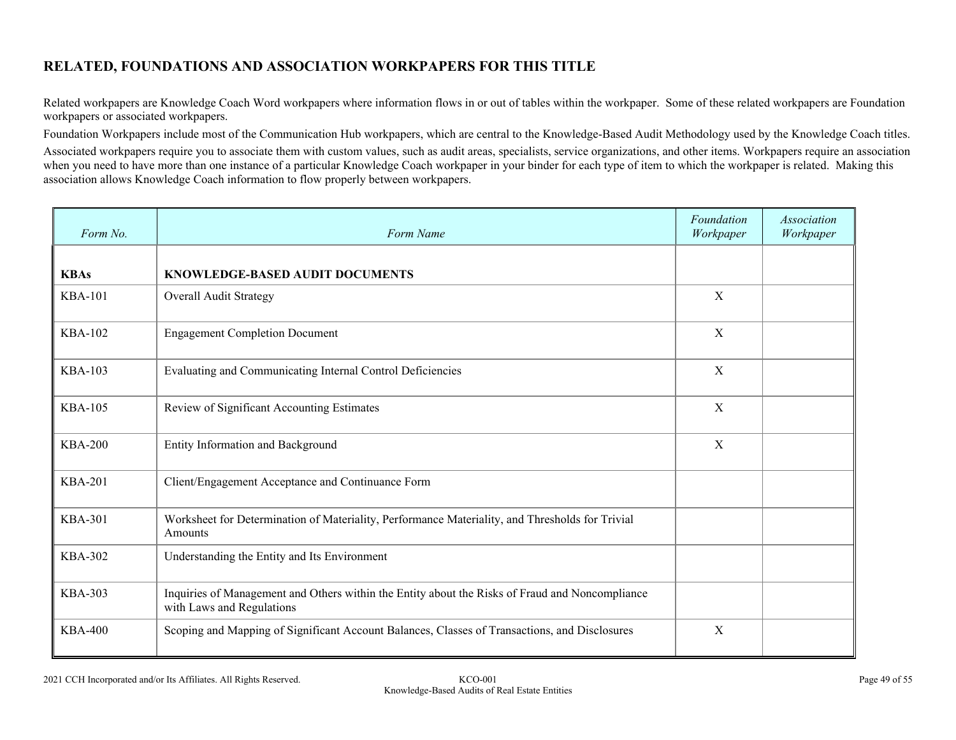# **RELATED, FOUNDATIONS AND ASSOCIATION WORKPAPERS FOR THIS TITLE**

Related workpapers are Knowledge Coach Word workpapers where information flows in or out of tables within the workpaper. Some of these related workpapers are Foundation workpapers or associated workpapers.

Foundation Workpapers include most of the Communication Hub workpapers, which are central to the Knowledge-Based Audit Methodology used by the Knowledge Coach titles.

Associated workpapers require you to associate them with custom values, such as audit areas, specialists, service organizations, and other items. Workpapers require an association when you need to have more than one instance of a particular Knowledge Coach workpaper in your binder for each type of item to which the workpaper is related. Making this association allows Knowledge Coach information to flow properly between workpapers.

| Form No.       | Form Name                                                                                                                    | Foundation<br>Workpaper | <b>Association</b><br>Workpaper |
|----------------|------------------------------------------------------------------------------------------------------------------------------|-------------------------|---------------------------------|
| <b>KBAs</b>    | <b>KNOWLEDGE-BASED AUDIT DOCUMENTS</b>                                                                                       |                         |                                 |
| <b>KBA-101</b> | Overall Audit Strategy                                                                                                       | X                       |                                 |
| <b>KBA-102</b> | <b>Engagement Completion Document</b>                                                                                        | $\mathbf X$             |                                 |
| <b>KBA-103</b> | Evaluating and Communicating Internal Control Deficiencies                                                                   | X                       |                                 |
| <b>KBA-105</b> | Review of Significant Accounting Estimates                                                                                   | X                       |                                 |
| <b>KBA-200</b> | Entity Information and Background                                                                                            | X                       |                                 |
| <b>KBA-201</b> | Client/Engagement Acceptance and Continuance Form                                                                            |                         |                                 |
| <b>KBA-301</b> | Worksheet for Determination of Materiality, Performance Materiality, and Thresholds for Trivial<br>Amounts                   |                         |                                 |
| <b>KBA-302</b> | Understanding the Entity and Its Environment                                                                                 |                         |                                 |
| <b>KBA-303</b> | Inquiries of Management and Others within the Entity about the Risks of Fraud and Noncompliance<br>with Laws and Regulations |                         |                                 |
| <b>KBA-400</b> | Scoping and Mapping of Significant Account Balances, Classes of Transactions, and Disclosures                                | X                       |                                 |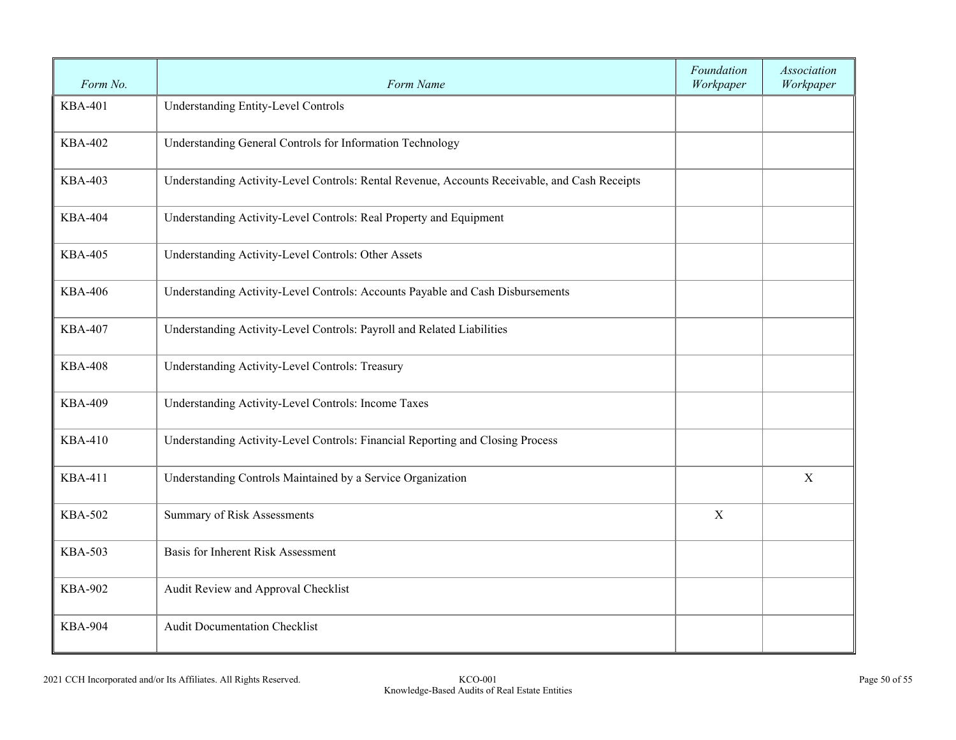| Form No.       | Form Name                                                                                     | Foundation<br>Workpaper | Association<br>Workpaper |
|----------------|-----------------------------------------------------------------------------------------------|-------------------------|--------------------------|
| <b>KBA-401</b> | <b>Understanding Entity-Level Controls</b>                                                    |                         |                          |
| <b>KBA-402</b> | Understanding General Controls for Information Technology                                     |                         |                          |
| <b>KBA-403</b> | Understanding Activity-Level Controls: Rental Revenue, Accounts Receivable, and Cash Receipts |                         |                          |
| <b>KBA-404</b> | Understanding Activity-Level Controls: Real Property and Equipment                            |                         |                          |
| <b>KBA-405</b> | Understanding Activity-Level Controls: Other Assets                                           |                         |                          |
| <b>KBA-406</b> | Understanding Activity-Level Controls: Accounts Payable and Cash Disbursements                |                         |                          |
| <b>KBA-407</b> | Understanding Activity-Level Controls: Payroll and Related Liabilities                        |                         |                          |
| <b>KBA-408</b> | Understanding Activity-Level Controls: Treasury                                               |                         |                          |
| <b>KBA-409</b> | Understanding Activity-Level Controls: Income Taxes                                           |                         |                          |
| <b>KBA-410</b> | Understanding Activity-Level Controls: Financial Reporting and Closing Process                |                         |                          |
| <b>KBA-411</b> | Understanding Controls Maintained by a Service Organization                                   |                         | X                        |
| <b>KBA-502</b> | Summary of Risk Assessments                                                                   | $\mathbf X$             |                          |
| <b>KBA-503</b> | Basis for Inherent Risk Assessment                                                            |                         |                          |
| <b>KBA-902</b> | Audit Review and Approval Checklist                                                           |                         |                          |
| <b>KBA-904</b> | <b>Audit Documentation Checklist</b>                                                          |                         |                          |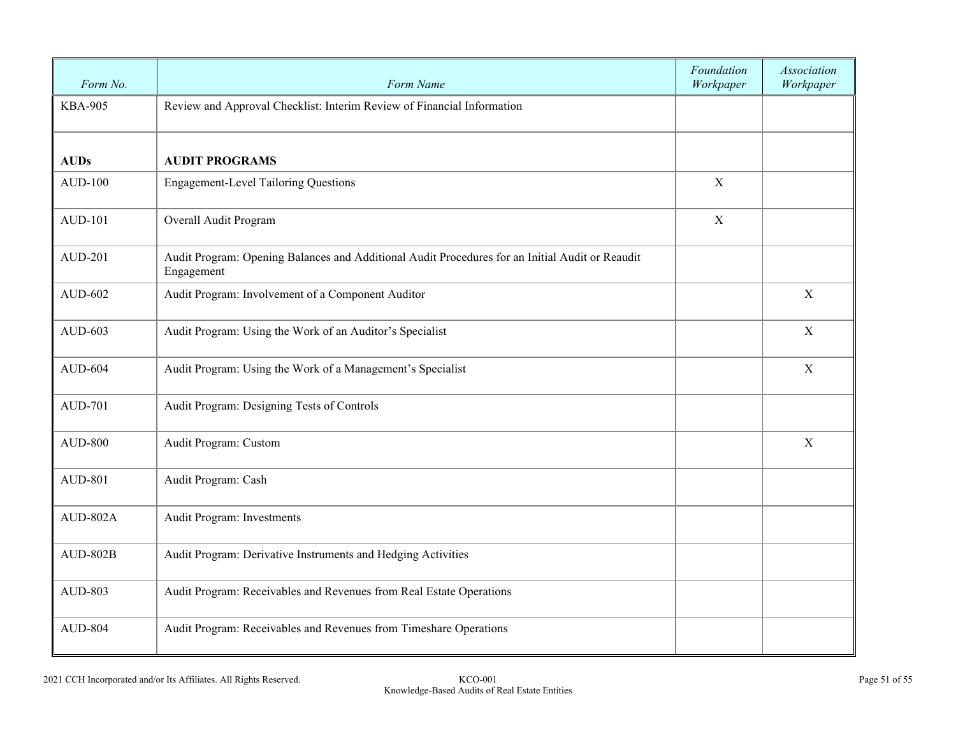| Form No.       | Form Name                                                                                                     | Foundation<br>Workpaper | Association<br>Workpaper |
|----------------|---------------------------------------------------------------------------------------------------------------|-------------------------|--------------------------|
| <b>KBA-905</b> | Review and Approval Checklist: Interim Review of Financial Information                                        |                         |                          |
| <b>AUDs</b>    | <b>AUDIT PROGRAMS</b>                                                                                         |                         |                          |
| <b>AUD-100</b> | <b>Engagement-Level Tailoring Questions</b>                                                                   | $\mathbf X$             |                          |
| AUD-101        | Overall Audit Program                                                                                         | $\mathbf X$             |                          |
| <b>AUD-201</b> | Audit Program: Opening Balances and Additional Audit Procedures for an Initial Audit or Reaudit<br>Engagement |                         |                          |
| AUD-602        | Audit Program: Involvement of a Component Auditor                                                             |                         | X                        |
| AUD-603        | Audit Program: Using the Work of an Auditor's Specialist                                                      |                         | $\mathbf X$              |
| <b>AUD-604</b> | Audit Program: Using the Work of a Management's Specialist                                                    |                         | X                        |
| <b>AUD-701</b> | Audit Program: Designing Tests of Controls                                                                    |                         |                          |
| <b>AUD-800</b> | Audit Program: Custom                                                                                         |                         | $\mathbf X$              |
| <b>AUD-801</b> | Audit Program: Cash                                                                                           |                         |                          |
| AUD-802A       | Audit Program: Investments                                                                                    |                         |                          |
| $AUD-802B$     | Audit Program: Derivative Instruments and Hedging Activities                                                  |                         |                          |
| AUD-803        | Audit Program: Receivables and Revenues from Real Estate Operations                                           |                         |                          |
| <b>AUD-804</b> | Audit Program: Receivables and Revenues from Timeshare Operations                                             |                         |                          |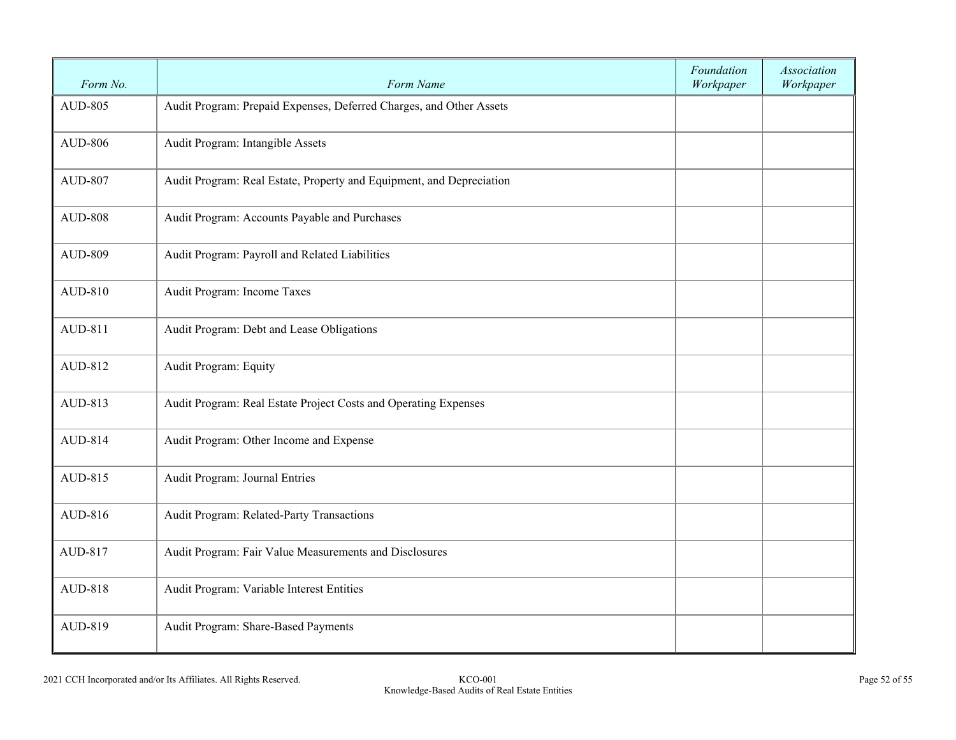| Form No.       | Form Name                                                            | Foundation<br>Workpaper | Association<br>Workpaper |
|----------------|----------------------------------------------------------------------|-------------------------|--------------------------|
| <b>AUD-805</b> | Audit Program: Prepaid Expenses, Deferred Charges, and Other Assets  |                         |                          |
| <b>AUD-806</b> | Audit Program: Intangible Assets                                     |                         |                          |
| <b>AUD-807</b> | Audit Program: Real Estate, Property and Equipment, and Depreciation |                         |                          |
| <b>AUD-808</b> | Audit Program: Accounts Payable and Purchases                        |                         |                          |
| <b>AUD-809</b> | Audit Program: Payroll and Related Liabilities                       |                         |                          |
| AUD-810        | Audit Program: Income Taxes                                          |                         |                          |
| AUD-811        | Audit Program: Debt and Lease Obligations                            |                         |                          |
| AUD-812        | Audit Program: Equity                                                |                         |                          |
| AUD-813        | Audit Program: Real Estate Project Costs and Operating Expenses      |                         |                          |
| AUD-814        | Audit Program: Other Income and Expense                              |                         |                          |
| AUD-815        | Audit Program: Journal Entries                                       |                         |                          |
| AUD-816        | Audit Program: Related-Party Transactions                            |                         |                          |
| AUD-817        | Audit Program: Fair Value Measurements and Disclosures               |                         |                          |
| AUD-818        | Audit Program: Variable Interest Entities                            |                         |                          |
| AUD-819        | Audit Program: Share-Based Payments                                  |                         |                          |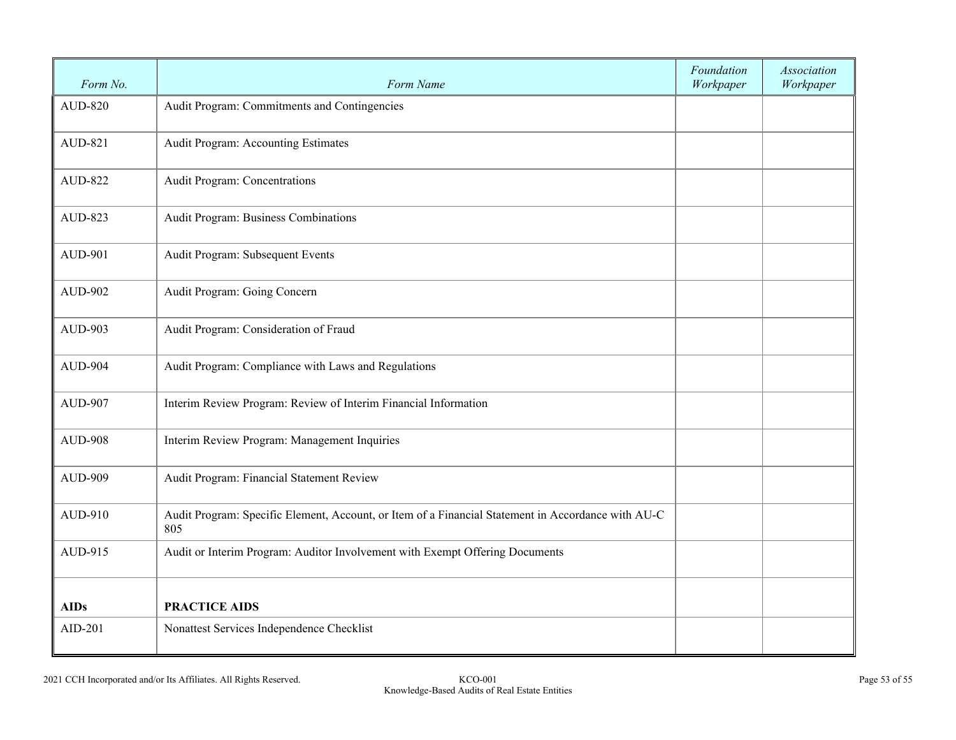| Form No.       | Form Name                                                                                                 | Foundation<br>Workpaper | <b>Association</b><br>Workpaper |
|----------------|-----------------------------------------------------------------------------------------------------------|-------------------------|---------------------------------|
| <b>AUD-820</b> | Audit Program: Commitments and Contingencies                                                              |                         |                                 |
| AUD-821        | Audit Program: Accounting Estimates                                                                       |                         |                                 |
| <b>AUD-822</b> | Audit Program: Concentrations                                                                             |                         |                                 |
| AUD-823        | Audit Program: Business Combinations                                                                      |                         |                                 |
| AUD-901        | Audit Program: Subsequent Events                                                                          |                         |                                 |
| <b>AUD-902</b> | Audit Program: Going Concern                                                                              |                         |                                 |
| AUD-903        | Audit Program: Consideration of Fraud                                                                     |                         |                                 |
| <b>AUD-904</b> | Audit Program: Compliance with Laws and Regulations                                                       |                         |                                 |
| <b>AUD-907</b> | Interim Review Program: Review of Interim Financial Information                                           |                         |                                 |
| <b>AUD-908</b> | Interim Review Program: Management Inquiries                                                              |                         |                                 |
| <b>AUD-909</b> | Audit Program: Financial Statement Review                                                                 |                         |                                 |
| AUD-910        | Audit Program: Specific Element, Account, or Item of a Financial Statement in Accordance with AU-C<br>805 |                         |                                 |
| AUD-915        | Audit or Interim Program: Auditor Involvement with Exempt Offering Documents                              |                         |                                 |
| <b>AIDs</b>    | <b>PRACTICE AIDS</b>                                                                                      |                         |                                 |
| AID-201        | Nonattest Services Independence Checklist                                                                 |                         |                                 |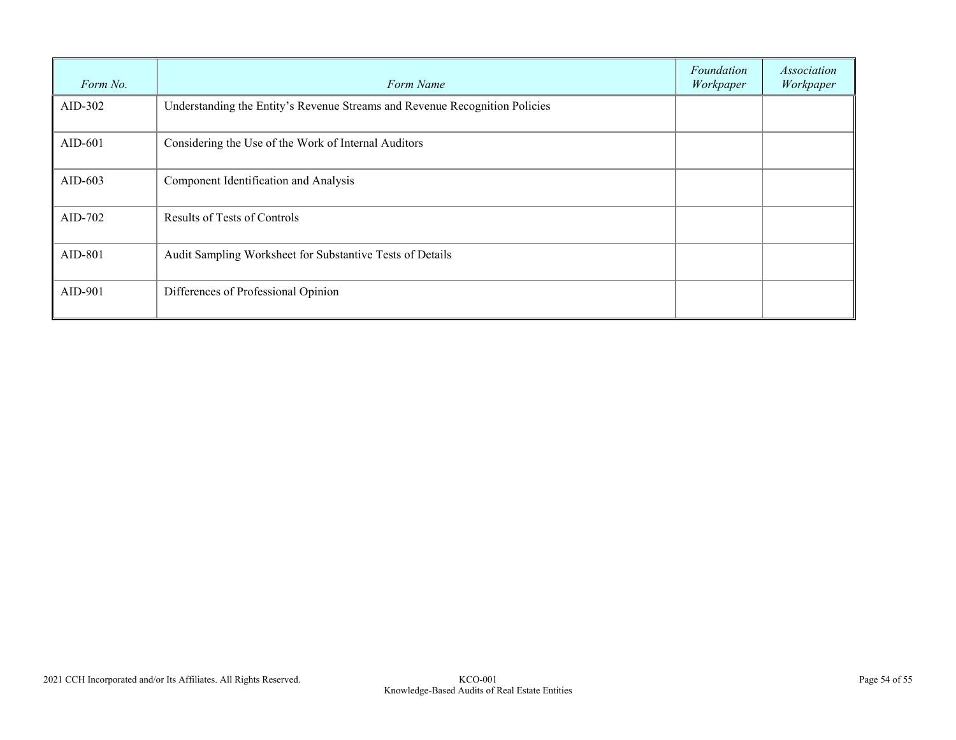| Form No.  | Form Name                                                                   | Foundation<br>Workpaper | Association<br>Workpaper |
|-----------|-----------------------------------------------------------------------------|-------------------------|--------------------------|
| AID-302   | Understanding the Entity's Revenue Streams and Revenue Recognition Policies |                         |                          |
| $AID-601$ | Considering the Use of the Work of Internal Auditors                        |                         |                          |
| AID-603   | Component Identification and Analysis                                       |                         |                          |
| AID-702   | Results of Tests of Controls                                                |                         |                          |
| AID-801   | Audit Sampling Worksheet for Substantive Tests of Details                   |                         |                          |
| AID-901   | Differences of Professional Opinion                                         |                         |                          |